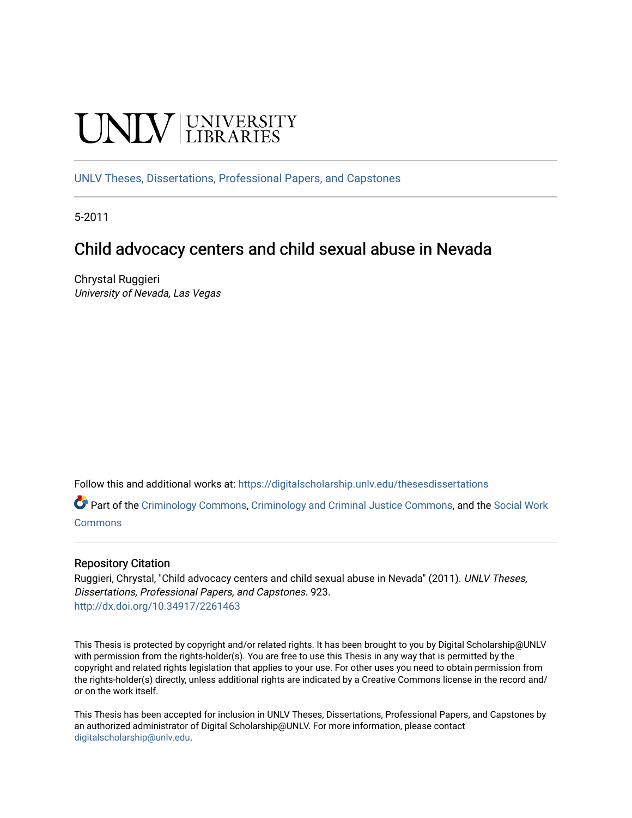# **CINITY** UNIVERSITY

[UNLV Theses, Dissertations, Professional Papers, and Capstones](https://digitalscholarship.unlv.edu/thesesdissertations)

5-2011

# Child advocacy centers and child sexual abuse in Nevada

Chrystal Ruggieri University of Nevada, Las Vegas

Follow this and additional works at: [https://digitalscholarship.unlv.edu/thesesdissertations](https://digitalscholarship.unlv.edu/thesesdissertations?utm_source=digitalscholarship.unlv.edu%2Fthesesdissertations%2F923&utm_medium=PDF&utm_campaign=PDFCoverPages)

Part of the [Criminology Commons](http://network.bepress.com/hgg/discipline/417?utm_source=digitalscholarship.unlv.edu%2Fthesesdissertations%2F923&utm_medium=PDF&utm_campaign=PDFCoverPages), [Criminology and Criminal Justice Commons,](http://network.bepress.com/hgg/discipline/367?utm_source=digitalscholarship.unlv.edu%2Fthesesdissertations%2F923&utm_medium=PDF&utm_campaign=PDFCoverPages) and the [Social Work](http://network.bepress.com/hgg/discipline/713?utm_source=digitalscholarship.unlv.edu%2Fthesesdissertations%2F923&utm_medium=PDF&utm_campaign=PDFCoverPages) [Commons](http://network.bepress.com/hgg/discipline/713?utm_source=digitalscholarship.unlv.edu%2Fthesesdissertations%2F923&utm_medium=PDF&utm_campaign=PDFCoverPages)

#### Repository Citation

Ruggieri, Chrystal, "Child advocacy centers and child sexual abuse in Nevada" (2011). UNLV Theses, Dissertations, Professional Papers, and Capstones. 923. <http://dx.doi.org/10.34917/2261463>

This Thesis is protected by copyright and/or related rights. It has been brought to you by Digital Scholarship@UNLV with permission from the rights-holder(s). You are free to use this Thesis in any way that is permitted by the copyright and related rights legislation that applies to your use. For other uses you need to obtain permission from the rights-holder(s) directly, unless additional rights are indicated by a Creative Commons license in the record and/ or on the work itself.

This Thesis has been accepted for inclusion in UNLV Theses, Dissertations, Professional Papers, and Capstones by an authorized administrator of Digital Scholarship@UNLV. For more information, please contact [digitalscholarship@unlv.edu](mailto:digitalscholarship@unlv.edu).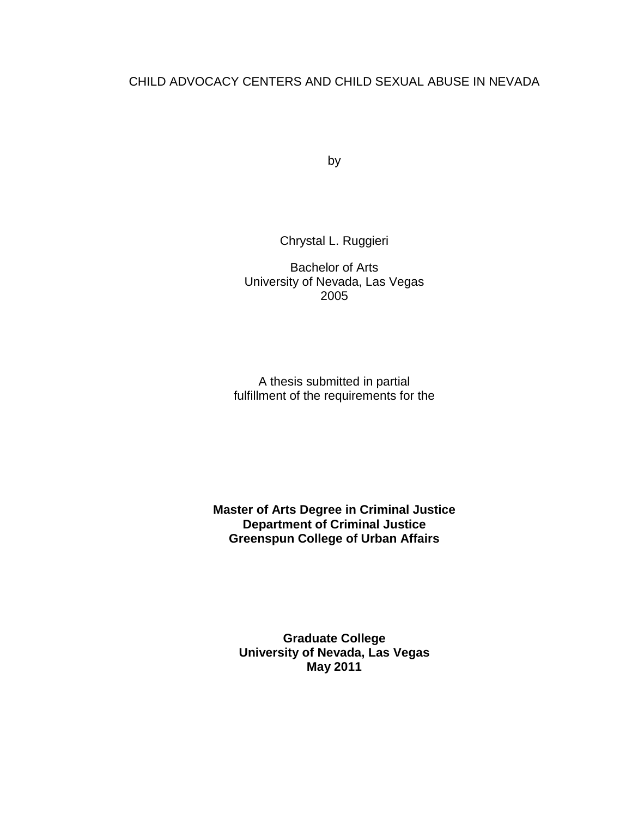## CHILD ADVOCACY CENTERS AND CHILD SEXUAL ABUSE IN NEVADA

by

Chrystal L. Ruggieri

Bachelor of Arts University of Nevada, Las Vegas 2005

A thesis submitted in partial fulfillment of the requirements for the

**Master of Arts Degree in Criminal Justice Department of Criminal Justice Greenspun College of Urban Affairs** 

> **Graduate College University of Nevada, Las Vegas May 2011**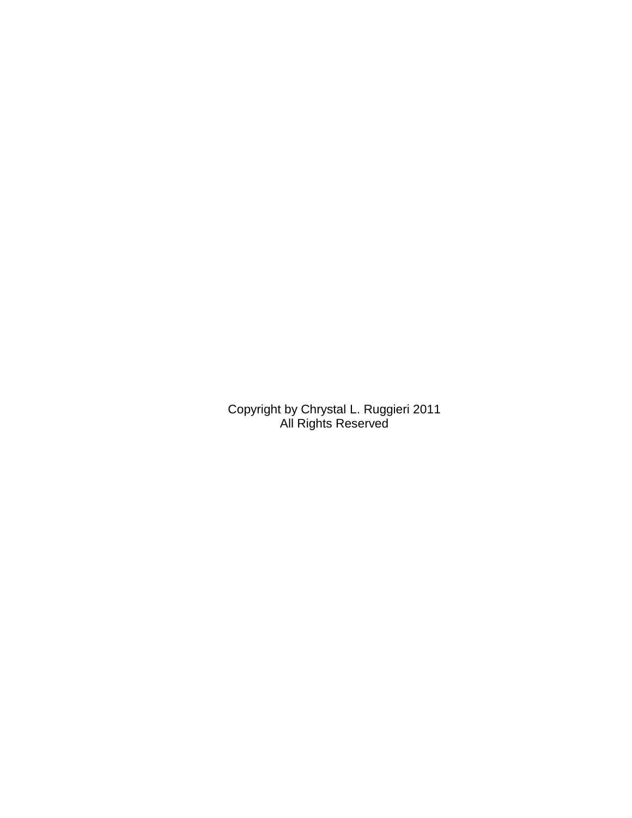Copyright by Chrystal L. Ruggieri 2011 All Rights Reserved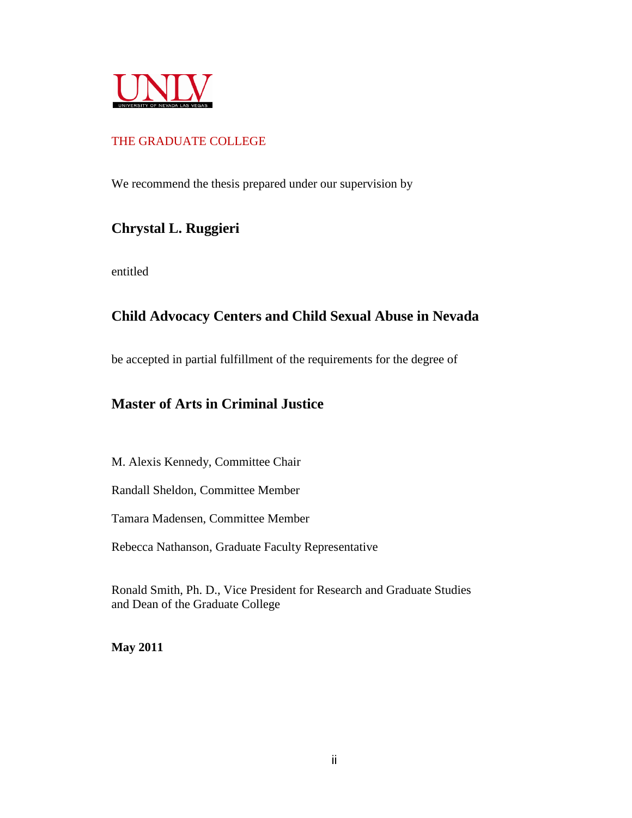

## THE GRADUATE COLLEGE

We recommend the thesis prepared under our supervision by

# **Chrystal L. Ruggieri**

entitled

## **Child Advocacy Centers and Child Sexual Abuse in Nevada**

be accepted in partial fulfillment of the requirements for the degree of

## **Master of Arts in Criminal Justice**

M. Alexis Kennedy, Committee Chair

Randall Sheldon, Committee Member

Tamara Madensen, Committee Member

Rebecca Nathanson, Graduate Faculty Representative

Ronald Smith, Ph. D., Vice President for Research and Graduate Studies and Dean of the Graduate College

**May 2011**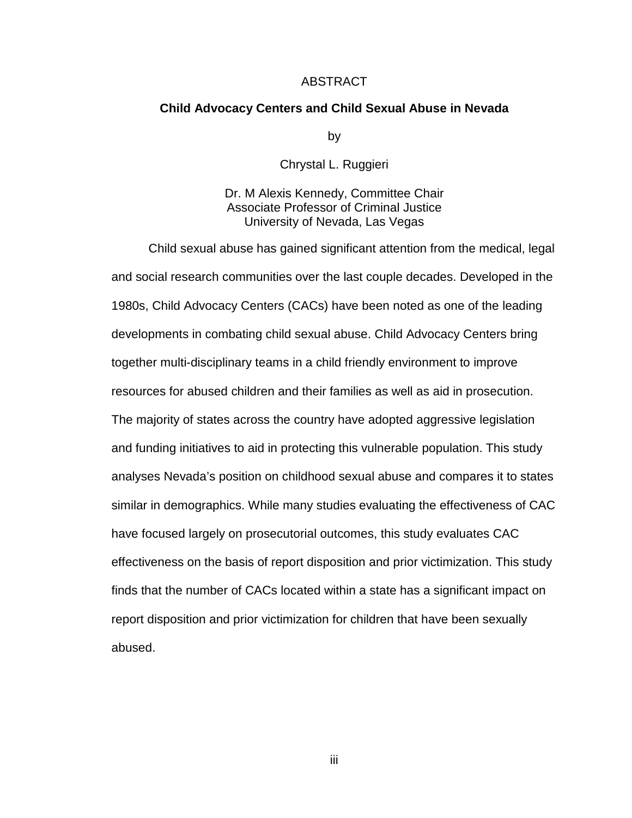#### ABSTRACT

#### **Child Advocacy Centers and Child Sexual Abuse in Nevada**

by

Chrystal L. Ruggieri

Dr. M Alexis Kennedy, Committee Chair Associate Professor of Criminal Justice University of Nevada, Las Vegas

 Child sexual abuse has gained significant attention from the medical, legal and social research communities over the last couple decades. Developed in the 1980s, Child Advocacy Centers (CACs) have been noted as one of the leading developments in combating child sexual abuse. Child Advocacy Centers bring together multi-disciplinary teams in a child friendly environment to improve resources for abused children and their families as well as aid in prosecution. The majority of states across the country have adopted aggressive legislation and funding initiatives to aid in protecting this vulnerable population. This study analyses Nevada's position on childhood sexual abuse and compares it to states similar in demographics. While many studies evaluating the effectiveness of CAC have focused largely on prosecutorial outcomes, this study evaluates CAC effectiveness on the basis of report disposition and prior victimization. This study finds that the number of CACs located within a state has a significant impact on report disposition and prior victimization for children that have been sexually abused.

iii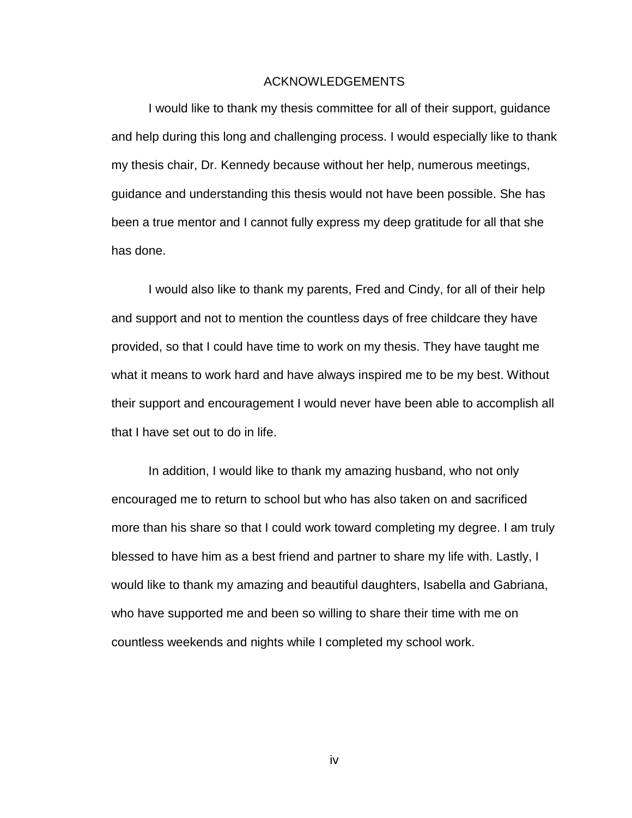#### ACKNOWLEDGEMENTS

 I would like to thank my thesis committee for all of their support, guidance and help during this long and challenging process. I would especially like to thank my thesis chair, Dr. Kennedy because without her help, numerous meetings, guidance and understanding this thesis would not have been possible. She has been a true mentor and I cannot fully express my deep gratitude for all that she has done.

 I would also like to thank my parents, Fred and Cindy, for all of their help and support and not to mention the countless days of free childcare they have provided, so that I could have time to work on my thesis. They have taught me what it means to work hard and have always inspired me to be my best. Without their support and encouragement I would never have been able to accomplish all that I have set out to do in life.

 In addition, I would like to thank my amazing husband, who not only encouraged me to return to school but who has also taken on and sacrificed more than his share so that I could work toward completing my degree. I am truly blessed to have him as a best friend and partner to share my life with. Lastly, I would like to thank my amazing and beautiful daughters, Isabella and Gabriana, who have supported me and been so willing to share their time with me on countless weekends and nights while I completed my school work.

iv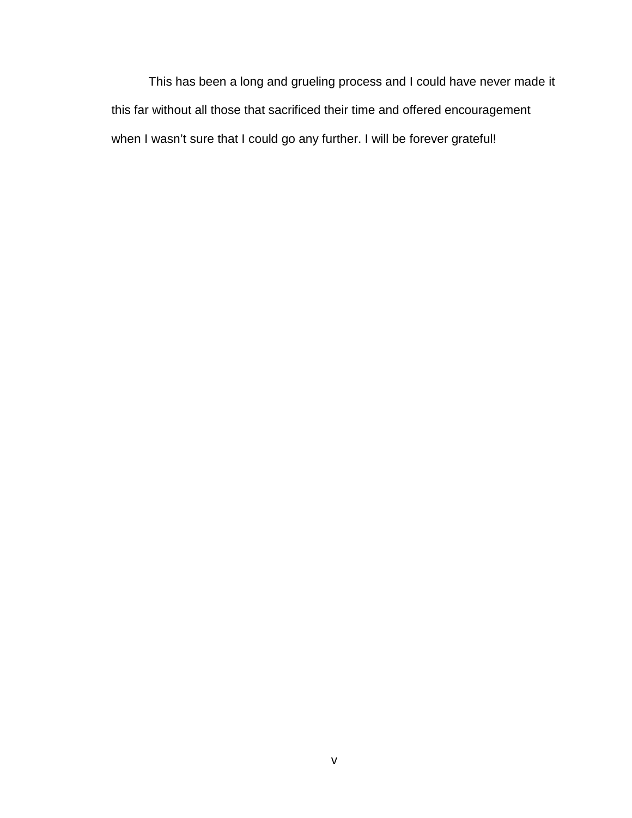This has been a long and grueling process and I could have never made it this far without all those that sacrificed their time and offered encouragement when I wasn't sure that I could go any further. I will be forever grateful!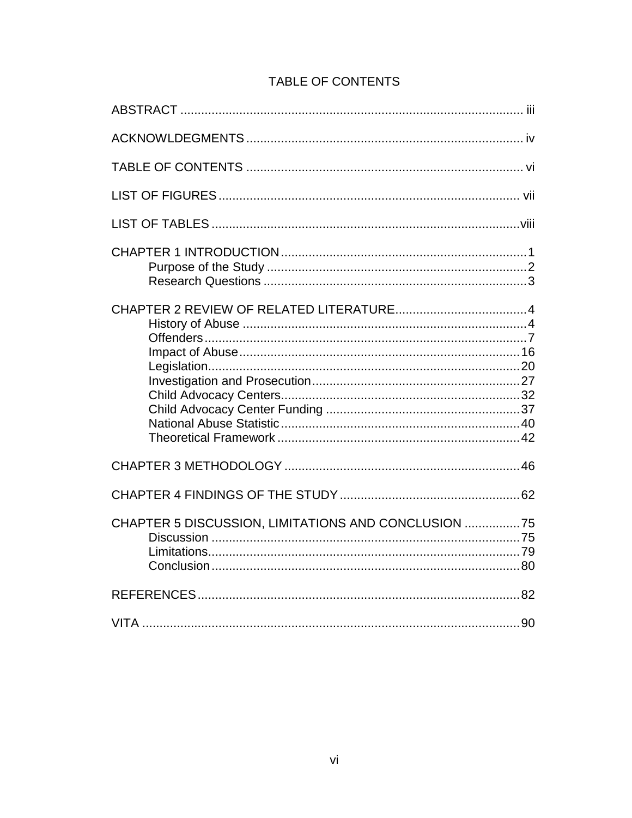| CHAPTER 5 DISCUSSION, LIMITATIONS AND CONCLUSION 75 |
|-----------------------------------------------------|
|                                                     |
| 90                                                  |

# TABLE OF CONTENTS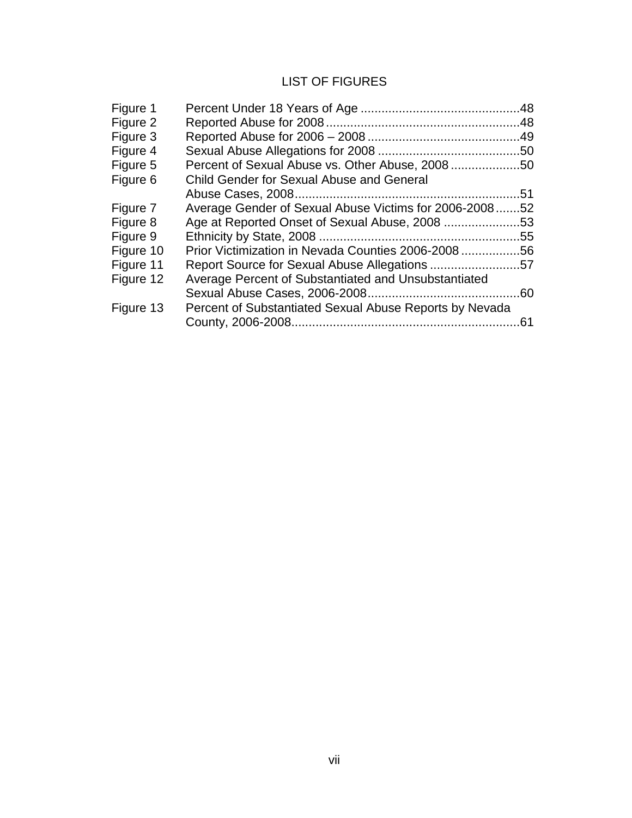## LIST OF FIGURES

| Figure 1  |                                                         |     |
|-----------|---------------------------------------------------------|-----|
| Figure 2  |                                                         |     |
| Figure 3  |                                                         |     |
| Figure 4  |                                                         |     |
| Figure 5  | Percent of Sexual Abuse vs. Other Abuse, 200850         |     |
| Figure 6  | <b>Child Gender for Sexual Abuse and General</b>        |     |
|           |                                                         | .51 |
| Figure 7  | Average Gender of Sexual Abuse Victims for 2006-2008    | .52 |
| Figure 8  | Age at Reported Onset of Sexual Abuse, 2008             | .53 |
| Figure 9  |                                                         |     |
| Figure 10 | Prior Victimization in Nevada Counties 2006-200856      |     |
| Figure 11 | Report Source for Sexual Abuse Allegations 57           |     |
| Figure 12 | Average Percent of Substantiated and Unsubstantiated    |     |
|           |                                                         |     |
| Figure 13 | Percent of Substantiated Sexual Abuse Reports by Nevada |     |
|           |                                                         | 61  |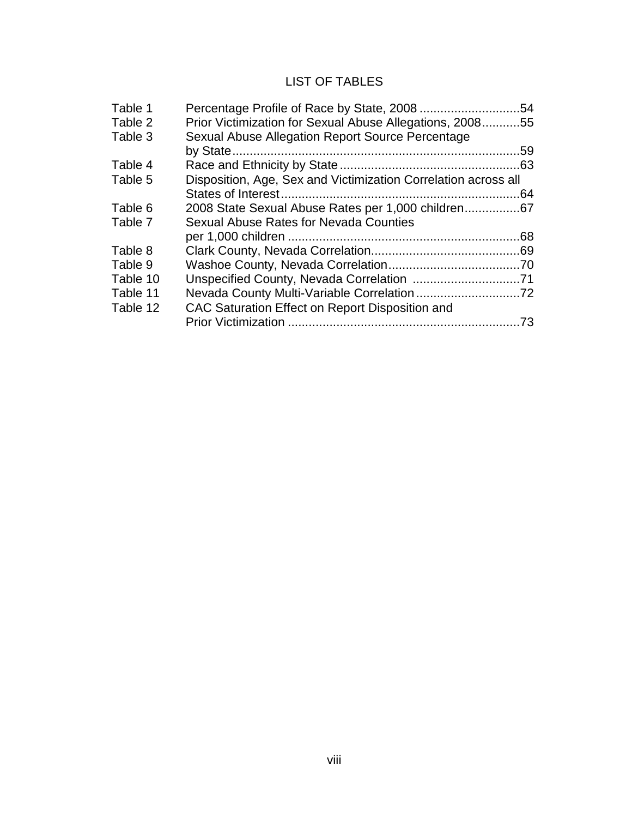## LIST OF TABLES

| Table 1  |                                                                | .54 |
|----------|----------------------------------------------------------------|-----|
| Table 2  | Prior Victimization for Sexual Abuse Allegations, 200855       |     |
| Table 3  | Sexual Abuse Allegation Report Source Percentage               |     |
|          |                                                                | .59 |
| Table 4  |                                                                |     |
| Table 5  | Disposition, Age, Sex and Victimization Correlation across all |     |
|          |                                                                | .64 |
| Table 6  | 2008 State Sexual Abuse Rates per 1,000 children67             |     |
| Table 7  | Sexual Abuse Rates for Nevada Counties                         |     |
|          |                                                                |     |
| Table 8  |                                                                |     |
| Table 9  |                                                                |     |
| Table 10 |                                                                |     |
| Table 11 |                                                                |     |
| Table 12 | CAC Saturation Effect on Report Disposition and                |     |
|          |                                                                | .73 |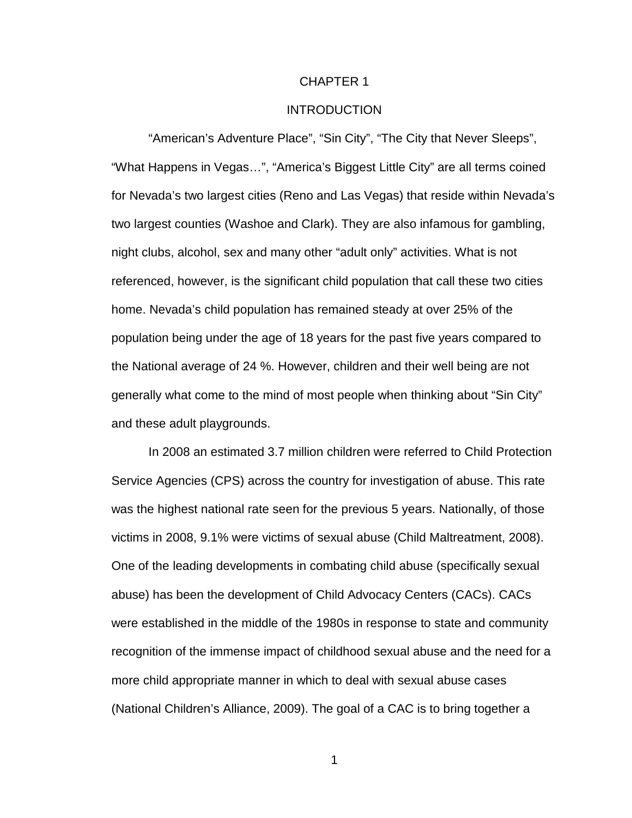#### CHAPTER 1

### INTRODUCTION

"American's Adventure Place", "Sin City", "The City that Never Sleeps", "What Happens in Vegas…", "America's Biggest Little City" are all terms coined for Nevada's two largest cities (Reno and Las Vegas) that reside within Nevada's two largest counties (Washoe and Clark). They are also infamous for gambling, night clubs, alcohol, sex and many other "adult only" activities. What is not referenced, however, is the significant child population that call these two cities home. Nevada's child population has remained steady at over 25% of the population being under the age of 18 years for the past five years compared to the National average of 24 %. However, children and their well being are not generally what come to the mind of most people when thinking about "Sin City" and these adult playgrounds.

In 2008 an estimated 3.7 million children were referred to Child Protection Service Agencies (CPS) across the country for investigation of abuse. This rate was the highest national rate seen for the previous 5 years. Nationally, of those victims in 2008, 9.1% were victims of sexual abuse (Child Maltreatment, 2008). One of the leading developments in combating child abuse (specifically sexual abuse) has been the development of Child Advocacy Centers (CACs). CACs were established in the middle of the 1980s in response to state and community recognition of the immense impact of childhood sexual abuse and the need for a more child appropriate manner in which to deal with sexual abuse cases (National Children's Alliance, 2009). The goal of a CAC is to bring together a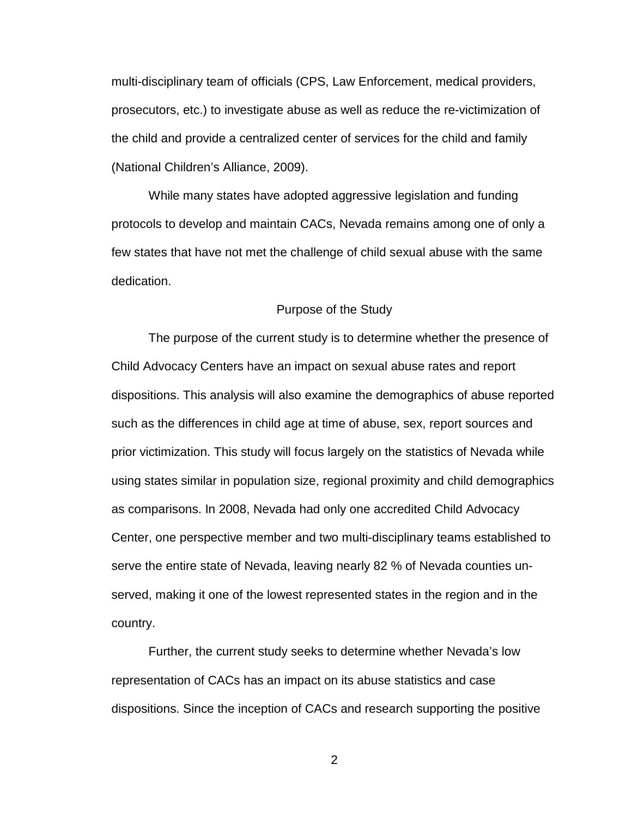multi-disciplinary team of officials (CPS, Law Enforcement, medical providers, prosecutors, etc.) to investigate abuse as well as reduce the re-victimization of the child and provide a centralized center of services for the child and family (National Children's Alliance, 2009).

While many states have adopted aggressive legislation and funding protocols to develop and maintain CACs, Nevada remains among one of only a few states that have not met the challenge of child sexual abuse with the same dedication.

#### Purpose of the Study

 The purpose of the current study is to determine whether the presence of Child Advocacy Centers have an impact on sexual abuse rates and report dispositions. This analysis will also examine the demographics of abuse reported such as the differences in child age at time of abuse, sex, report sources and prior victimization. This study will focus largely on the statistics of Nevada while using states similar in population size, regional proximity and child demographics as comparisons. In 2008, Nevada had only one accredited Child Advocacy Center, one perspective member and two multi-disciplinary teams established to serve the entire state of Nevada, leaving nearly 82 % of Nevada counties unserved, making it one of the lowest represented states in the region and in the country.

 Further, the current study seeks to determine whether Nevada's low representation of CACs has an impact on its abuse statistics and case dispositions. Since the inception of CACs and research supporting the positive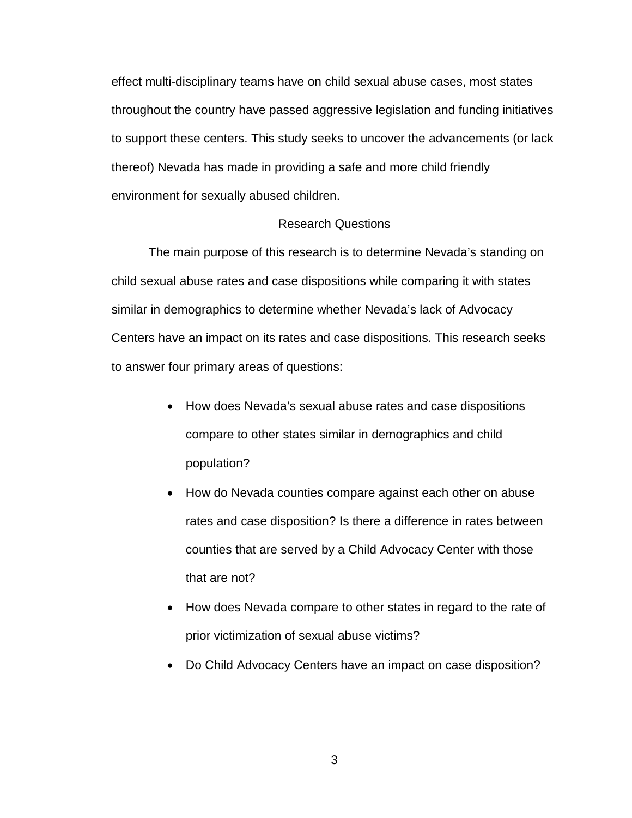effect multi-disciplinary teams have on child sexual abuse cases, most states throughout the country have passed aggressive legislation and funding initiatives to support these centers. This study seeks to uncover the advancements (or lack thereof) Nevada has made in providing a safe and more child friendly environment for sexually abused children.

#### Research Questions

 The main purpose of this research is to determine Nevada's standing on child sexual abuse rates and case dispositions while comparing it with states similar in demographics to determine whether Nevada's lack of Advocacy Centers have an impact on its rates and case dispositions. This research seeks to answer four primary areas of questions:

- How does Nevada's sexual abuse rates and case dispositions compare to other states similar in demographics and child population?
- How do Nevada counties compare against each other on abuse rates and case disposition? Is there a difference in rates between counties that are served by a Child Advocacy Center with those that are not?
- How does Nevada compare to other states in regard to the rate of prior victimization of sexual abuse victims?
- Do Child Advocacy Centers have an impact on case disposition?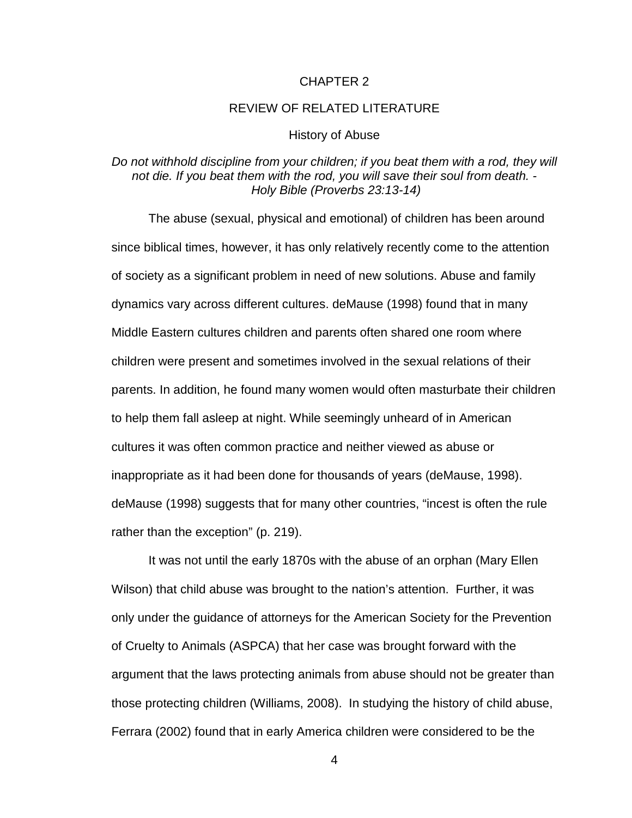#### CHAPTER 2

#### REVIEW OF RELATED LITERATURE

#### History of Abuse

## Do not withhold discipline from your children; if you beat them with a rod, they will not die. If you beat them with the rod, you will save their soul from death. - Holy Bible (Proverbs 23:13-14)

The abuse (sexual, physical and emotional) of children has been around since biblical times, however, it has only relatively recently come to the attention of society as a significant problem in need of new solutions. Abuse and family dynamics vary across different cultures. deMause (1998) found that in many Middle Eastern cultures children and parents often shared one room where children were present and sometimes involved in the sexual relations of their parents. In addition, he found many women would often masturbate their children to help them fall asleep at night. While seemingly unheard of in American cultures it was often common practice and neither viewed as abuse or inappropriate as it had been done for thousands of years (deMause, 1998). deMause (1998) suggests that for many other countries, "incest is often the rule rather than the exception" (p. 219).

It was not until the early 1870s with the abuse of an orphan (Mary Ellen Wilson) that child abuse was brought to the nation's attention. Further, it was only under the guidance of attorneys for the American Society for the Prevention of Cruelty to Animals (ASPCA) that her case was brought forward with the argument that the laws protecting animals from abuse should not be greater than those protecting children (Williams, 2008). In studying the history of child abuse, Ferrara (2002) found that in early America children were considered to be the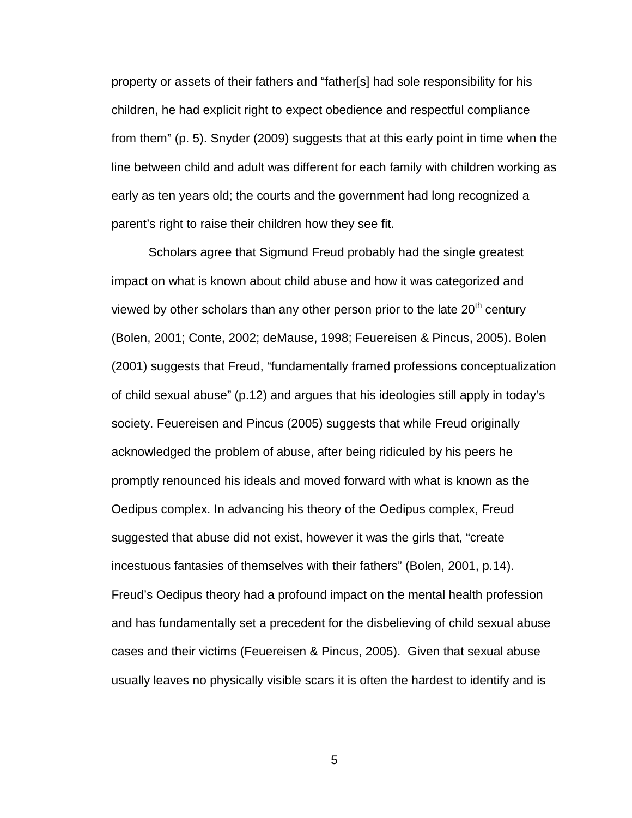property or assets of their fathers and "father[s] had sole responsibility for his children, he had explicit right to expect obedience and respectful compliance from them" (p. 5). Snyder (2009) suggests that at this early point in time when the line between child and adult was different for each family with children working as early as ten years old; the courts and the government had long recognized a parent's right to raise their children how they see fit.

 Scholars agree that Sigmund Freud probably had the single greatest impact on what is known about child abuse and how it was categorized and viewed by other scholars than any other person prior to the late  $20<sup>th</sup>$  century (Bolen, 2001; Conte, 2002; deMause, 1998; Feuereisen & Pincus, 2005). Bolen (2001) suggests that Freud, "fundamentally framed professions conceptualization of child sexual abuse" (p.12) and argues that his ideologies still apply in today's society. Feuereisen and Pincus (2005) suggests that while Freud originally acknowledged the problem of abuse, after being ridiculed by his peers he promptly renounced his ideals and moved forward with what is known as the Oedipus complex. In advancing his theory of the Oedipus complex, Freud suggested that abuse did not exist, however it was the girls that, "create incestuous fantasies of themselves with their fathers" (Bolen, 2001, p.14). Freud's Oedipus theory had a profound impact on the mental health profession and has fundamentally set a precedent for the disbelieving of child sexual abuse cases and their victims (Feuereisen & Pincus, 2005). Given that sexual abuse usually leaves no physically visible scars it is often the hardest to identify and is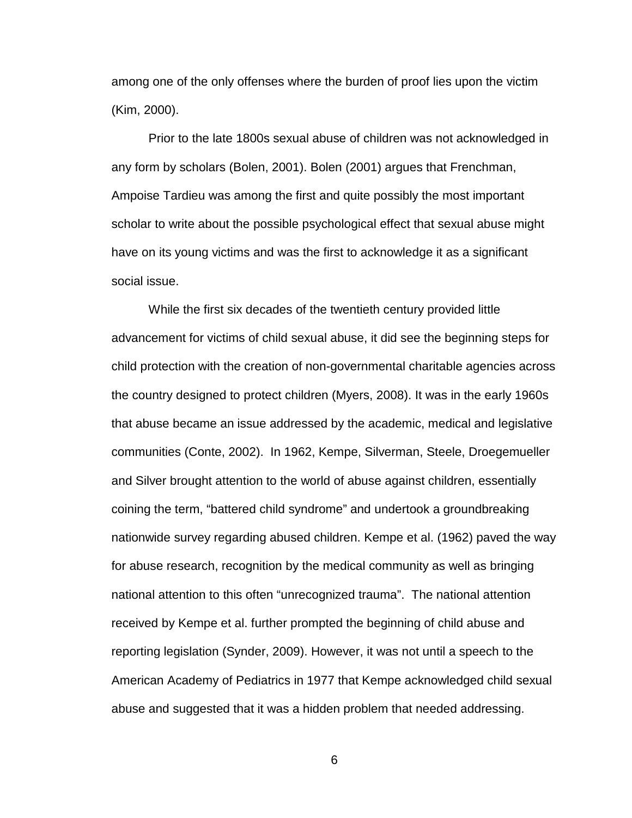among one of the only offenses where the burden of proof lies upon the victim (Kim, 2000).

 Prior to the late 1800s sexual abuse of children was not acknowledged in any form by scholars (Bolen, 2001). Bolen (2001) argues that Frenchman, Ampoise Tardieu was among the first and quite possibly the most important scholar to write about the possible psychological effect that sexual abuse might have on its young victims and was the first to acknowledge it as a significant social issue.

 While the first six decades of the twentieth century provided little advancement for victims of child sexual abuse, it did see the beginning steps for child protection with the creation of non-governmental charitable agencies across the country designed to protect children (Myers, 2008). It was in the early 1960s that abuse became an issue addressed by the academic, medical and legislative communities (Conte, 2002). In 1962, Kempe, Silverman, Steele, Droegemueller and Silver brought attention to the world of abuse against children, essentially coining the term, "battered child syndrome" and undertook a groundbreaking nationwide survey regarding abused children. Kempe et al. (1962) paved the way for abuse research, recognition by the medical community as well as bringing national attention to this often "unrecognized trauma". The national attention received by Kempe et al. further prompted the beginning of child abuse and reporting legislation (Synder, 2009). However, it was not until a speech to the American Academy of Pediatrics in 1977 that Kempe acknowledged child sexual abuse and suggested that it was a hidden problem that needed addressing.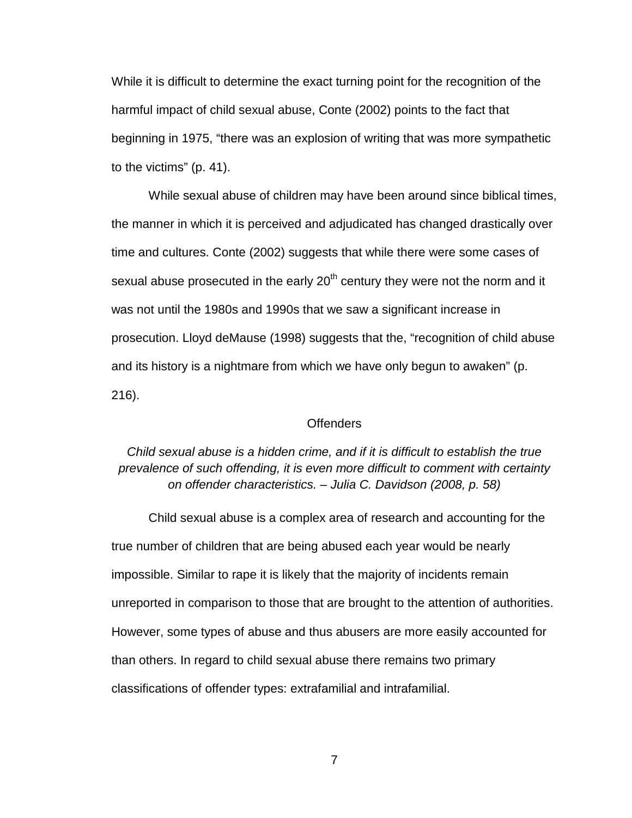While it is difficult to determine the exact turning point for the recognition of the harmful impact of child sexual abuse, Conte (2002) points to the fact that beginning in 1975, "there was an explosion of writing that was more sympathetic to the victims" (p. 41).

 While sexual abuse of children may have been around since biblical times, the manner in which it is perceived and adjudicated has changed drastically over time and cultures. Conte (2002) suggests that while there were some cases of sexual abuse prosecuted in the early  $20<sup>th</sup>$  century they were not the norm and it was not until the 1980s and 1990s that we saw a significant increase in prosecution. Lloyd deMause (1998) suggests that the, "recognition of child abuse and its history is a nightmare from which we have only begun to awaken" (p. 216).

#### **Offenders**

Child sexual abuse is a hidden crime, and if it is difficult to establish the true prevalence of such offending, it is even more difficult to comment with certainty on offender characteristics. – Julia C. Davidson (2008, p. 58)

 Child sexual abuse is a complex area of research and accounting for the true number of children that are being abused each year would be nearly impossible. Similar to rape it is likely that the majority of incidents remain unreported in comparison to those that are brought to the attention of authorities. However, some types of abuse and thus abusers are more easily accounted for than others. In regard to child sexual abuse there remains two primary classifications of offender types: extrafamilial and intrafamilial.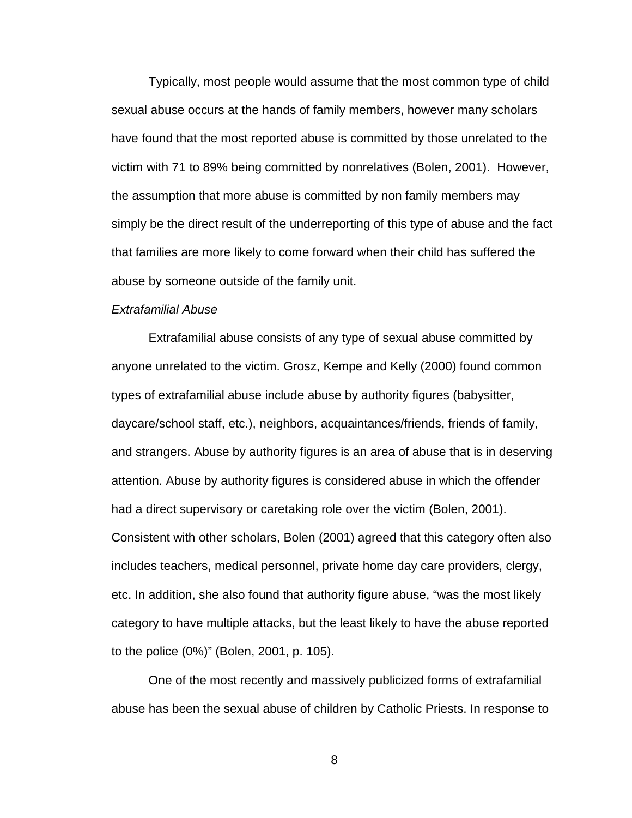Typically, most people would assume that the most common type of child sexual abuse occurs at the hands of family members, however many scholars have found that the most reported abuse is committed by those unrelated to the victim with 71 to 89% being committed by nonrelatives (Bolen, 2001). However, the assumption that more abuse is committed by non family members may simply be the direct result of the underreporting of this type of abuse and the fact that families are more likely to come forward when their child has suffered the abuse by someone outside of the family unit.

#### Extrafamilial Abuse

Extrafamilial abuse consists of any type of sexual abuse committed by anyone unrelated to the victim. Grosz, Kempe and Kelly (2000) found common types of extrafamilial abuse include abuse by authority figures (babysitter, daycare/school staff, etc.), neighbors, acquaintances/friends, friends of family, and strangers. Abuse by authority figures is an area of abuse that is in deserving attention. Abuse by authority figures is considered abuse in which the offender had a direct supervisory or caretaking role over the victim (Bolen, 2001). Consistent with other scholars, Bolen (2001) agreed that this category often also includes teachers, medical personnel, private home day care providers, clergy, etc. In addition, she also found that authority figure abuse, "was the most likely category to have multiple attacks, but the least likely to have the abuse reported to the police (0%)" (Bolen, 2001, p. 105).

One of the most recently and massively publicized forms of extrafamilial abuse has been the sexual abuse of children by Catholic Priests. In response to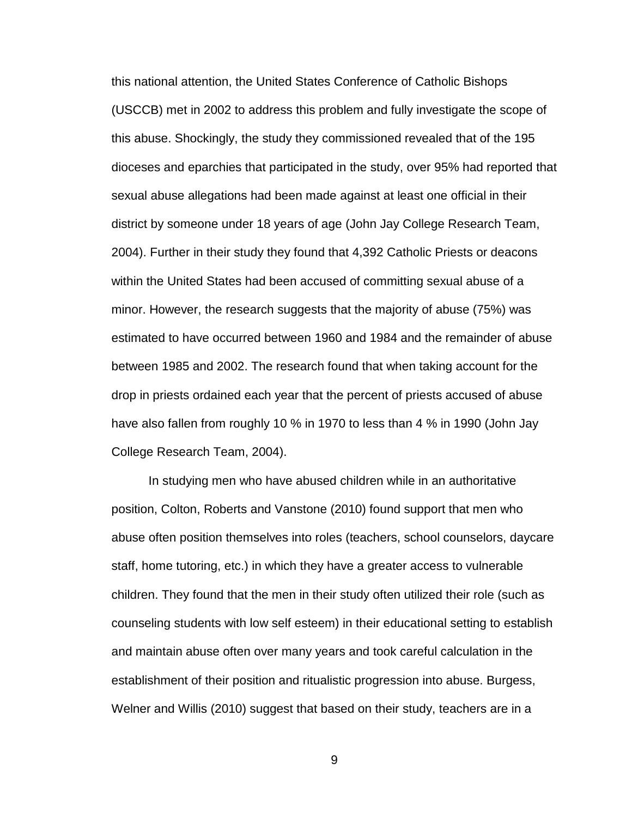this national attention, the United States Conference of Catholic Bishops (USCCB) met in 2002 to address this problem and fully investigate the scope of this abuse. Shockingly, the study they commissioned revealed that of the 195 dioceses and eparchies that participated in the study, over 95% had reported that sexual abuse allegations had been made against at least one official in their district by someone under 18 years of age (John Jay College Research Team, 2004). Further in their study they found that 4,392 Catholic Priests or deacons within the United States had been accused of committing sexual abuse of a minor. However, the research suggests that the majority of abuse (75%) was estimated to have occurred between 1960 and 1984 and the remainder of abuse between 1985 and 2002. The research found that when taking account for the drop in priests ordained each year that the percent of priests accused of abuse have also fallen from roughly 10 % in 1970 to less than 4 % in 1990 (John Jay College Research Team, 2004).

In studying men who have abused children while in an authoritative position, Colton, Roberts and Vanstone (2010) found support that men who abuse often position themselves into roles (teachers, school counselors, daycare staff, home tutoring, etc.) in which they have a greater access to vulnerable children. They found that the men in their study often utilized their role (such as counseling students with low self esteem) in their educational setting to establish and maintain abuse often over many years and took careful calculation in the establishment of their position and ritualistic progression into abuse. Burgess, Welner and Willis (2010) suggest that based on their study, teachers are in a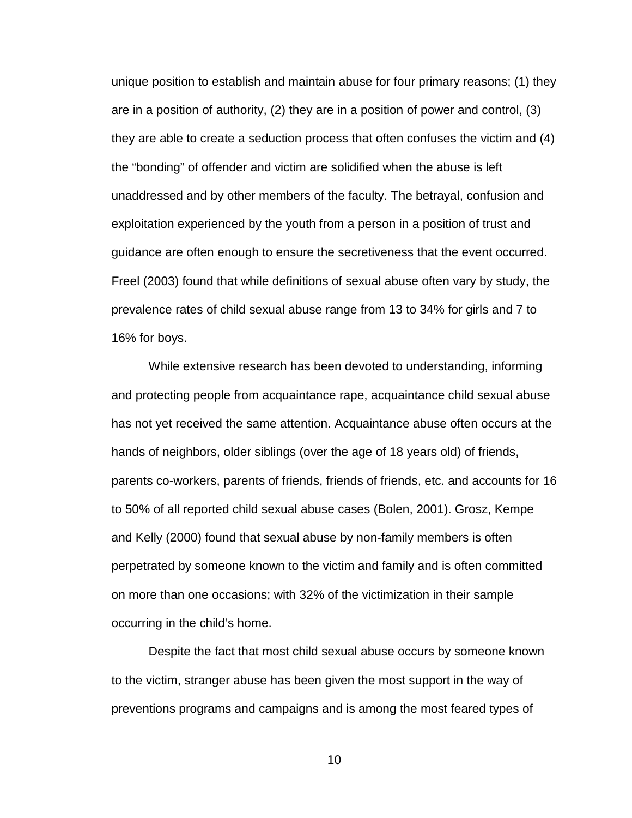unique position to establish and maintain abuse for four primary reasons; (1) they are in a position of authority, (2) they are in a position of power and control, (3) they are able to create a seduction process that often confuses the victim and (4) the "bonding" of offender and victim are solidified when the abuse is left unaddressed and by other members of the faculty. The betrayal, confusion and exploitation experienced by the youth from a person in a position of trust and guidance are often enough to ensure the secretiveness that the event occurred. Freel (2003) found that while definitions of sexual abuse often vary by study, the prevalence rates of child sexual abuse range from 13 to 34% for girls and 7 to 16% for boys.

While extensive research has been devoted to understanding, informing and protecting people from acquaintance rape, acquaintance child sexual abuse has not yet received the same attention. Acquaintance abuse often occurs at the hands of neighbors, older siblings (over the age of 18 years old) of friends, parents co-workers, parents of friends, friends of friends, etc. and accounts for 16 to 50% of all reported child sexual abuse cases (Bolen, 2001). Grosz, Kempe and Kelly (2000) found that sexual abuse by non-family members is often perpetrated by someone known to the victim and family and is often committed on more than one occasions; with 32% of the victimization in their sample occurring in the child's home.

Despite the fact that most child sexual abuse occurs by someone known to the victim, stranger abuse has been given the most support in the way of preventions programs and campaigns and is among the most feared types of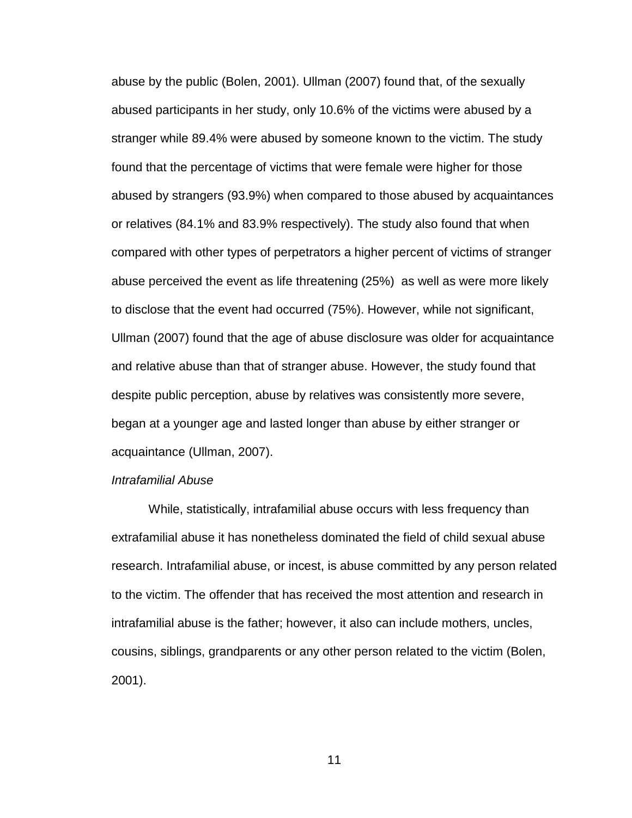abuse by the public (Bolen, 2001). Ullman (2007) found that, of the sexually abused participants in her study, only 10.6% of the victims were abused by a stranger while 89.4% were abused by someone known to the victim. The study found that the percentage of victims that were female were higher for those abused by strangers (93.9%) when compared to those abused by acquaintances or relatives (84.1% and 83.9% respectively). The study also found that when compared with other types of perpetrators a higher percent of victims of stranger abuse perceived the event as life threatening (25%) as well as were more likely to disclose that the event had occurred (75%). However, while not significant, Ullman (2007) found that the age of abuse disclosure was older for acquaintance and relative abuse than that of stranger abuse. However, the study found that despite public perception, abuse by relatives was consistently more severe, began at a younger age and lasted longer than abuse by either stranger or acquaintance (Ullman, 2007).

#### Intrafamilial Abuse

While, statistically, intrafamilial abuse occurs with less frequency than extrafamilial abuse it has nonetheless dominated the field of child sexual abuse research. Intrafamilial abuse, or incest, is abuse committed by any person related to the victim. The offender that has received the most attention and research in intrafamilial abuse is the father; however, it also can include mothers, uncles, cousins, siblings, grandparents or any other person related to the victim (Bolen, 2001).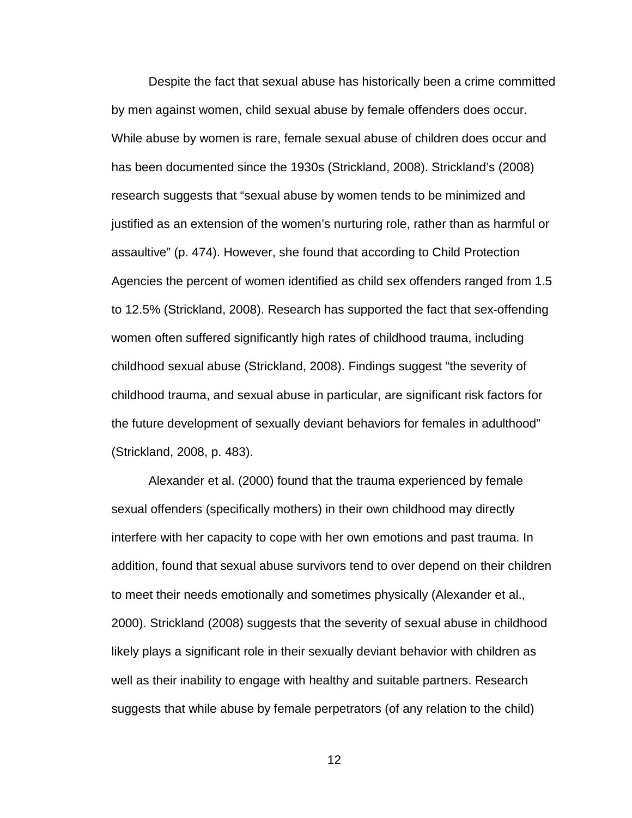Despite the fact that sexual abuse has historically been a crime committed by men against women, child sexual abuse by female offenders does occur. While abuse by women is rare, female sexual abuse of children does occur and has been documented since the 1930s (Strickland, 2008). Strickland's (2008) research suggests that "sexual abuse by women tends to be minimized and justified as an extension of the women's nurturing role, rather than as harmful or assaultive" (p. 474). However, she found that according to Child Protection Agencies the percent of women identified as child sex offenders ranged from 1.5 to 12.5% (Strickland, 2008). Research has supported the fact that sex-offending women often suffered significantly high rates of childhood trauma, including childhood sexual abuse (Strickland, 2008). Findings suggest "the severity of childhood trauma, and sexual abuse in particular, are significant risk factors for the future development of sexually deviant behaviors for females in adulthood" (Strickland, 2008, p. 483).

Alexander et al. (2000) found that the trauma experienced by female sexual offenders (specifically mothers) in their own childhood may directly interfere with her capacity to cope with her own emotions and past trauma. In addition, found that sexual abuse survivors tend to over depend on their children to meet their needs emotionally and sometimes physically (Alexander et al., 2000). Strickland (2008) suggests that the severity of sexual abuse in childhood likely plays a significant role in their sexually deviant behavior with children as well as their inability to engage with healthy and suitable partners. Research suggests that while abuse by female perpetrators (of any relation to the child)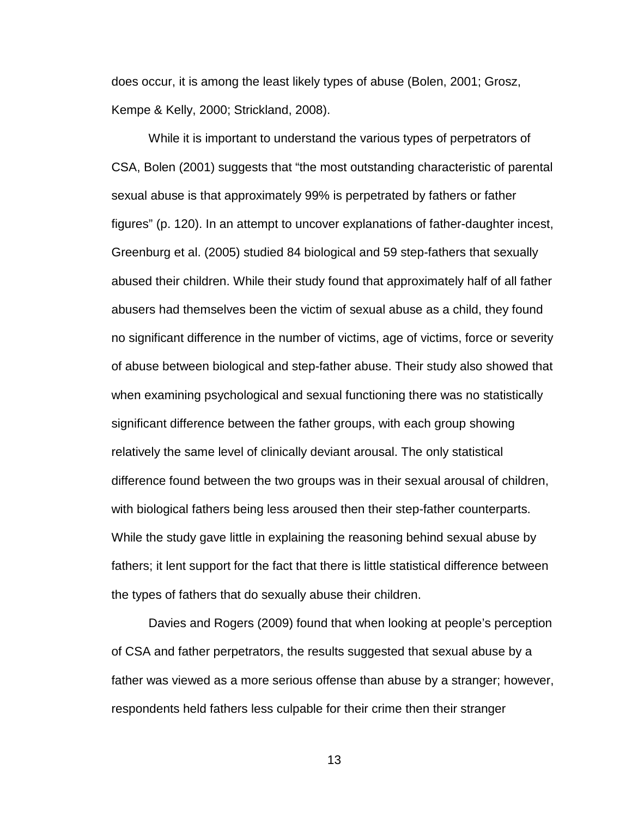does occur, it is among the least likely types of abuse (Bolen, 2001; Grosz, Kempe & Kelly, 2000; Strickland, 2008).

While it is important to understand the various types of perpetrators of CSA, Bolen (2001) suggests that "the most outstanding characteristic of parental sexual abuse is that approximately 99% is perpetrated by fathers or father figures" (p. 120). In an attempt to uncover explanations of father-daughter incest, Greenburg et al. (2005) studied 84 biological and 59 step-fathers that sexually abused their children. While their study found that approximately half of all father abusers had themselves been the victim of sexual abuse as a child, they found no significant difference in the number of victims, age of victims, force or severity of abuse between biological and step-father abuse. Their study also showed that when examining psychological and sexual functioning there was no statistically significant difference between the father groups, with each group showing relatively the same level of clinically deviant arousal. The only statistical difference found between the two groups was in their sexual arousal of children, with biological fathers being less aroused then their step-father counterparts. While the study gave little in explaining the reasoning behind sexual abuse by fathers; it lent support for the fact that there is little statistical difference between the types of fathers that do sexually abuse their children.

Davies and Rogers (2009) found that when looking at people's perception of CSA and father perpetrators, the results suggested that sexual abuse by a father was viewed as a more serious offense than abuse by a stranger; however, respondents held fathers less culpable for their crime then their stranger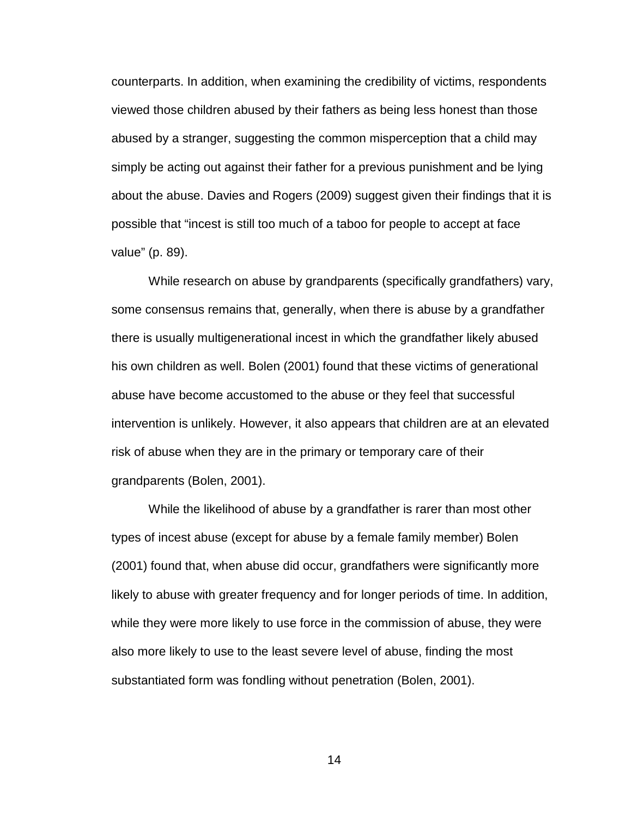counterparts. In addition, when examining the credibility of victims, respondents viewed those children abused by their fathers as being less honest than those abused by a stranger, suggesting the common misperception that a child may simply be acting out against their father for a previous punishment and be lying about the abuse. Davies and Rogers (2009) suggest given their findings that it is possible that "incest is still too much of a taboo for people to accept at face value" (p. 89).

While research on abuse by grandparents (specifically grandfathers) vary, some consensus remains that, generally, when there is abuse by a grandfather there is usually multigenerational incest in which the grandfather likely abused his own children as well. Bolen (2001) found that these victims of generational abuse have become accustomed to the abuse or they feel that successful intervention is unlikely. However, it also appears that children are at an elevated risk of abuse when they are in the primary or temporary care of their grandparents (Bolen, 2001).

While the likelihood of abuse by a grandfather is rarer than most other types of incest abuse (except for abuse by a female family member) Bolen (2001) found that, when abuse did occur, grandfathers were significantly more likely to abuse with greater frequency and for longer periods of time. In addition, while they were more likely to use force in the commission of abuse, they were also more likely to use to the least severe level of abuse, finding the most substantiated form was fondling without penetration (Bolen, 2001).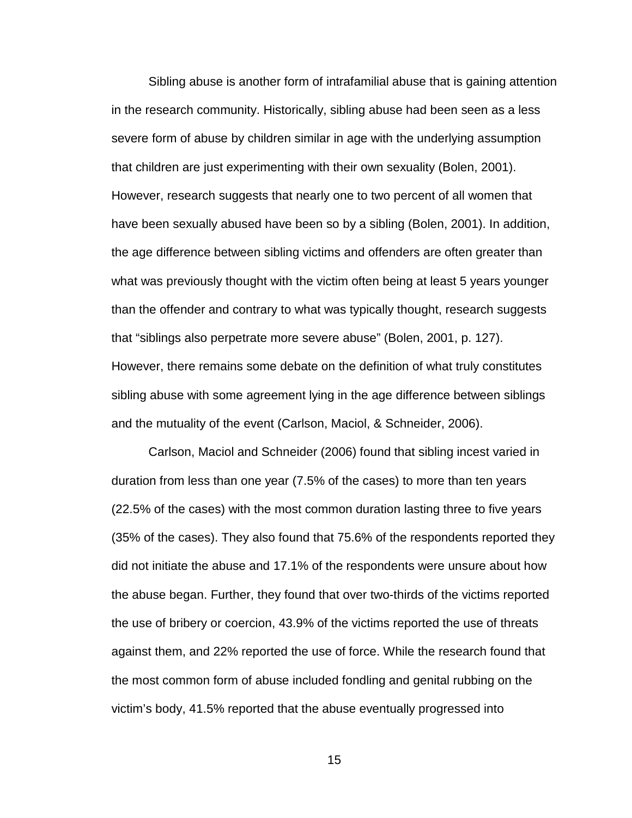Sibling abuse is another form of intrafamilial abuse that is gaining attention in the research community. Historically, sibling abuse had been seen as a less severe form of abuse by children similar in age with the underlying assumption that children are just experimenting with their own sexuality (Bolen, 2001). However, research suggests that nearly one to two percent of all women that have been sexually abused have been so by a sibling (Bolen, 2001). In addition, the age difference between sibling victims and offenders are often greater than what was previously thought with the victim often being at least 5 years younger than the offender and contrary to what was typically thought, research suggests that "siblings also perpetrate more severe abuse" (Bolen, 2001, p. 127). However, there remains some debate on the definition of what truly constitutes sibling abuse with some agreement lying in the age difference between siblings and the mutuality of the event (Carlson, Maciol, & Schneider, 2006).

Carlson, Maciol and Schneider (2006) found that sibling incest varied in duration from less than one year (7.5% of the cases) to more than ten years (22.5% of the cases) with the most common duration lasting three to five years (35% of the cases). They also found that 75.6% of the respondents reported they did not initiate the abuse and 17.1% of the respondents were unsure about how the abuse began. Further, they found that over two-thirds of the victims reported the use of bribery or coercion, 43.9% of the victims reported the use of threats against them, and 22% reported the use of force. While the research found that the most common form of abuse included fondling and genital rubbing on the victim's body, 41.5% reported that the abuse eventually progressed into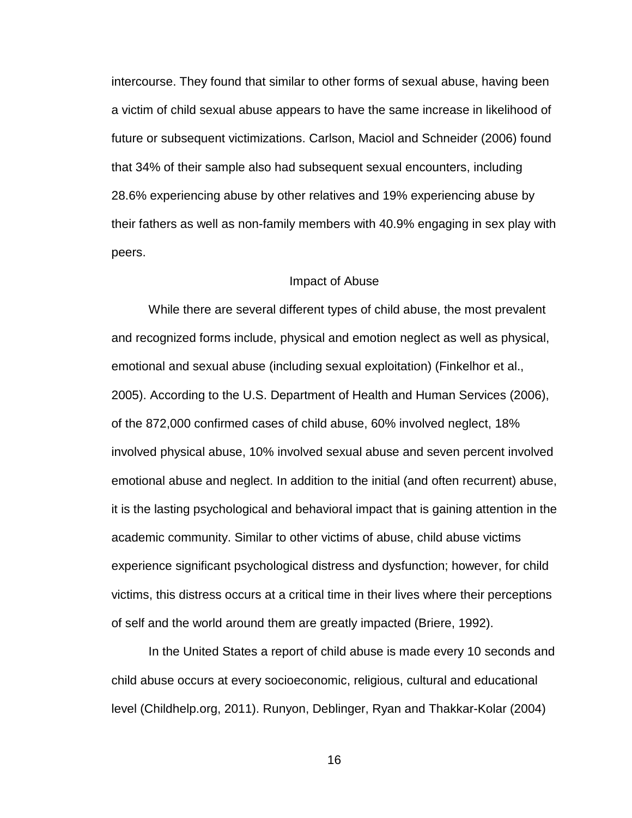intercourse. They found that similar to other forms of sexual abuse, having been a victim of child sexual abuse appears to have the same increase in likelihood of future or subsequent victimizations. Carlson, Maciol and Schneider (2006) found that 34% of their sample also had subsequent sexual encounters, including 28.6% experiencing abuse by other relatives and 19% experiencing abuse by their fathers as well as non-family members with 40.9% engaging in sex play with peers.

#### Impact of Abuse

While there are several different types of child abuse, the most prevalent and recognized forms include, physical and emotion neglect as well as physical, emotional and sexual abuse (including sexual exploitation) (Finkelhor et al., 2005). According to the U.S. Department of Health and Human Services (2006), of the 872,000 confirmed cases of child abuse, 60% involved neglect, 18% involved physical abuse, 10% involved sexual abuse and seven percent involved emotional abuse and neglect. In addition to the initial (and often recurrent) abuse, it is the lasting psychological and behavioral impact that is gaining attention in the academic community. Similar to other victims of abuse, child abuse victims experience significant psychological distress and dysfunction; however, for child victims, this distress occurs at a critical time in their lives where their perceptions of self and the world around them are greatly impacted (Briere, 1992).

In the United States a report of child abuse is made every 10 seconds and child abuse occurs at every socioeconomic, religious, cultural and educational level (Childhelp.org, 2011). Runyon, Deblinger, Ryan and Thakkar-Kolar (2004)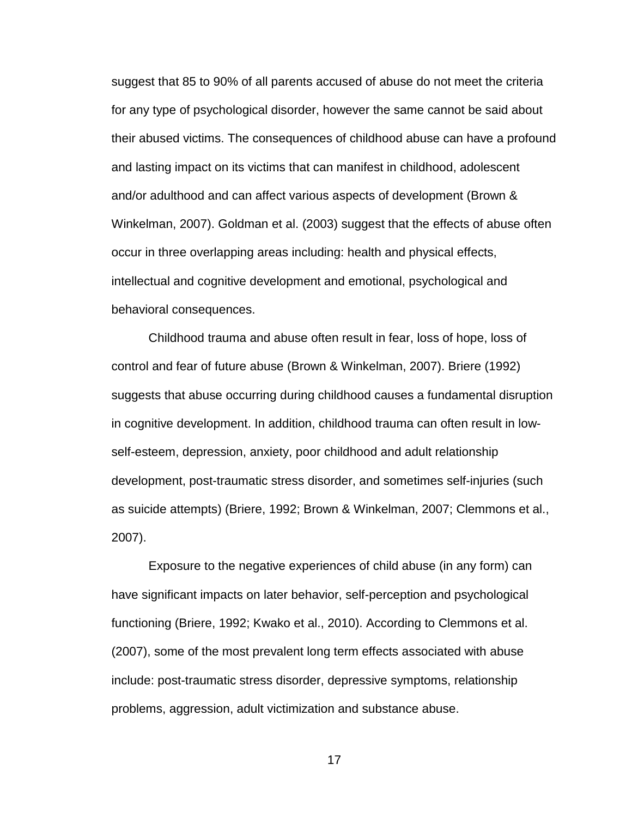suggest that 85 to 90% of all parents accused of abuse do not meet the criteria for any type of psychological disorder, however the same cannot be said about their abused victims. The consequences of childhood abuse can have a profound and lasting impact on its victims that can manifest in childhood, adolescent and/or adulthood and can affect various aspects of development (Brown & Winkelman, 2007). Goldman et al. (2003) suggest that the effects of abuse often occur in three overlapping areas including: health and physical effects, intellectual and cognitive development and emotional, psychological and behavioral consequences.

Childhood trauma and abuse often result in fear, loss of hope, loss of control and fear of future abuse (Brown & Winkelman, 2007). Briere (1992) suggests that abuse occurring during childhood causes a fundamental disruption in cognitive development. In addition, childhood trauma can often result in lowself-esteem, depression, anxiety, poor childhood and adult relationship development, post-traumatic stress disorder, and sometimes self-injuries (such as suicide attempts) (Briere, 1992; Brown & Winkelman, 2007; Clemmons et al., 2007).

Exposure to the negative experiences of child abuse (in any form) can have significant impacts on later behavior, self-perception and psychological functioning (Briere, 1992; Kwako et al., 2010). According to Clemmons et al. (2007), some of the most prevalent long term effects associated with abuse include: post-traumatic stress disorder, depressive symptoms, relationship problems, aggression, adult victimization and substance abuse.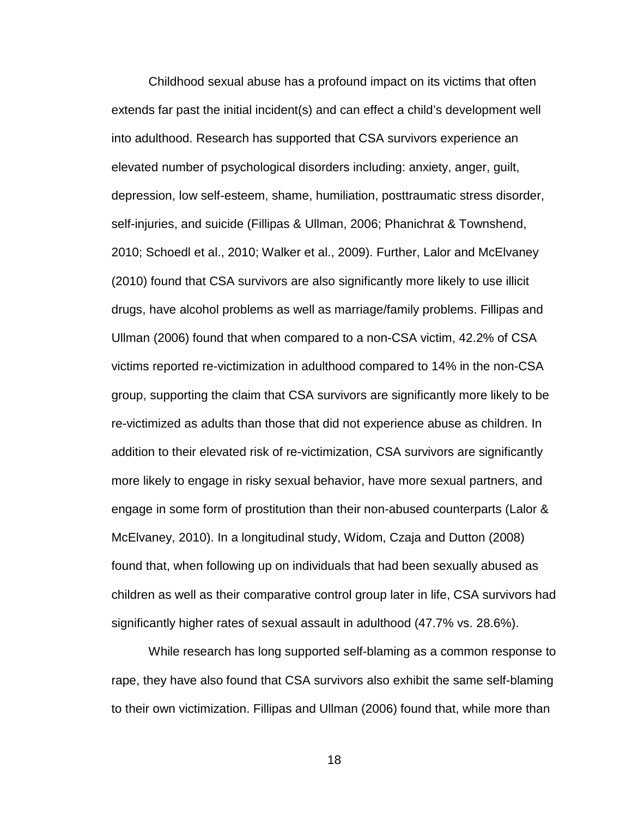Childhood sexual abuse has a profound impact on its victims that often extends far past the initial incident(s) and can effect a child's development well into adulthood. Research has supported that CSA survivors experience an elevated number of psychological disorders including: anxiety, anger, guilt, depression, low self-esteem, shame, humiliation, posttraumatic stress disorder, self-injuries, and suicide (Fillipas & Ullman, 2006; Phanichrat & Townshend, 2010; Schoedl et al., 2010; Walker et al., 2009). Further, Lalor and McElvaney (2010) found that CSA survivors are also significantly more likely to use illicit drugs, have alcohol problems as well as marriage/family problems. Fillipas and Ullman (2006) found that when compared to a non-CSA victim, 42.2% of CSA victims reported re-victimization in adulthood compared to 14% in the non-CSA group, supporting the claim that CSA survivors are significantly more likely to be re-victimized as adults than those that did not experience abuse as children. In addition to their elevated risk of re-victimization, CSA survivors are significantly more likely to engage in risky sexual behavior, have more sexual partners, and engage in some form of prostitution than their non-abused counterparts (Lalor & McElvaney, 2010). In a longitudinal study, Widom, Czaja and Dutton (2008) found that, when following up on individuals that had been sexually abused as children as well as their comparative control group later in life, CSA survivors had significantly higher rates of sexual assault in adulthood (47.7% vs. 28.6%).

While research has long supported self-blaming as a common response to rape, they have also found that CSA survivors also exhibit the same self-blaming to their own victimization. Fillipas and Ullman (2006) found that, while more than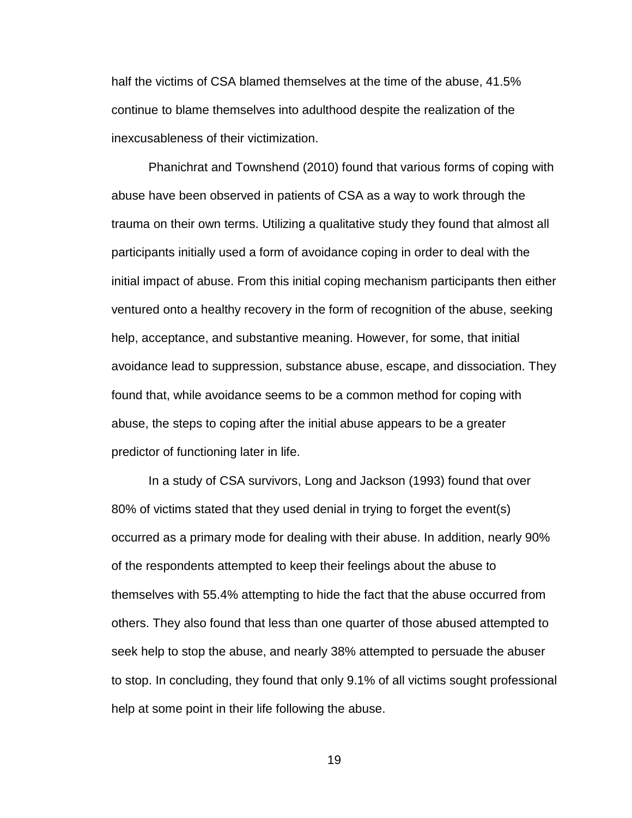half the victims of CSA blamed themselves at the time of the abuse, 41.5% continue to blame themselves into adulthood despite the realization of the inexcusableness of their victimization.

Phanichrat and Townshend (2010) found that various forms of coping with abuse have been observed in patients of CSA as a way to work through the trauma on their own terms. Utilizing a qualitative study they found that almost all participants initially used a form of avoidance coping in order to deal with the initial impact of abuse. From this initial coping mechanism participants then either ventured onto a healthy recovery in the form of recognition of the abuse, seeking help, acceptance, and substantive meaning. However, for some, that initial avoidance lead to suppression, substance abuse, escape, and dissociation. They found that, while avoidance seems to be a common method for coping with abuse, the steps to coping after the initial abuse appears to be a greater predictor of functioning later in life.

In a study of CSA survivors, Long and Jackson (1993) found that over 80% of victims stated that they used denial in trying to forget the event(s) occurred as a primary mode for dealing with their abuse. In addition, nearly 90% of the respondents attempted to keep their feelings about the abuse to themselves with 55.4% attempting to hide the fact that the abuse occurred from others. They also found that less than one quarter of those abused attempted to seek help to stop the abuse, and nearly 38% attempted to persuade the abuser to stop. In concluding, they found that only 9.1% of all victims sought professional help at some point in their life following the abuse.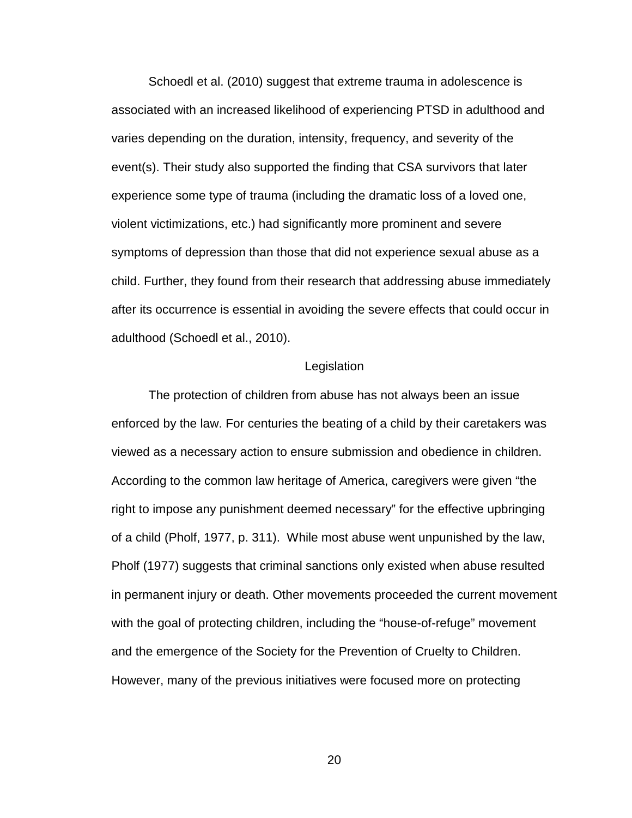Schoedl et al. (2010) suggest that extreme trauma in adolescence is associated with an increased likelihood of experiencing PTSD in adulthood and varies depending on the duration, intensity, frequency, and severity of the event(s). Their study also supported the finding that CSA survivors that later experience some type of trauma (including the dramatic loss of a loved one, violent victimizations, etc.) had significantly more prominent and severe symptoms of depression than those that did not experience sexual abuse as a child. Further, they found from their research that addressing abuse immediately after its occurrence is essential in avoiding the severe effects that could occur in adulthood (Schoedl et al., 2010).

#### Legislation

The protection of children from abuse has not always been an issue enforced by the law. For centuries the beating of a child by their caretakers was viewed as a necessary action to ensure submission and obedience in children. According to the common law heritage of America, caregivers were given "the right to impose any punishment deemed necessary" for the effective upbringing of a child (Pholf, 1977, p. 311). While most abuse went unpunished by the law, Pholf (1977) suggests that criminal sanctions only existed when abuse resulted in permanent injury or death. Other movements proceeded the current movement with the goal of protecting children, including the "house-of-refuge" movement and the emergence of the Society for the Prevention of Cruelty to Children. However, many of the previous initiatives were focused more on protecting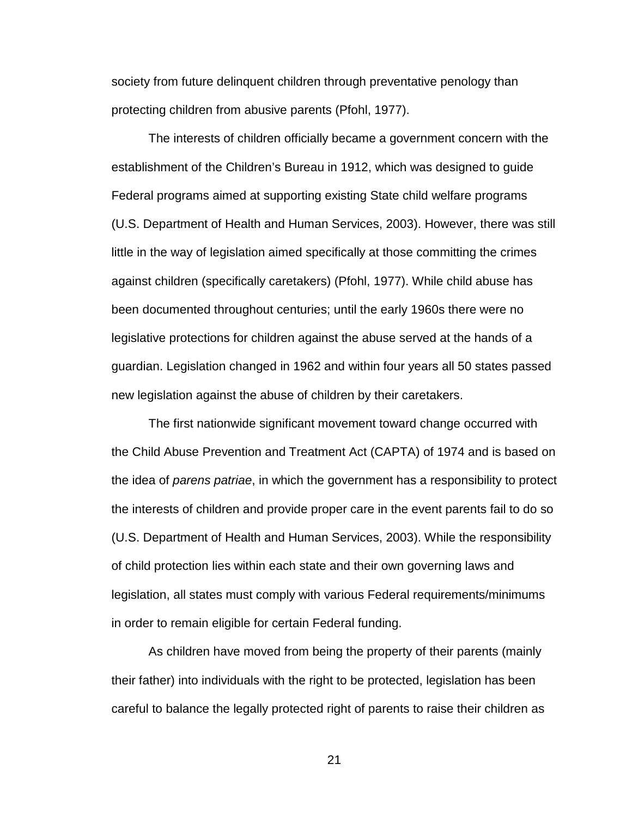society from future delinquent children through preventative penology than protecting children from abusive parents (Pfohl, 1977).

The interests of children officially became a government concern with the establishment of the Children's Bureau in 1912, which was designed to guide Federal programs aimed at supporting existing State child welfare programs (U.S. Department of Health and Human Services, 2003). However, there was still little in the way of legislation aimed specifically at those committing the crimes against children (specifically caretakers) (Pfohl, 1977). While child abuse has been documented throughout centuries; until the early 1960s there were no legislative protections for children against the abuse served at the hands of a guardian. Legislation changed in 1962 and within four years all 50 states passed new legislation against the abuse of children by their caretakers.

The first nationwide significant movement toward change occurred with the Child Abuse Prevention and Treatment Act (CAPTA) of 1974 and is based on the idea of parens patriae, in which the government has a responsibility to protect the interests of children and provide proper care in the event parents fail to do so (U.S. Department of Health and Human Services, 2003). While the responsibility of child protection lies within each state and their own governing laws and legislation, all states must comply with various Federal requirements/minimums in order to remain eligible for certain Federal funding.

As children have moved from being the property of their parents (mainly their father) into individuals with the right to be protected, legislation has been careful to balance the legally protected right of parents to raise their children as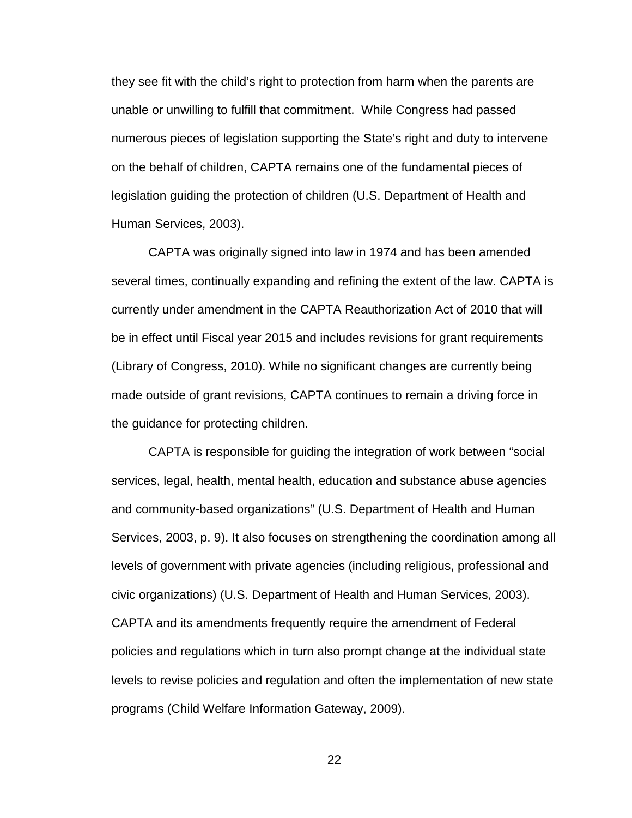they see fit with the child's right to protection from harm when the parents are unable or unwilling to fulfill that commitment. While Congress had passed numerous pieces of legislation supporting the State's right and duty to intervene on the behalf of children, CAPTA remains one of the fundamental pieces of legislation guiding the protection of children (U.S. Department of Health and Human Services, 2003).

CAPTA was originally signed into law in 1974 and has been amended several times, continually expanding and refining the extent of the law. CAPTA is currently under amendment in the CAPTA Reauthorization Act of 2010 that will be in effect until Fiscal year 2015 and includes revisions for grant requirements (Library of Congress, 2010). While no significant changes are currently being made outside of grant revisions, CAPTA continues to remain a driving force in the guidance for protecting children.

CAPTA is responsible for guiding the integration of work between "social services, legal, health, mental health, education and substance abuse agencies and community-based organizations" (U.S. Department of Health and Human Services, 2003, p. 9). It also focuses on strengthening the coordination among all levels of government with private agencies (including religious, professional and civic organizations) (U.S. Department of Health and Human Services, 2003). CAPTA and its amendments frequently require the amendment of Federal policies and regulations which in turn also prompt change at the individual state levels to revise policies and regulation and often the implementation of new state programs (Child Welfare Information Gateway, 2009).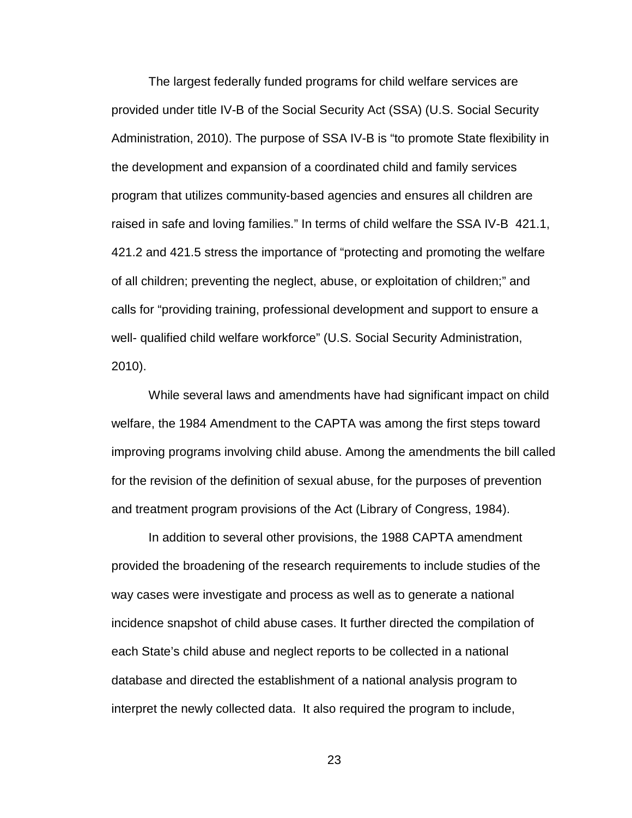The largest federally funded programs for child welfare services are provided under title IV-B of the Social Security Act (SSA) (U.S. Social Security Administration, 2010). The purpose of SSA IV-B is "to promote State flexibility in the development and expansion of a coordinated child and family services program that utilizes community-based agencies and ensures all children are raised in safe and loving families." In terms of child welfare the SSA IV-B 421.1, 421.2 and 421.5 stress the importance of "protecting and promoting the welfare of all children; preventing the neglect, abuse, or exploitation of children;" and calls for "providing training, professional development and support to ensure a well- qualified child welfare workforce" (U.S. Social Security Administration, 2010).

While several laws and amendments have had significant impact on child welfare, the 1984 Amendment to the CAPTA was among the first steps toward improving programs involving child abuse. Among the amendments the bill called for the revision of the definition of sexual abuse, for the purposes of prevention and treatment program provisions of the Act (Library of Congress, 1984).

In addition to several other provisions, the 1988 CAPTA amendment provided the broadening of the research requirements to include studies of the way cases were investigate and process as well as to generate a national incidence snapshot of child abuse cases. It further directed the compilation of each State's child abuse and neglect reports to be collected in a national database and directed the establishment of a national analysis program to interpret the newly collected data. It also required the program to include,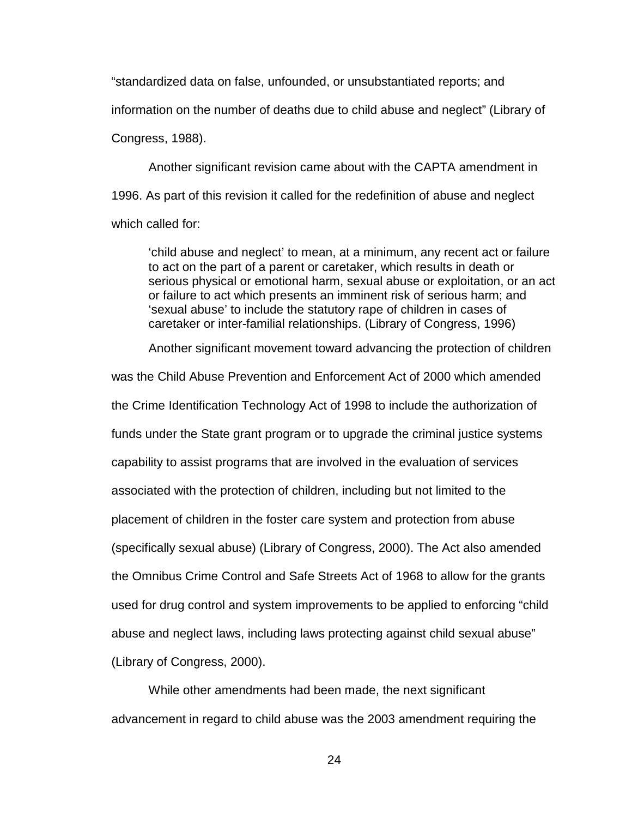"standardized data on false, unfounded, or unsubstantiated reports; and information on the number of deaths due to child abuse and neglect" (Library of Congress, 1988).

Another significant revision came about with the CAPTA amendment in 1996. As part of this revision it called for the redefinition of abuse and neglect which called for:

'child abuse and neglect' to mean, at a minimum, any recent act or failure to act on the part of a parent or caretaker, which results in death or serious physical or emotional harm, sexual abuse or exploitation, or an act or failure to act which presents an imminent risk of serious harm; and 'sexual abuse' to include the statutory rape of children in cases of caretaker or inter-familial relationships. (Library of Congress, 1996)

Another significant movement toward advancing the protection of children

was the Child Abuse Prevention and Enforcement Act of 2000 which amended the Crime Identification Technology Act of 1998 to include the authorization of funds under the State grant program or to upgrade the criminal justice systems capability to assist programs that are involved in the evaluation of services associated with the protection of children, including but not limited to the placement of children in the foster care system and protection from abuse (specifically sexual abuse) (Library of Congress, 2000). The Act also amended the Omnibus Crime Control and Safe Streets Act of 1968 to allow for the grants used for drug control and system improvements to be applied to enforcing "child abuse and neglect laws, including laws protecting against child sexual abuse" (Library of Congress, 2000).

While other amendments had been made, the next significant advancement in regard to child abuse was the 2003 amendment requiring the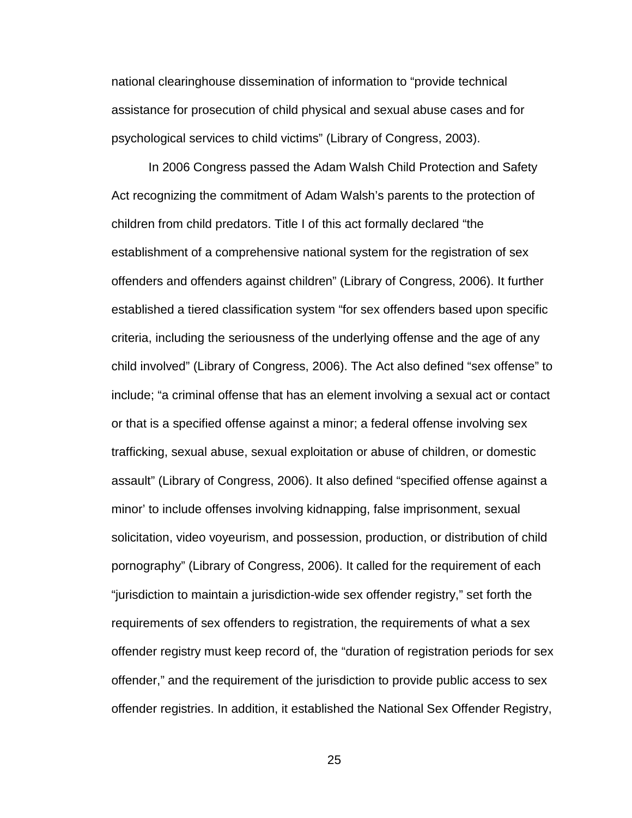national clearinghouse dissemination of information to "provide technical assistance for prosecution of child physical and sexual abuse cases and for psychological services to child victims" (Library of Congress, 2003).

In 2006 Congress passed the Adam Walsh Child Protection and Safety Act recognizing the commitment of Adam Walsh's parents to the protection of children from child predators. Title I of this act formally declared "the establishment of a comprehensive national system for the registration of sex offenders and offenders against children" (Library of Congress, 2006). It further established a tiered classification system "for sex offenders based upon specific criteria, including the seriousness of the underlying offense and the age of any child involved" (Library of Congress, 2006). The Act also defined "sex offense" to include; "a criminal offense that has an element involving a sexual act or contact or that is a specified offense against a minor; a federal offense involving sex trafficking, sexual abuse, sexual exploitation or abuse of children, or domestic assault" (Library of Congress, 2006). It also defined "specified offense against a minor' to include offenses involving kidnapping, false imprisonment, sexual solicitation, video voyeurism, and possession, production, or distribution of child pornography" (Library of Congress, 2006). It called for the requirement of each "jurisdiction to maintain a jurisdiction-wide sex offender registry," set forth the requirements of sex offenders to registration, the requirements of what a sex offender registry must keep record of, the "duration of registration periods for sex offender," and the requirement of the jurisdiction to provide public access to sex offender registries. In addition, it established the National Sex Offender Registry,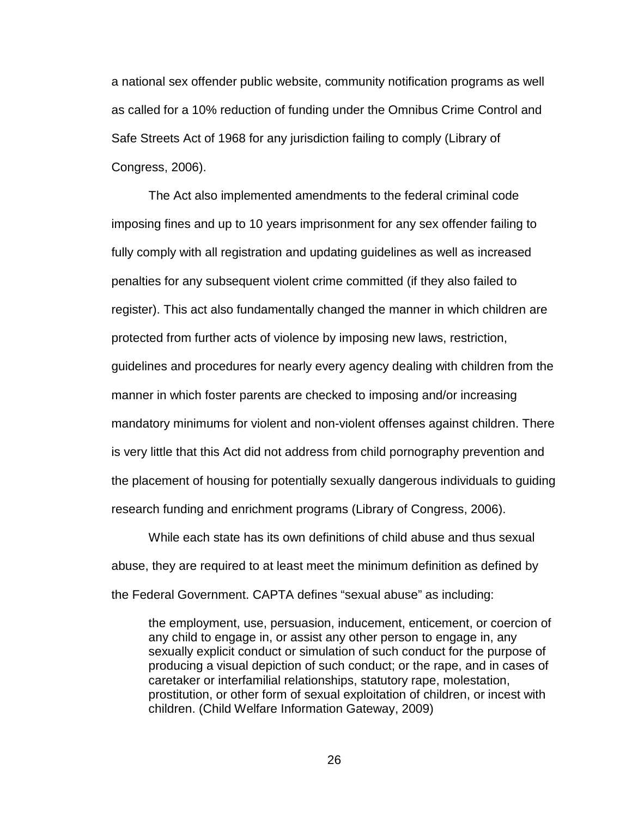a national sex offender public website, community notification programs as well as called for a 10% reduction of funding under the Omnibus Crime Control and Safe Streets Act of 1968 for any jurisdiction failing to comply (Library of Congress, 2006).

The Act also implemented amendments to the federal criminal code imposing fines and up to 10 years imprisonment for any sex offender failing to fully comply with all registration and updating guidelines as well as increased penalties for any subsequent violent crime committed (if they also failed to register). This act also fundamentally changed the manner in which children are protected from further acts of violence by imposing new laws, restriction, guidelines and procedures for nearly every agency dealing with children from the manner in which foster parents are checked to imposing and/or increasing mandatory minimums for violent and non-violent offenses against children. There is very little that this Act did not address from child pornography prevention and the placement of housing for potentially sexually dangerous individuals to guiding research funding and enrichment programs (Library of Congress, 2006).

While each state has its own definitions of child abuse and thus sexual abuse, they are required to at least meet the minimum definition as defined by the Federal Government. CAPTA defines "sexual abuse" as including:

the employment, use, persuasion, inducement, enticement, or coercion of any child to engage in, or assist any other person to engage in, any sexually explicit conduct or simulation of such conduct for the purpose of producing a visual depiction of such conduct; or the rape, and in cases of caretaker or interfamilial relationships, statutory rape, molestation, prostitution, or other form of sexual exploitation of children, or incest with children. (Child Welfare Information Gateway, 2009)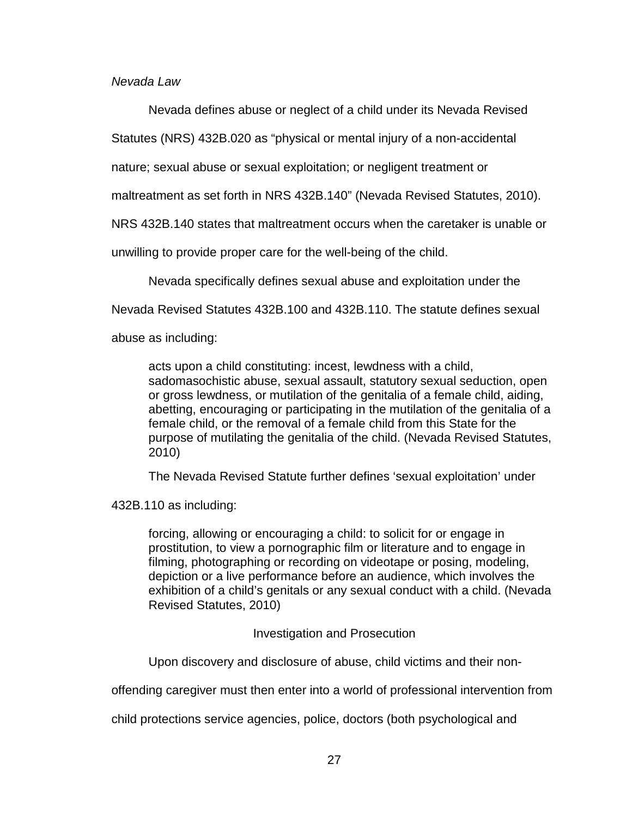Nevada Law

Nevada defines abuse or neglect of a child under its Nevada Revised

Statutes (NRS) 432B.020 as "physical or mental injury of a non-accidental

nature; sexual abuse or sexual exploitation; or negligent treatment or

maltreatment as set forth in NRS 432B.140" (Nevada Revised Statutes, 2010).

NRS 432B.140 states that maltreatment occurs when the caretaker is unable or

unwilling to provide proper care for the well-being of the child.

Nevada specifically defines sexual abuse and exploitation under the

Nevada Revised Statutes 432B.100 and 432B.110. The statute defines sexual

abuse as including:

acts upon a child constituting: incest, lewdness with a child, sadomasochistic abuse, sexual assault, statutory sexual seduction, open or gross lewdness, or mutilation of the genitalia of a female child, aiding, abetting, encouraging or participating in the mutilation of the genitalia of a female child, or the removal of a female child from this State for the purpose of mutilating the genitalia of the child. (Nevada Revised Statutes, 2010)

The Nevada Revised Statute further defines 'sexual exploitation' under

432B.110 as including:

forcing, allowing or encouraging a child: to solicit for or engage in prostitution, to view a pornographic film or literature and to engage in filming, photographing or recording on videotape or posing, modeling, depiction or a live performance before an audience, which involves the exhibition of a child's genitals or any sexual conduct with a child. (Nevada Revised Statutes, 2010)

Investigation and Prosecution

Upon discovery and disclosure of abuse, child victims and their non-

offending caregiver must then enter into a world of professional intervention from

child protections service agencies, police, doctors (both psychological and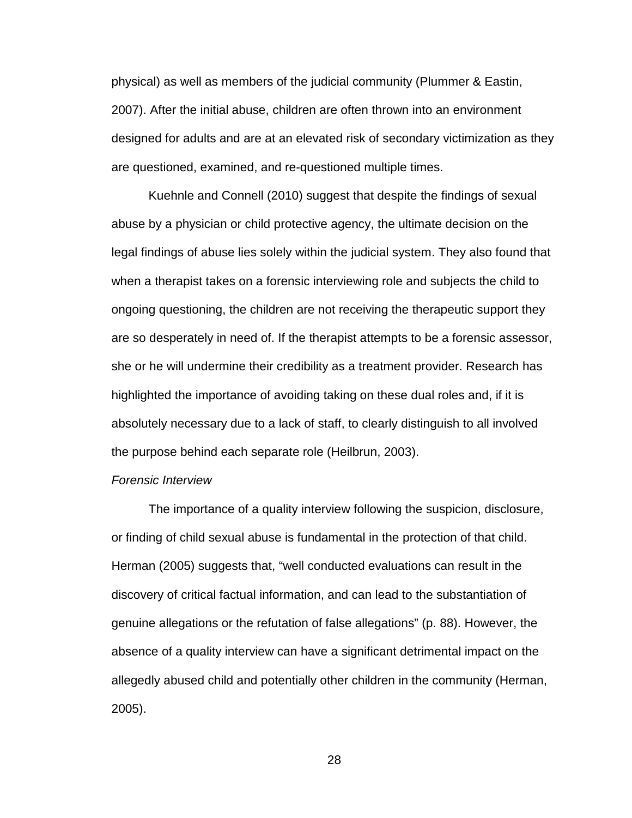physical) as well as members of the judicial community (Plummer & Eastin, 2007). After the initial abuse, children are often thrown into an environment designed for adults and are at an elevated risk of secondary victimization as they are questioned, examined, and re-questioned multiple times.

 Kuehnle and Connell (2010) suggest that despite the findings of sexual abuse by a physician or child protective agency, the ultimate decision on the legal findings of abuse lies solely within the judicial system. They also found that when a therapist takes on a forensic interviewing role and subjects the child to ongoing questioning, the children are not receiving the therapeutic support they are so desperately in need of. If the therapist attempts to be a forensic assessor, she or he will undermine their credibility as a treatment provider. Research has highlighted the importance of avoiding taking on these dual roles and, if it is absolutely necessary due to a lack of staff, to clearly distinguish to all involved the purpose behind each separate role (Heilbrun, 2003).

#### Forensic Interview

 The importance of a quality interview following the suspicion, disclosure, or finding of child sexual abuse is fundamental in the protection of that child. Herman (2005) suggests that, "well conducted evaluations can result in the discovery of critical factual information, and can lead to the substantiation of genuine allegations or the refutation of false allegations" (p. 88). However, the absence of a quality interview can have a significant detrimental impact on the allegedly abused child and potentially other children in the community (Herman, 2005).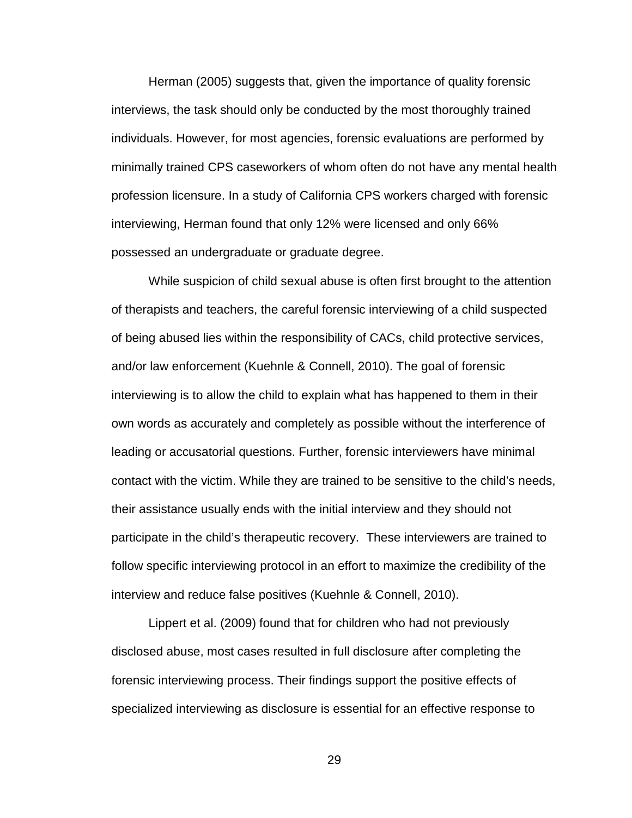Herman (2005) suggests that, given the importance of quality forensic interviews, the task should only be conducted by the most thoroughly trained individuals. However, for most agencies, forensic evaluations are performed by minimally trained CPS caseworkers of whom often do not have any mental health profession licensure. In a study of California CPS workers charged with forensic interviewing, Herman found that only 12% were licensed and only 66% possessed an undergraduate or graduate degree.

While suspicion of child sexual abuse is often first brought to the attention of therapists and teachers, the careful forensic interviewing of a child suspected of being abused lies within the responsibility of CACs, child protective services, and/or law enforcement (Kuehnle & Connell, 2010). The goal of forensic interviewing is to allow the child to explain what has happened to them in their own words as accurately and completely as possible without the interference of leading or accusatorial questions. Further, forensic interviewers have minimal contact with the victim. While they are trained to be sensitive to the child's needs, their assistance usually ends with the initial interview and they should not participate in the child's therapeutic recovery. These interviewers are trained to follow specific interviewing protocol in an effort to maximize the credibility of the interview and reduce false positives (Kuehnle & Connell, 2010).

Lippert et al. (2009) found that for children who had not previously disclosed abuse, most cases resulted in full disclosure after completing the forensic interviewing process. Their findings support the positive effects of specialized interviewing as disclosure is essential for an effective response to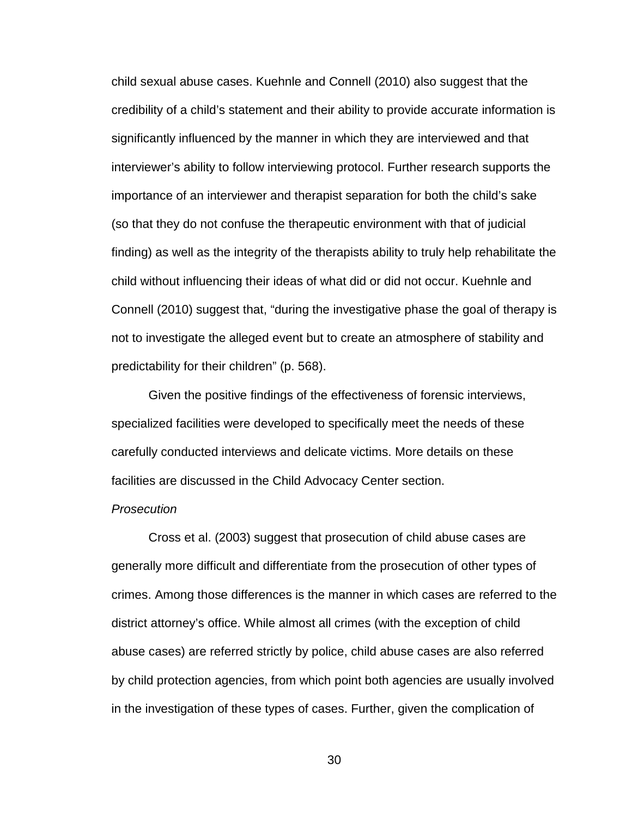child sexual abuse cases. Kuehnle and Connell (2010) also suggest that the credibility of a child's statement and their ability to provide accurate information is significantly influenced by the manner in which they are interviewed and that interviewer's ability to follow interviewing protocol. Further research supports the importance of an interviewer and therapist separation for both the child's sake (so that they do not confuse the therapeutic environment with that of judicial finding) as well as the integrity of the therapists ability to truly help rehabilitate the child without influencing their ideas of what did or did not occur. Kuehnle and Connell (2010) suggest that, "during the investigative phase the goal of therapy is not to investigate the alleged event but to create an atmosphere of stability and predictability for their children" (p. 568).

Given the positive findings of the effectiveness of forensic interviews, specialized facilities were developed to specifically meet the needs of these carefully conducted interviews and delicate victims. More details on these facilities are discussed in the Child Advocacy Center section.

#### Prosecution

 Cross et al. (2003) suggest that prosecution of child abuse cases are generally more difficult and differentiate from the prosecution of other types of crimes. Among those differences is the manner in which cases are referred to the district attorney's office. While almost all crimes (with the exception of child abuse cases) are referred strictly by police, child abuse cases are also referred by child protection agencies, from which point both agencies are usually involved in the investigation of these types of cases. Further, given the complication of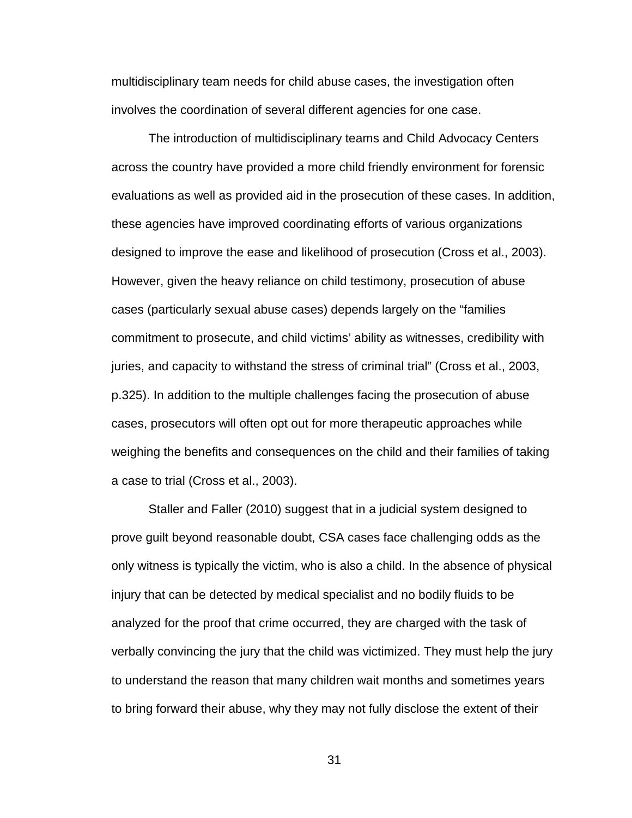multidisciplinary team needs for child abuse cases, the investigation often involves the coordination of several different agencies for one case.

 The introduction of multidisciplinary teams and Child Advocacy Centers across the country have provided a more child friendly environment for forensic evaluations as well as provided aid in the prosecution of these cases. In addition, these agencies have improved coordinating efforts of various organizations designed to improve the ease and likelihood of prosecution (Cross et al., 2003). However, given the heavy reliance on child testimony, prosecution of abuse cases (particularly sexual abuse cases) depends largely on the "families commitment to prosecute, and child victims' ability as witnesses, credibility with juries, and capacity to withstand the stress of criminal trial" (Cross et al., 2003, p.325). In addition to the multiple challenges facing the prosecution of abuse cases, prosecutors will often opt out for more therapeutic approaches while weighing the benefits and consequences on the child and their families of taking a case to trial (Cross et al., 2003).

Staller and Faller (2010) suggest that in a judicial system designed to prove guilt beyond reasonable doubt, CSA cases face challenging odds as the only witness is typically the victim, who is also a child. In the absence of physical injury that can be detected by medical specialist and no bodily fluids to be analyzed for the proof that crime occurred, they are charged with the task of verbally convincing the jury that the child was victimized. They must help the jury to understand the reason that many children wait months and sometimes years to bring forward their abuse, why they may not fully disclose the extent of their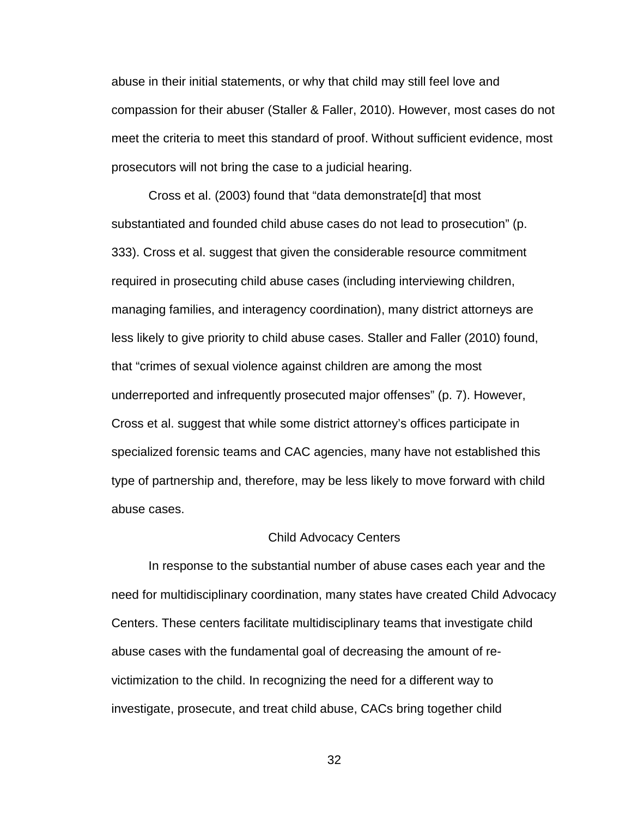abuse in their initial statements, or why that child may still feel love and compassion for their abuser (Staller & Faller, 2010). However, most cases do not meet the criteria to meet this standard of proof. Without sufficient evidence, most prosecutors will not bring the case to a judicial hearing.

 Cross et al. (2003) found that "data demonstrate[d] that most substantiated and founded child abuse cases do not lead to prosecution" (p. 333). Cross et al. suggest that given the considerable resource commitment required in prosecuting child abuse cases (including interviewing children, managing families, and interagency coordination), many district attorneys are less likely to give priority to child abuse cases. Staller and Faller (2010) found, that "crimes of sexual violence against children are among the most underreported and infrequently prosecuted major offenses" (p. 7). However, Cross et al. suggest that while some district attorney's offices participate in specialized forensic teams and CAC agencies, many have not established this type of partnership and, therefore, may be less likely to move forward with child abuse cases.

#### Child Advocacy Centers

In response to the substantial number of abuse cases each year and the need for multidisciplinary coordination, many states have created Child Advocacy Centers. These centers facilitate multidisciplinary teams that investigate child abuse cases with the fundamental goal of decreasing the amount of revictimization to the child. In recognizing the need for a different way to investigate, prosecute, and treat child abuse, CACs bring together child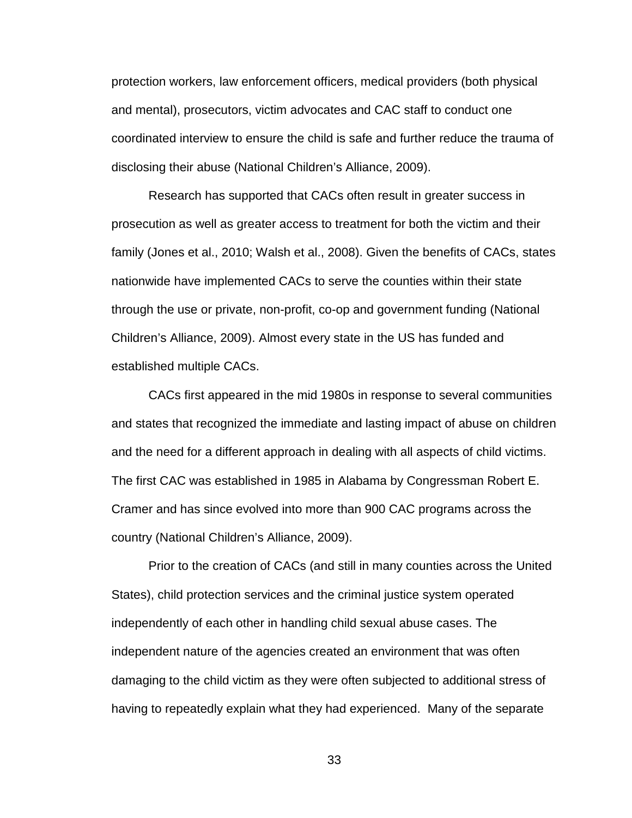protection workers, law enforcement officers, medical providers (both physical and mental), prosecutors, victim advocates and CAC staff to conduct one coordinated interview to ensure the child is safe and further reduce the trauma of disclosing their abuse (National Children's Alliance, 2009).

Research has supported that CACs often result in greater success in prosecution as well as greater access to treatment for both the victim and their family (Jones et al., 2010; Walsh et al., 2008). Given the benefits of CACs, states nationwide have implemented CACs to serve the counties within their state through the use or private, non-profit, co-op and government funding (National Children's Alliance, 2009). Almost every state in the US has funded and established multiple CACs.

CACs first appeared in the mid 1980s in response to several communities and states that recognized the immediate and lasting impact of abuse on children and the need for a different approach in dealing with all aspects of child victims. The first CAC was established in 1985 in Alabama by Congressman Robert E. Cramer and has since evolved into more than 900 CAC programs across the country (National Children's Alliance, 2009).

Prior to the creation of CACs (and still in many counties across the United States), child protection services and the criminal justice system operated independently of each other in handling child sexual abuse cases. The independent nature of the agencies created an environment that was often damaging to the child victim as they were often subjected to additional stress of having to repeatedly explain what they had experienced. Many of the separate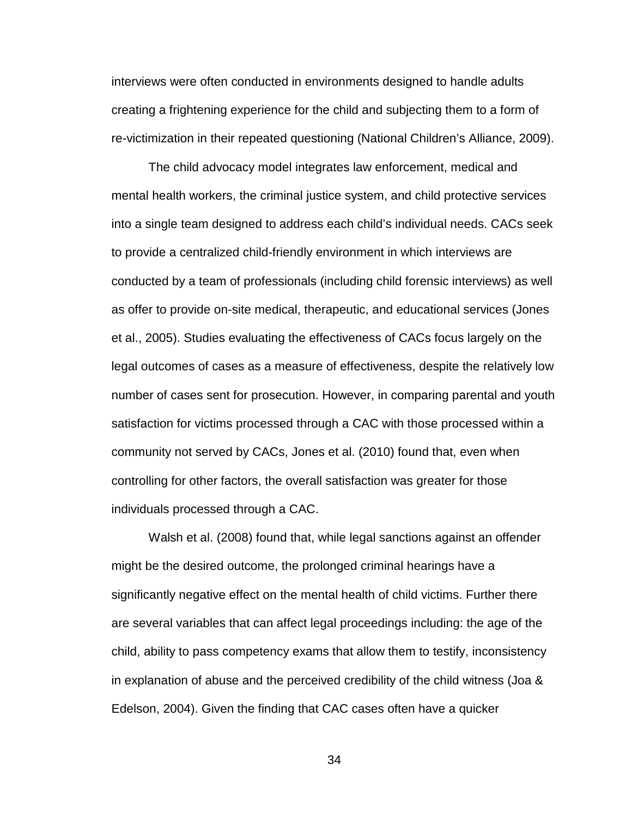interviews were often conducted in environments designed to handle adults creating a frightening experience for the child and subjecting them to a form of re-victimization in their repeated questioning (National Children's Alliance, 2009).

The child advocacy model integrates law enforcement, medical and mental health workers, the criminal justice system, and child protective services into a single team designed to address each child's individual needs. CACs seek to provide a centralized child-friendly environment in which interviews are conducted by a team of professionals (including child forensic interviews) as well as offer to provide on-site medical, therapeutic, and educational services (Jones et al., 2005). Studies evaluating the effectiveness of CACs focus largely on the legal outcomes of cases as a measure of effectiveness, despite the relatively low number of cases sent for prosecution. However, in comparing parental and youth satisfaction for victims processed through a CAC with those processed within a community not served by CACs, Jones et al. (2010) found that, even when controlling for other factors, the overall satisfaction was greater for those individuals processed through a CAC.

Walsh et al. (2008) found that, while legal sanctions against an offender might be the desired outcome, the prolonged criminal hearings have a significantly negative effect on the mental health of child victims. Further there are several variables that can affect legal proceedings including: the age of the child, ability to pass competency exams that allow them to testify, inconsistency in explanation of abuse and the perceived credibility of the child witness (Joa & Edelson, 2004). Given the finding that CAC cases often have a quicker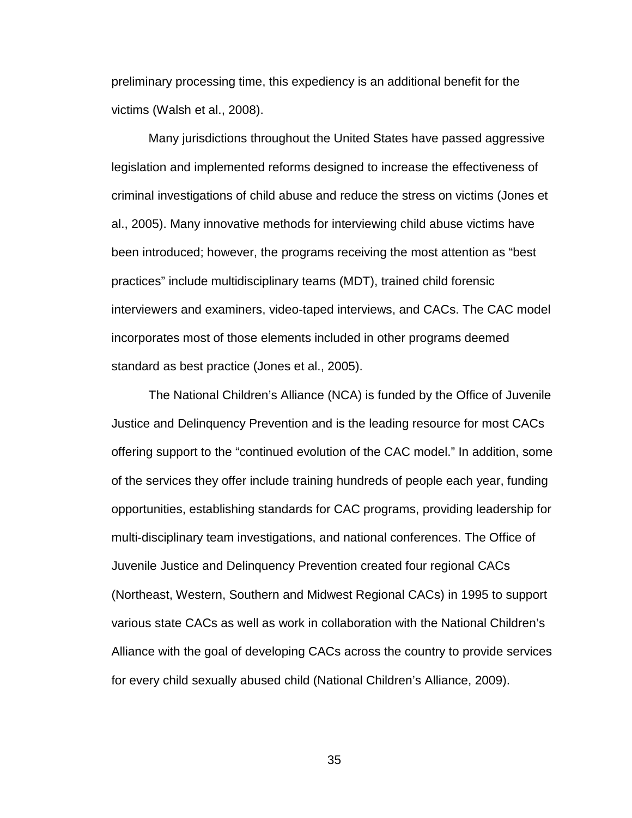preliminary processing time, this expediency is an additional benefit for the victims (Walsh et al., 2008).

Many jurisdictions throughout the United States have passed aggressive legislation and implemented reforms designed to increase the effectiveness of criminal investigations of child abuse and reduce the stress on victims (Jones et al., 2005). Many innovative methods for interviewing child abuse victims have been introduced; however, the programs receiving the most attention as "best practices" include multidisciplinary teams (MDT), trained child forensic interviewers and examiners, video-taped interviews, and CACs. The CAC model incorporates most of those elements included in other programs deemed standard as best practice (Jones et al., 2005).

The National Children's Alliance (NCA) is funded by the Office of Juvenile Justice and Delinquency Prevention and is the leading resource for most CACs offering support to the "continued evolution of the CAC model." In addition, some of the services they offer include training hundreds of people each year, funding opportunities, establishing standards for CAC programs, providing leadership for multi-disciplinary team investigations, and national conferences. The Office of Juvenile Justice and Delinquency Prevention created four regional CACs (Northeast, Western, Southern and Midwest Regional CACs) in 1995 to support various state CACs as well as work in collaboration with the National Children's Alliance with the goal of developing CACs across the country to provide services for every child sexually abused child (National Children's Alliance, 2009).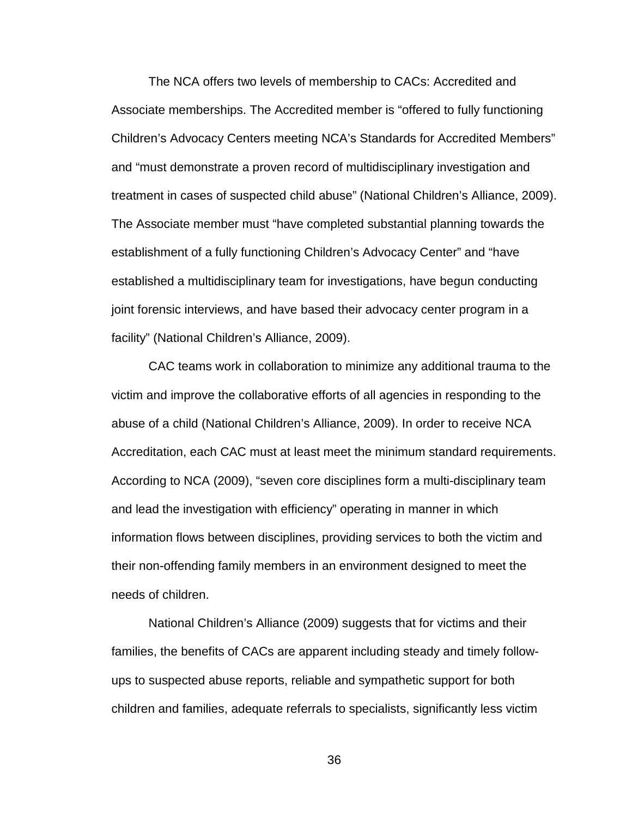The NCA offers two levels of membership to CACs: Accredited and Associate memberships. The Accredited member is "offered to fully functioning Children's Advocacy Centers meeting NCA's Standards for Accredited Members" and "must demonstrate a proven record of multidisciplinary investigation and treatment in cases of suspected child abuse" (National Children's Alliance, 2009). The Associate member must "have completed substantial planning towards the establishment of a fully functioning Children's Advocacy Center" and "have established a multidisciplinary team for investigations, have begun conducting joint forensic interviews, and have based their advocacy center program in a facility" (National Children's Alliance, 2009).

CAC teams work in collaboration to minimize any additional trauma to the victim and improve the collaborative efforts of all agencies in responding to the abuse of a child (National Children's Alliance, 2009). In order to receive NCA Accreditation, each CAC must at least meet the minimum standard requirements. According to NCA (2009), "seven core disciplines form a multi-disciplinary team and lead the investigation with efficiency" operating in manner in which information flows between disciplines, providing services to both the victim and their non-offending family members in an environment designed to meet the needs of children.

National Children's Alliance (2009) suggests that for victims and their families, the benefits of CACs are apparent including steady and timely followups to suspected abuse reports, reliable and sympathetic support for both children and families, adequate referrals to specialists, significantly less victim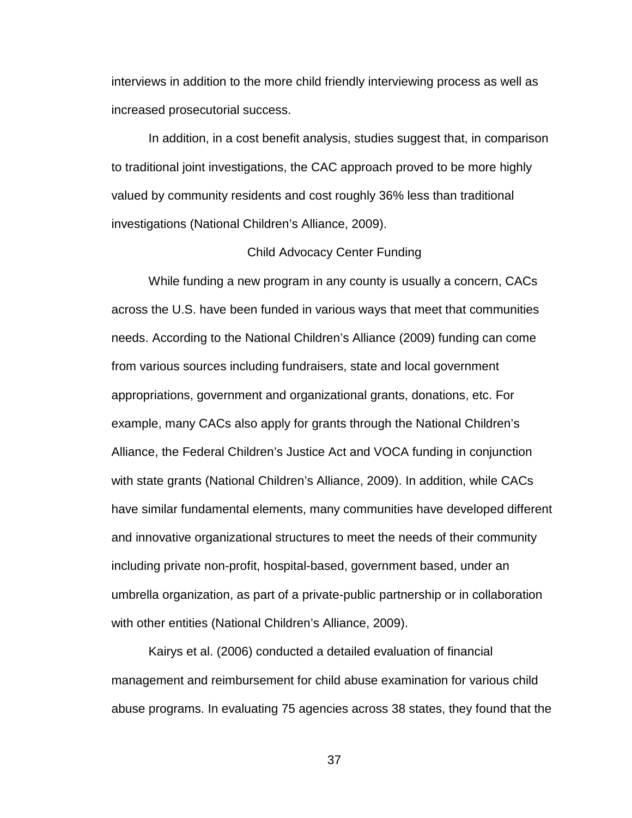interviews in addition to the more child friendly interviewing process as well as increased prosecutorial success.

In addition, in a cost benefit analysis, studies suggest that, in comparison to traditional joint investigations, the CAC approach proved to be more highly valued by community residents and cost roughly 36% less than traditional investigations (National Children's Alliance, 2009).

#### Child Advocacy Center Funding

While funding a new program in any county is usually a concern, CACs across the U.S. have been funded in various ways that meet that communities needs. According to the National Children's Alliance (2009) funding can come from various sources including fundraisers, state and local government appropriations, government and organizational grants, donations, etc. For example, many CACs also apply for grants through the National Children's Alliance, the Federal Children's Justice Act and VOCA funding in conjunction with state grants (National Children's Alliance, 2009). In addition, while CACs have similar fundamental elements, many communities have developed different and innovative organizational structures to meet the needs of their community including private non-profit, hospital-based, government based, under an umbrella organization, as part of a private-public partnership or in collaboration with other entities (National Children's Alliance, 2009).

 Kairys et al. (2006) conducted a detailed evaluation of financial management and reimbursement for child abuse examination for various child abuse programs. In evaluating 75 agencies across 38 states, they found that the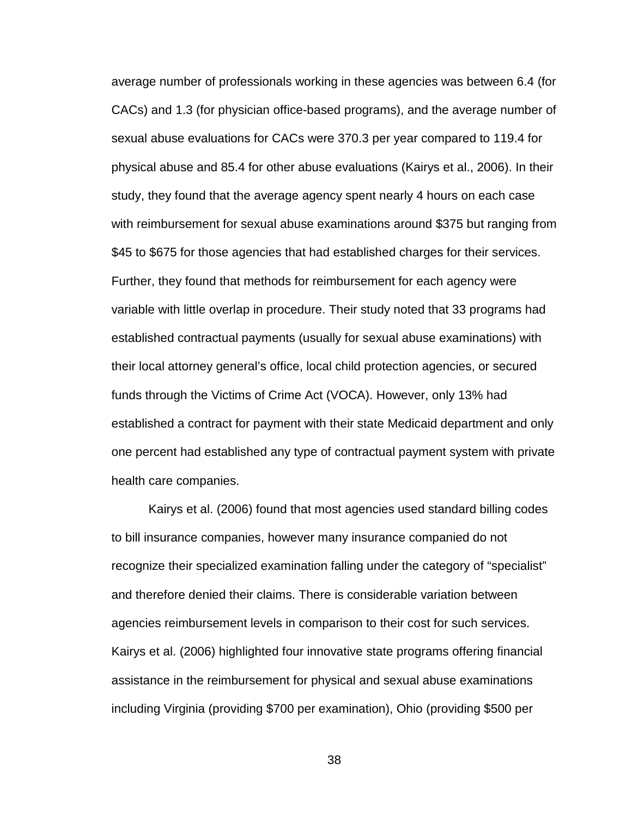average number of professionals working in these agencies was between 6.4 (for CACs) and 1.3 (for physician office-based programs), and the average number of sexual abuse evaluations for CACs were 370.3 per year compared to 119.4 for physical abuse and 85.4 for other abuse evaluations (Kairys et al., 2006). In their study, they found that the average agency spent nearly 4 hours on each case with reimbursement for sexual abuse examinations around \$375 but ranging from \$45 to \$675 for those agencies that had established charges for their services. Further, they found that methods for reimbursement for each agency were variable with little overlap in procedure. Their study noted that 33 programs had established contractual payments (usually for sexual abuse examinations) with their local attorney general's office, local child protection agencies, or secured funds through the Victims of Crime Act (VOCA). However, only 13% had established a contract for payment with their state Medicaid department and only one percent had established any type of contractual payment system with private health care companies.

 Kairys et al. (2006) found that most agencies used standard billing codes to bill insurance companies, however many insurance companied do not recognize their specialized examination falling under the category of "specialist" and therefore denied their claims. There is considerable variation between agencies reimbursement levels in comparison to their cost for such services. Kairys et al. (2006) highlighted four innovative state programs offering financial assistance in the reimbursement for physical and sexual abuse examinations including Virginia (providing \$700 per examination), Ohio (providing \$500 per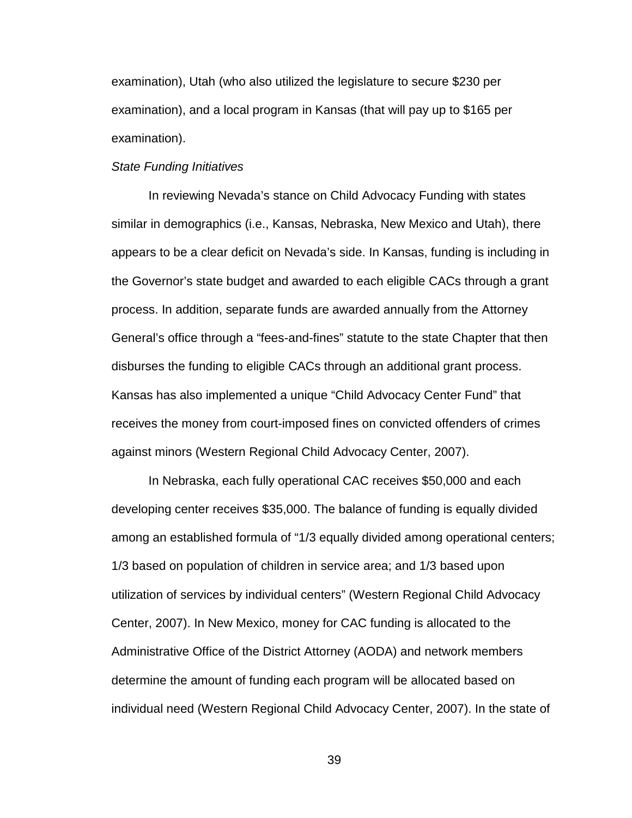examination), Utah (who also utilized the legislature to secure \$230 per examination), and a local program in Kansas (that will pay up to \$165 per examination).

#### State Funding Initiatives

In reviewing Nevada's stance on Child Advocacy Funding with states similar in demographics (i.e., Kansas, Nebraska, New Mexico and Utah), there appears to be a clear deficit on Nevada's side. In Kansas, funding is including in the Governor's state budget and awarded to each eligible CACs through a grant process. In addition, separate funds are awarded annually from the Attorney General's office through a "fees-and-fines" statute to the state Chapter that then disburses the funding to eligible CACs through an additional grant process. Kansas has also implemented a unique "Child Advocacy Center Fund" that receives the money from court-imposed fines on convicted offenders of crimes against minors (Western Regional Child Advocacy Center, 2007).

 In Nebraska, each fully operational CAC receives \$50,000 and each developing center receives \$35,000. The balance of funding is equally divided among an established formula of "1/3 equally divided among operational centers; 1/3 based on population of children in service area; and 1/3 based upon utilization of services by individual centers" (Western Regional Child Advocacy Center, 2007). In New Mexico, money for CAC funding is allocated to the Administrative Office of the District Attorney (AODA) and network members determine the amount of funding each program will be allocated based on individual need (Western Regional Child Advocacy Center, 2007). In the state of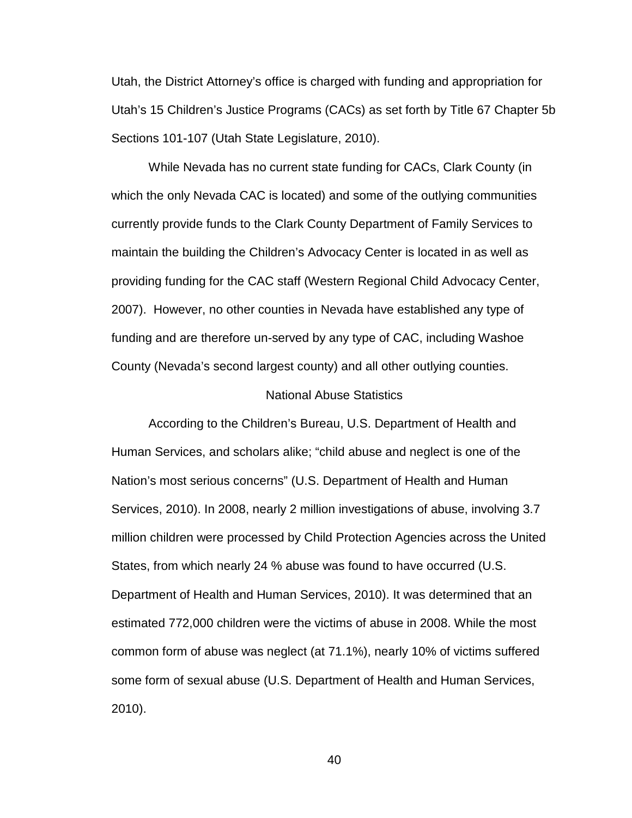Utah, the District Attorney's office is charged with funding and appropriation for Utah's 15 Children's Justice Programs (CACs) as set forth by Title 67 Chapter 5b Sections 101-107 (Utah State Legislature, 2010).

 While Nevada has no current state funding for CACs, Clark County (in which the only Nevada CAC is located) and some of the outlying communities currently provide funds to the Clark County Department of Family Services to maintain the building the Children's Advocacy Center is located in as well as providing funding for the CAC staff (Western Regional Child Advocacy Center, 2007). However, no other counties in Nevada have established any type of funding and are therefore un-served by any type of CAC, including Washoe County (Nevada's second largest county) and all other outlying counties.

#### National Abuse Statistics

 According to the Children's Bureau, U.S. Department of Health and Human Services, and scholars alike; "child abuse and neglect is one of the Nation's most serious concerns" (U.S. Department of Health and Human Services, 2010). In 2008, nearly 2 million investigations of abuse, involving 3.7 million children were processed by Child Protection Agencies across the United States, from which nearly 24 % abuse was found to have occurred (U.S. Department of Health and Human Services, 2010). It was determined that an estimated 772,000 children were the victims of abuse in 2008. While the most common form of abuse was neglect (at 71.1%), nearly 10% of victims suffered some form of sexual abuse (U.S. Department of Health and Human Services, 2010).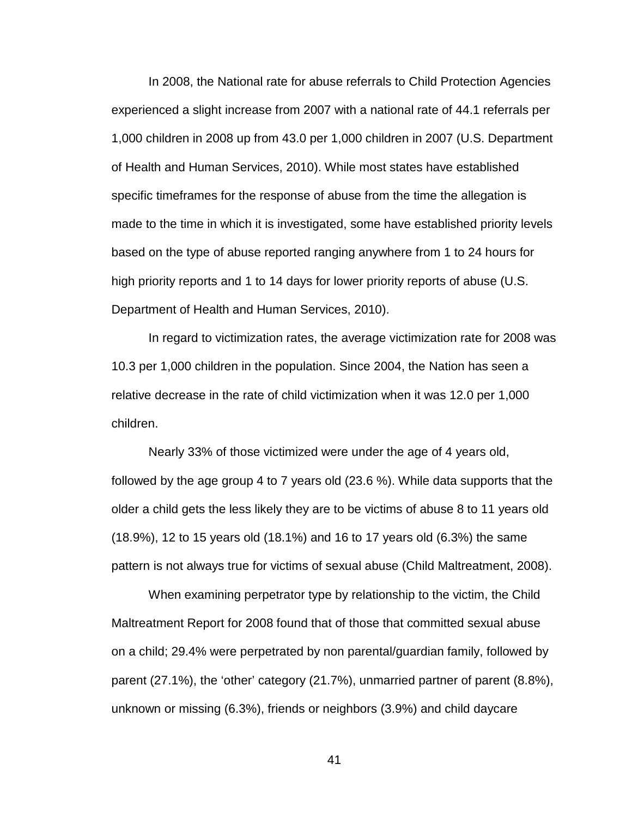In 2008, the National rate for abuse referrals to Child Protection Agencies experienced a slight increase from 2007 with a national rate of 44.1 referrals per 1,000 children in 2008 up from 43.0 per 1,000 children in 2007 (U.S. Department of Health and Human Services, 2010). While most states have established specific timeframes for the response of abuse from the time the allegation is made to the time in which it is investigated, some have established priority levels based on the type of abuse reported ranging anywhere from 1 to 24 hours for high priority reports and 1 to 14 days for lower priority reports of abuse (U.S. Department of Health and Human Services, 2010).

 In regard to victimization rates, the average victimization rate for 2008 was 10.3 per 1,000 children in the population. Since 2004, the Nation has seen a relative decrease in the rate of child victimization when it was 12.0 per 1,000 children.

Nearly 33% of those victimized were under the age of 4 years old, followed by the age group 4 to 7 years old (23.6 %). While data supports that the older a child gets the less likely they are to be victims of abuse 8 to 11 years old (18.9%), 12 to 15 years old (18.1%) and 16 to 17 years old (6.3%) the same pattern is not always true for victims of sexual abuse (Child Maltreatment, 2008).

 When examining perpetrator type by relationship to the victim, the Child Maltreatment Report for 2008 found that of those that committed sexual abuse on a child; 29.4% were perpetrated by non parental/guardian family, followed by parent (27.1%), the 'other' category (21.7%), unmarried partner of parent (8.8%), unknown or missing (6.3%), friends or neighbors (3.9%) and child daycare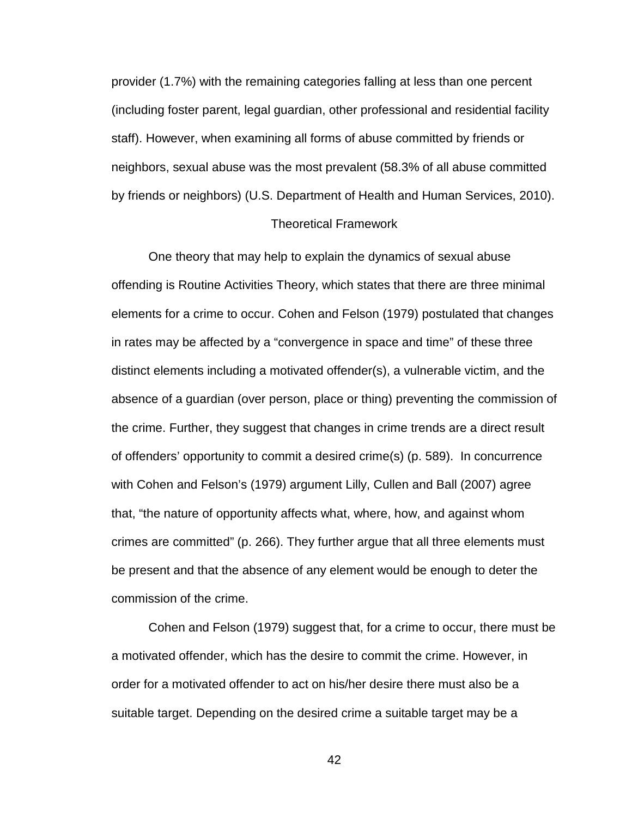provider (1.7%) with the remaining categories falling at less than one percent (including foster parent, legal guardian, other professional and residential facility staff). However, when examining all forms of abuse committed by friends or neighbors, sexual abuse was the most prevalent (58.3% of all abuse committed by friends or neighbors) (U.S. Department of Health and Human Services, 2010).

# Theoretical Framework

One theory that may help to explain the dynamics of sexual abuse offending is Routine Activities Theory, which states that there are three minimal elements for a crime to occur. Cohen and Felson (1979) postulated that changes in rates may be affected by a "convergence in space and time" of these three distinct elements including a motivated offender(s), a vulnerable victim, and the absence of a guardian (over person, place or thing) preventing the commission of the crime. Further, they suggest that changes in crime trends are a direct result of offenders' opportunity to commit a desired crime(s) (p. 589). In concurrence with Cohen and Felson's (1979) argument Lilly, Cullen and Ball (2007) agree that, "the nature of opportunity affects what, where, how, and against whom crimes are committed" (p. 266). They further argue that all three elements must be present and that the absence of any element would be enough to deter the commission of the crime.

Cohen and Felson (1979) suggest that, for a crime to occur, there must be a motivated offender, which has the desire to commit the crime. However, in order for a motivated offender to act on his/her desire there must also be a suitable target. Depending on the desired crime a suitable target may be a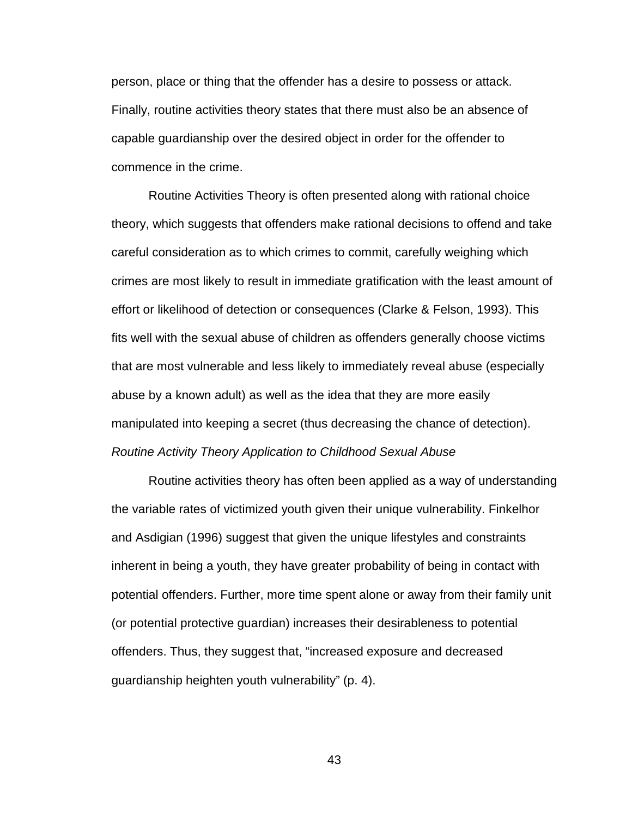person, place or thing that the offender has a desire to possess or attack. Finally, routine activities theory states that there must also be an absence of capable guardianship over the desired object in order for the offender to commence in the crime.

 Routine Activities Theory is often presented along with rational choice theory, which suggests that offenders make rational decisions to offend and take careful consideration as to which crimes to commit, carefully weighing which crimes are most likely to result in immediate gratification with the least amount of effort or likelihood of detection or consequences (Clarke & Felson, 1993). This fits well with the sexual abuse of children as offenders generally choose victims that are most vulnerable and less likely to immediately reveal abuse (especially abuse by a known adult) as well as the idea that they are more easily manipulated into keeping a secret (thus decreasing the chance of detection). Routine Activity Theory Application to Childhood Sexual Abuse

Routine activities theory has often been applied as a way of understanding the variable rates of victimized youth given their unique vulnerability. Finkelhor and Asdigian (1996) suggest that given the unique lifestyles and constraints inherent in being a youth, they have greater probability of being in contact with potential offenders. Further, more time spent alone or away from their family unit (or potential protective guardian) increases their desirableness to potential offenders. Thus, they suggest that, "increased exposure and decreased guardianship heighten youth vulnerability" (p. 4).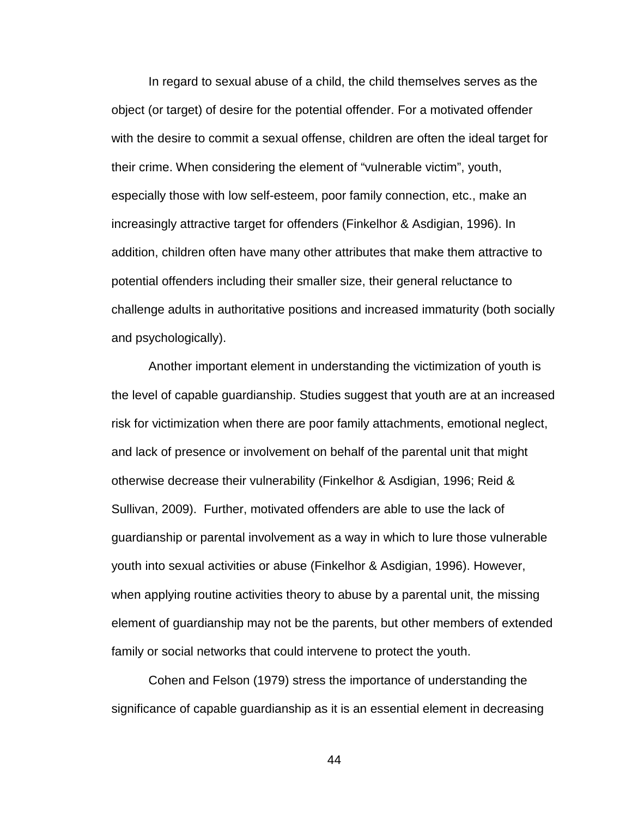In regard to sexual abuse of a child, the child themselves serves as the object (or target) of desire for the potential offender. For a motivated offender with the desire to commit a sexual offense, children are often the ideal target for their crime. When considering the element of "vulnerable victim", youth, especially those with low self-esteem, poor family connection, etc., make an increasingly attractive target for offenders (Finkelhor & Asdigian, 1996). In addition, children often have many other attributes that make them attractive to potential offenders including their smaller size, their general reluctance to challenge adults in authoritative positions and increased immaturity (both socially and psychologically).

 Another important element in understanding the victimization of youth is the level of capable guardianship. Studies suggest that youth are at an increased risk for victimization when there are poor family attachments, emotional neglect, and lack of presence or involvement on behalf of the parental unit that might otherwise decrease their vulnerability (Finkelhor & Asdigian, 1996; Reid & Sullivan, 2009). Further, motivated offenders are able to use the lack of guardianship or parental involvement as a way in which to lure those vulnerable youth into sexual activities or abuse (Finkelhor & Asdigian, 1996). However, when applying routine activities theory to abuse by a parental unit, the missing element of guardianship may not be the parents, but other members of extended family or social networks that could intervene to protect the youth.

Cohen and Felson (1979) stress the importance of understanding the significance of capable guardianship as it is an essential element in decreasing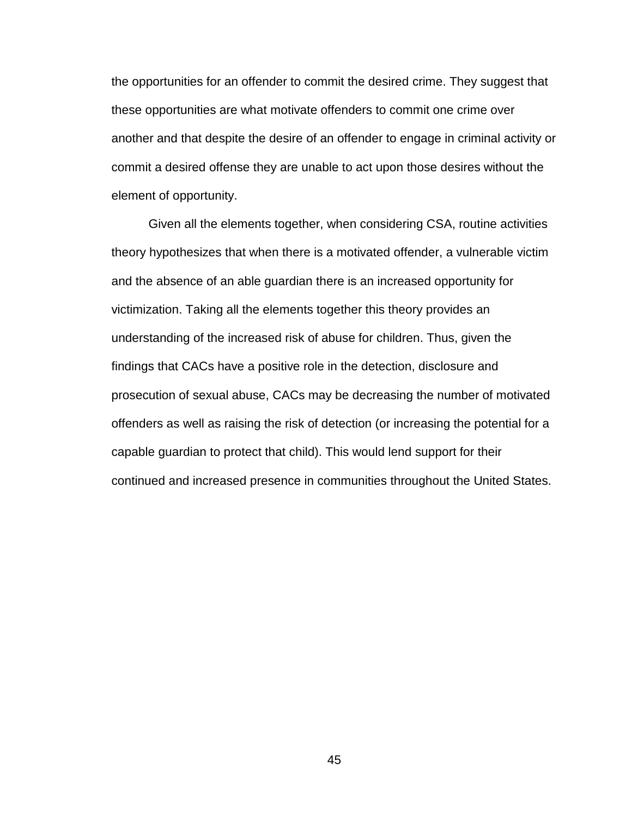the opportunities for an offender to commit the desired crime. They suggest that these opportunities are what motivate offenders to commit one crime over another and that despite the desire of an offender to engage in criminal activity or commit a desired offense they are unable to act upon those desires without the element of opportunity.

Given all the elements together, when considering CSA, routine activities theory hypothesizes that when there is a motivated offender, a vulnerable victim and the absence of an able guardian there is an increased opportunity for victimization. Taking all the elements together this theory provides an understanding of the increased risk of abuse for children. Thus, given the findings that CACs have a positive role in the detection, disclosure and prosecution of sexual abuse, CACs may be decreasing the number of motivated offenders as well as raising the risk of detection (or increasing the potential for a capable guardian to protect that child). This would lend support for their continued and increased presence in communities throughout the United States.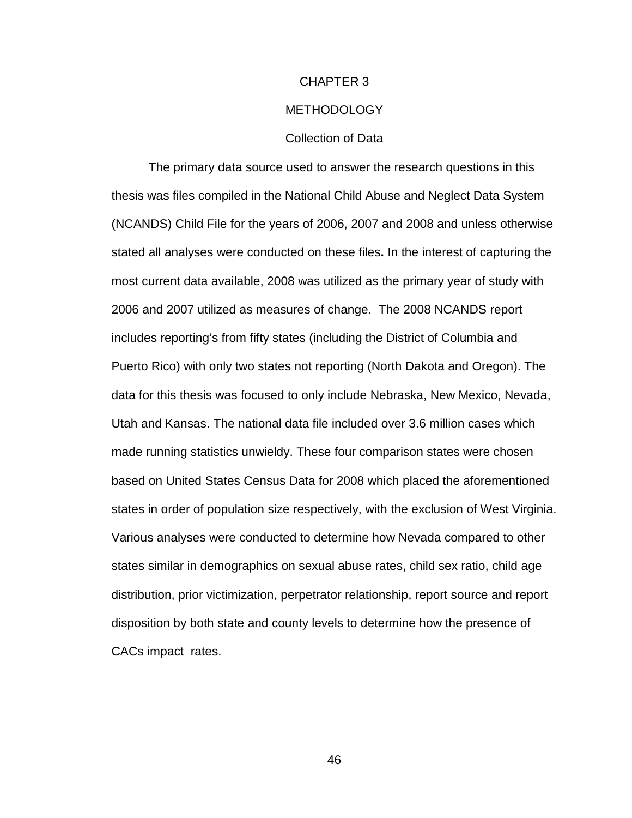# CHAPTER 3 METHODOLOGY Collection of Data

 The primary data source used to answer the research questions in this thesis was files compiled in the National Child Abuse and Neglect Data System (NCANDS) Child File for the years of 2006, 2007 and 2008 and unless otherwise stated all analyses were conducted on these files**.** In the interest of capturing the most current data available, 2008 was utilized as the primary year of study with 2006 and 2007 utilized as measures of change. The 2008 NCANDS report includes reporting's from fifty states (including the District of Columbia and Puerto Rico) with only two states not reporting (North Dakota and Oregon). The data for this thesis was focused to only include Nebraska, New Mexico, Nevada, Utah and Kansas. The national data file included over 3.6 million cases which made running statistics unwieldy. These four comparison states were chosen based on United States Census Data for 2008 which placed the aforementioned states in order of population size respectively, with the exclusion of West Virginia. Various analyses were conducted to determine how Nevada compared to other states similar in demographics on sexual abuse rates, child sex ratio, child age distribution, prior victimization, perpetrator relationship, report source and report disposition by both state and county levels to determine how the presence of CACs impact rates.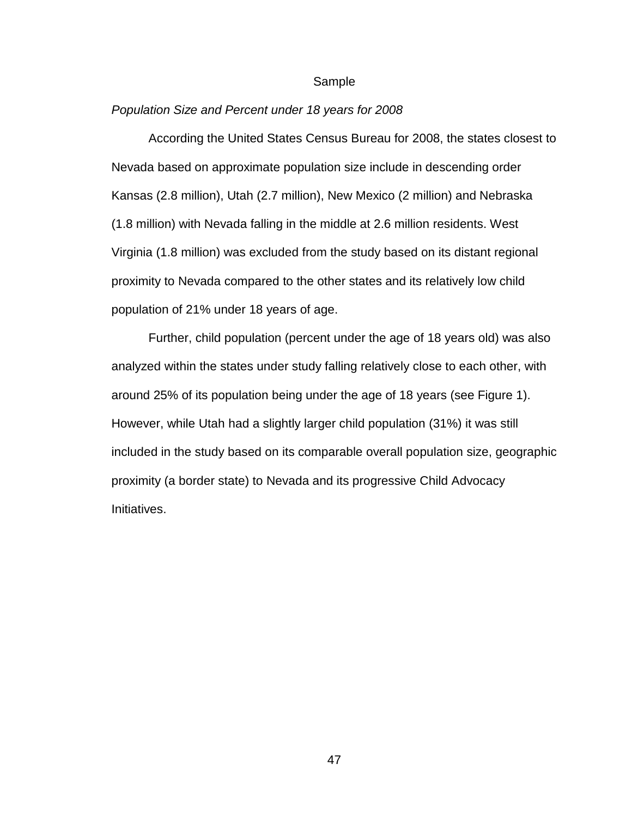#### Sample

#### Population Size and Percent under 18 years for 2008

 According the United States Census Bureau for 2008, the states closest to Nevada based on approximate population size include in descending order Kansas (2.8 million), Utah (2.7 million), New Mexico (2 million) and Nebraska (1.8 million) with Nevada falling in the middle at 2.6 million residents. West Virginia (1.8 million) was excluded from the study based on its distant regional proximity to Nevada compared to the other states and its relatively low child population of 21% under 18 years of age.

 Further, child population (percent under the age of 18 years old) was also analyzed within the states under study falling relatively close to each other, with around 25% of its population being under the age of 18 years (see Figure 1). However, while Utah had a slightly larger child population (31%) it was still included in the study based on its comparable overall population size, geographic proximity (a border state) to Nevada and its progressive Child Advocacy Initiatives.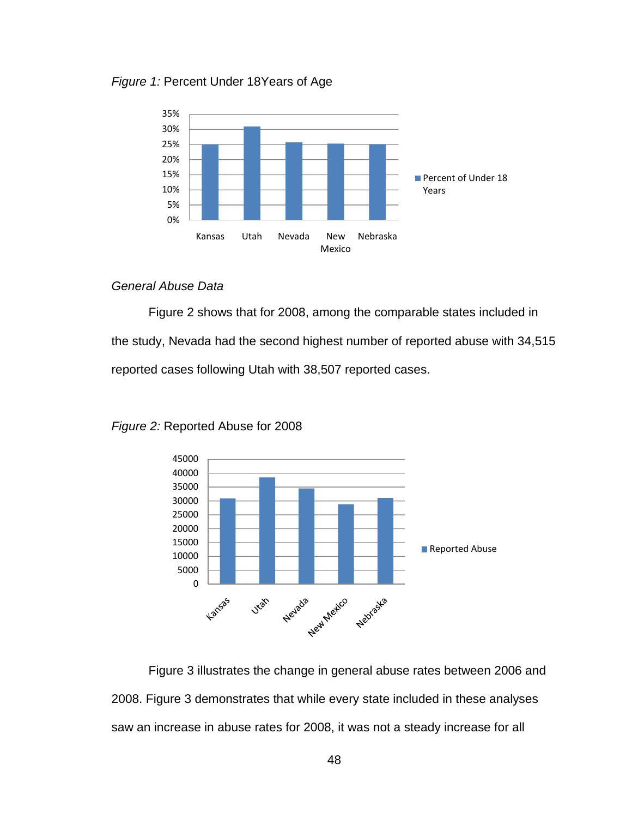Figure 1: Percent Under 18Years of Age



# General Abuse Data

 Figure 2 shows that for 2008, among the comparable states included in the study, Nevada had the second highest number of reported abuse with 34,515 reported cases following Utah with 38,507 reported cases.



Figure 2: Reported Abuse for 2008

 Figure 3 illustrates the change in general abuse rates between 2006 and 2008. Figure 3 demonstrates that while every state included in these analyses saw an increase in abuse rates for 2008, it was not a steady increase for all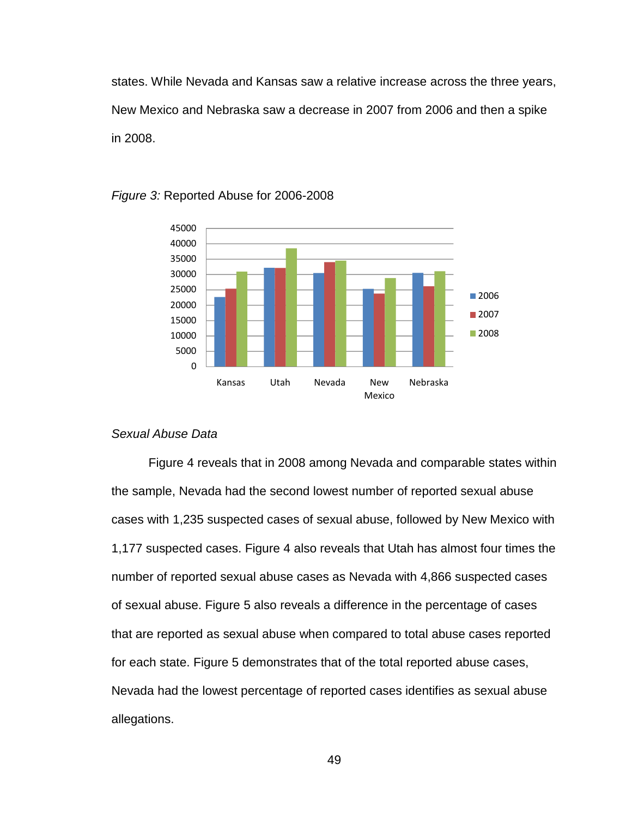states. While Nevada and Kansas saw a relative increase across the three years, New Mexico and Nebraska saw a decrease in 2007 from 2006 and then a spike in 2008.



#### Figure 3: Reported Abuse for 2006-2008

## Sexual Abuse Data

Figure 4 reveals that in 2008 among Nevada and comparable states within the sample, Nevada had the second lowest number of reported sexual abuse cases with 1,235 suspected cases of sexual abuse, followed by New Mexico with 1,177 suspected cases. Figure 4 also reveals that Utah has almost four times the number of reported sexual abuse cases as Nevada with 4,866 suspected cases of sexual abuse. Figure 5 also reveals a difference in the percentage of cases that are reported as sexual abuse when compared to total abuse cases reported for each state. Figure 5 demonstrates that of the total reported abuse cases, Nevada had the lowest percentage of reported cases identifies as sexual abuse allegations.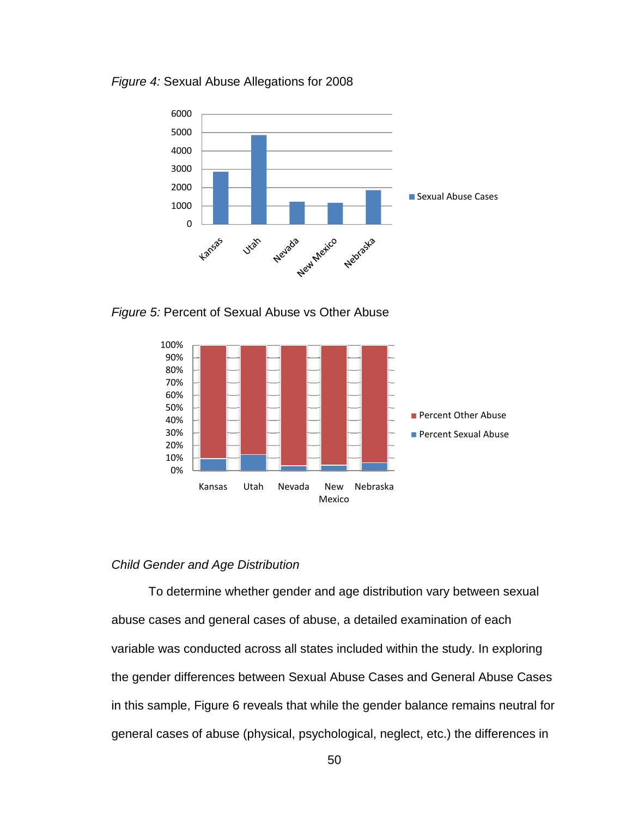



Figure 5: Percent of Sexual Abuse vs Other Abuse



## Child Gender and Age Distribution Age

To determine whether gender and age distribution vary between sexual abuse cases and general cases of abuse, a detailed examination of each variable was conducted across all states included within the study. In exploring the gender differences between Sexual Abuse Cases and General Abuse Cas Cases in this sample, Figure 6 reveals that while the gender balance remains neutral for general cases of abuse (physical, psychological, neglect, etc.) the differences in determine whether gender and age distribution vary between sexual<br>les and general cases of abuse, a detailed examination of each<br>as conducted across all states included within the study. In exploring<br>r differences between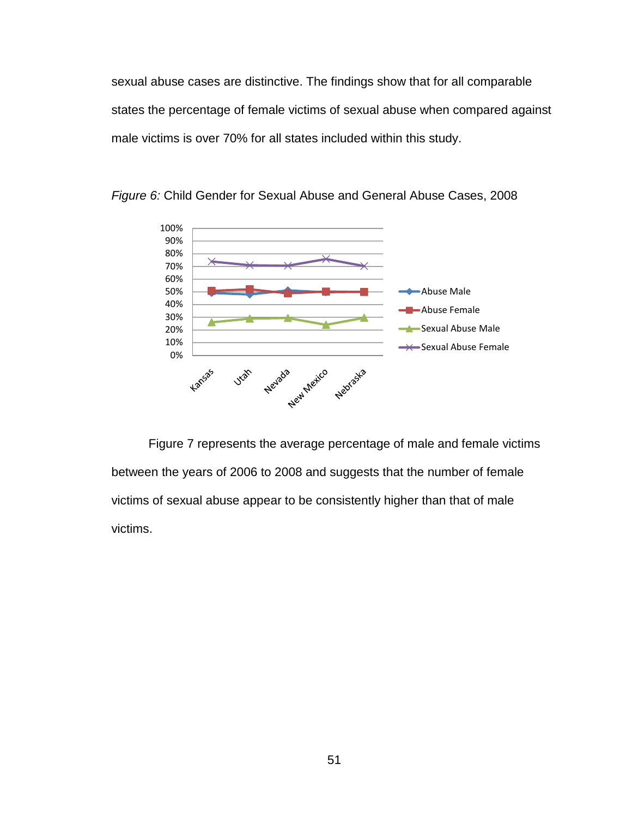sexual abuse cases are distinctive. The findings show that for all comparable states the percentage of female victims of sexual abuse when compared against male victims is over 70% for all states included within this study.



Figure 6: Child Gender for Sexual Abuse and General Abuse Cases, 2008

 Figure 7 represents the average percentage of male and female victims between the years of 2006 to 2008 and suggests that the number of female victims of sexual abuse appear to be consistently higher than that of male victims.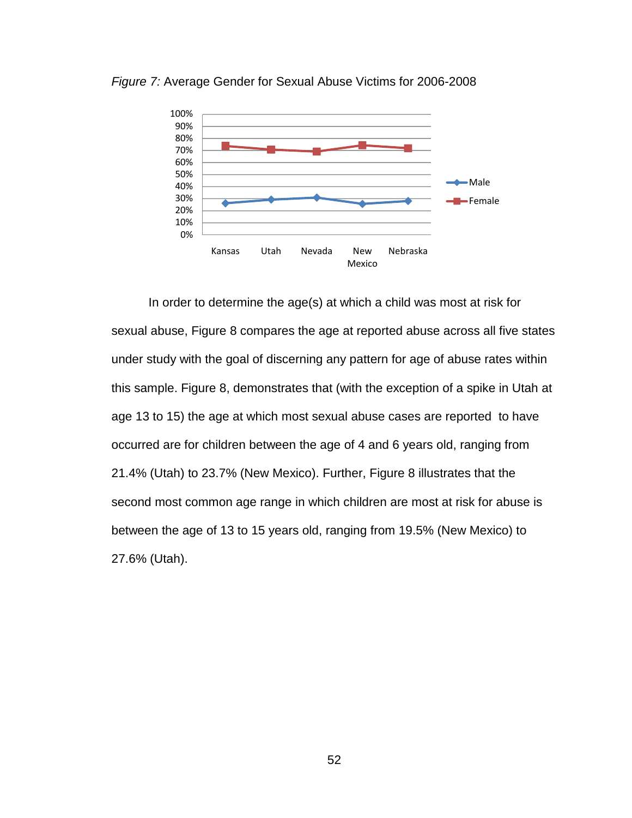

Figure 7: Average Gender for Sexual Abuse Victims for 2006-2008

In order to determine the age(s) at which a child was most at risk for sexual abuse, Figure 8 compares the age at reported abuse across all five states under study with the goal of discerning any pattern for age of abuse rates within this sample. Figure 8, demonstrates that (with the exception of a spike in Utah at age 13 to 15) the age at which most sexual abuse cases are reported to have occurred are for children between the age of 4 and 6 years old, ranging from 21.4% (Utah) to 23.7% (New Mexico). Further, Figure 8 illustrates that the second most common age range in which children are most at risk for abuse is between the age of 13 to 15 years old, ranging from 19.5% (New Mexico) to 27.6% (Utah).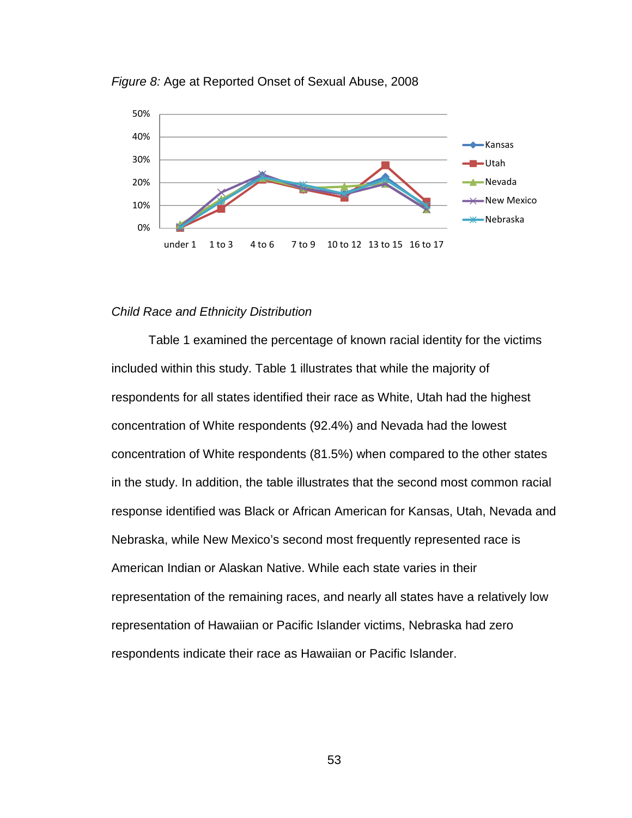

Figure 8: Age at Reported Onset of Sexual Abuse, 2008

## Child Race and Ethnicity Distribution

 Table 1 examined the percentage of known racial identity for the victims included within this study. Table 1 illustrates that while the majority of respondents for all states identified their race as White, Utah had the highest concentration of White respondents (92.4%) and Nevada had the lowest concentration of White respondents (81.5%) when compared to the other states in the study. In addition, the table illustrates that the second most common racial response identified was Black or African American for Kansas, Utah, Nevada and Nebraska, while New Mexico's second most frequently represented race is American Indian or Alaskan Native. While each state varies in their representation of the remaining races, and nearly all states have a relatively low representation of Hawaiian or Pacific Islander victims, Nebraska had zero respondents indicate their race as Hawaiian or Pacific Islander.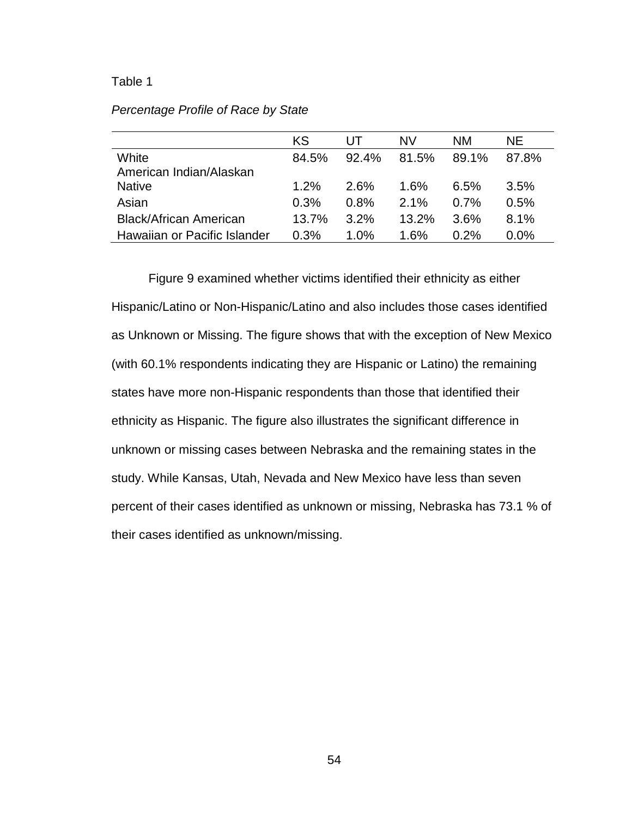## Table 1

|                               | KS      | UL      | NV      | NΜ    | NE.     |
|-------------------------------|---------|---------|---------|-------|---------|
| White                         | 84.5%   | 92.4%   | 81.5%   | 89.1% | 87.8%   |
| American Indian/Alaskan       |         |         |         |       |         |
| <b>Native</b>                 | $1.2\%$ | 2.6%    | 1.6%    | 6.5%  | $3.5\%$ |
| Asian                         | 0.3%    | 0.8%    | 2.1%    | 0.7%  | 0.5%    |
| <b>Black/African American</b> | 13.7%   | 3.2%    | 13.2%   | 3.6%  | 8.1%    |
| Hawaiian or Pacific Islander  | 0.3%    | $1.0\%$ | $1.6\%$ | 0.2%  | 0.0%    |

# Percentage Profile of Race by State

Figure 9 examined whether victims identified their ethnicity as either Hispanic/Latino or Non-Hispanic/Latino and also includes those cases identified as Unknown or Missing. The figure shows that with the exception of New Mexico (with 60.1% respondents indicating they are Hispanic or Latino) the remaining states have more non-Hispanic respondents than those that identified their ethnicity as Hispanic. The figure also illustrates the significant difference in unknown or missing cases between Nebraska and the remaining states in the study. While Kansas, Utah, Nevada and New Mexico have less than seven percent of their cases identified as unknown or missing, Nebraska has 73.1 % of their cases identified as unknown/missing.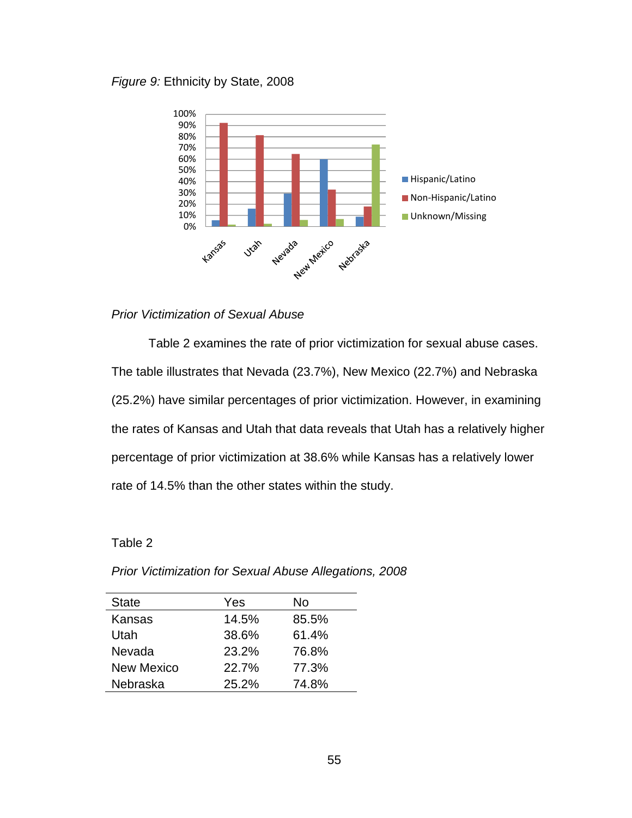Figure 9: Ethnicity by State, 2008



# Prior Victimization of Sexual Abuse

 Table 2 examines the rate of prior victimization for sexual abuse cases. The table illustrates that Nevada (23.7%), New Mexico (22.7%) and Nebraska (25.2%) have similar percentages of prior victimization. However, in examining the rates of Kansas and Utah that data reveals that Utah has a relatively higher percentage of prior victimization at 38.6% while Kansas has a relatively lower rate of 14.5% than the other states within the study.

# Table 2

| <b>State</b>      | Yes   | No    |
|-------------------|-------|-------|
| Kansas            | 14.5% | 85.5% |
| Utah              | 38.6% | 61.4% |
| Nevada            | 23.2% | 76.8% |
| <b>New Mexico</b> | 22.7% | 77.3% |
| Nebraska          | 25.2% | 74.8% |

Prior Victimization for Sexual Abuse Allegations, 2008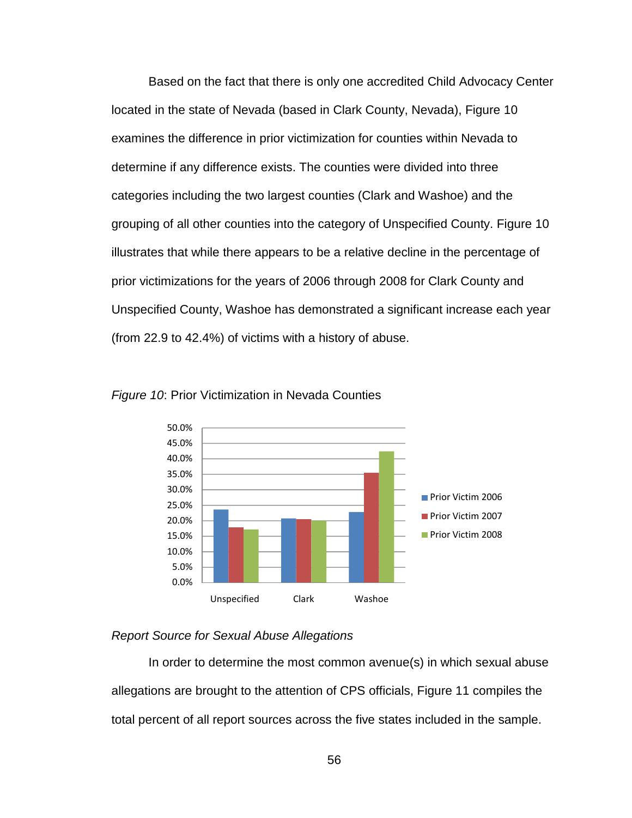Based on the fact that there is only one accredited Child Advocacy Center located in the state of Nevada (based in Clark County, Nevada), Figure 10 examines the difference in prior victimization for counties within Nevada to determine if any difference exists. The counties were divided into three categories including the two largest counties (Clark and Washoe) and the grouping of all other counties into the category of Unspecified County. Figure 10 illustrates that while there appears to be a relative decline in the percentage of prior victimizations for the years of 2006 through 2008 for Clark County and Unspecified County, Washoe has demonstrated a significant increase each year (from 22.9 to 42.4%) of victims with a history of abuse.





# Report Source for Sexual Abuse Allegations

 In order to determine the most common avenue(s) in which sexual abuse allegations are brought to the attention of CPS officials, Figure 11 compiles the total percent of all report sources across the five states included in the sample.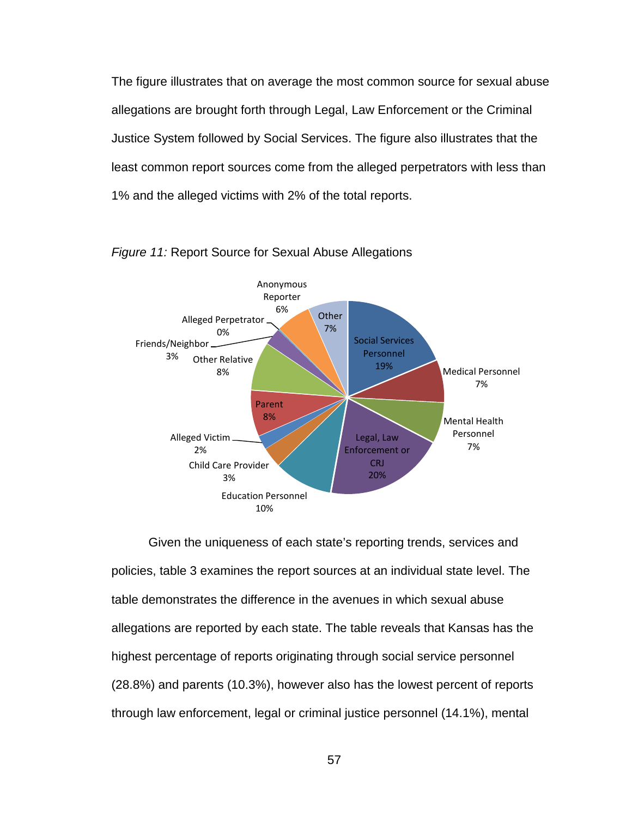The figure illustrates that on average the most common source for sexual abuse allegations are brought forth through Legal, Law Enforcement or the Criminal Justice System followed by Social Services. The figure also illustrates that the least common report sources come from the alleged perpetrators with less than 1% and the alleged victims with 2% of the total reports.



#### Figure 11: Report Source for Sexual Abuse Allegations

Given the uniqueness of each state's reporting trends, services and policies, table 3 examines the report sources at an individual state level. The table demonstrates the difference in the avenues in which sexual abuse allegations are reported by each state. The table reveals that Kansas has the highest percentage of reports originating through social service personnel (28.8%) and parents (10.3%), however also has the lowest percent of reports through law enforcement, legal or criminal justice personnel (14.1%), mental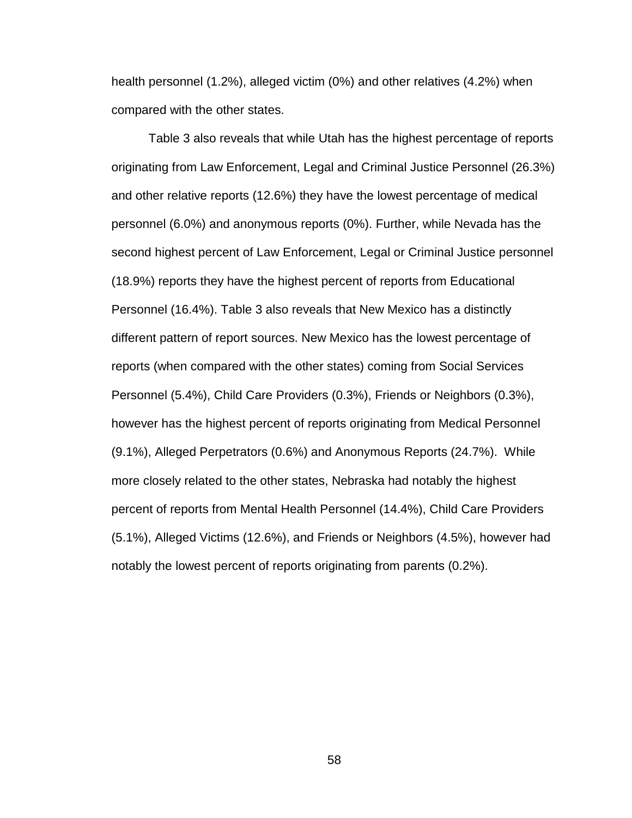health personnel (1.2%), alleged victim (0%) and other relatives (4.2%) when compared with the other states.

 Table 3 also reveals that while Utah has the highest percentage of reports originating from Law Enforcement, Legal and Criminal Justice Personnel (26.3%) and other relative reports (12.6%) they have the lowest percentage of medical personnel (6.0%) and anonymous reports (0%). Further, while Nevada has the second highest percent of Law Enforcement, Legal or Criminal Justice personnel (18.9%) reports they have the highest percent of reports from Educational Personnel (16.4%). Table 3 also reveals that New Mexico has a distinctly different pattern of report sources. New Mexico has the lowest percentage of reports (when compared with the other states) coming from Social Services Personnel (5.4%), Child Care Providers (0.3%), Friends or Neighbors (0.3%), however has the highest percent of reports originating from Medical Personnel (9.1%), Alleged Perpetrators (0.6%) and Anonymous Reports (24.7%). While more closely related to the other states, Nebraska had notably the highest percent of reports from Mental Health Personnel (14.4%), Child Care Providers (5.1%), Alleged Victims (12.6%), and Friends or Neighbors (4.5%), however had notably the lowest percent of reports originating from parents (0.2%).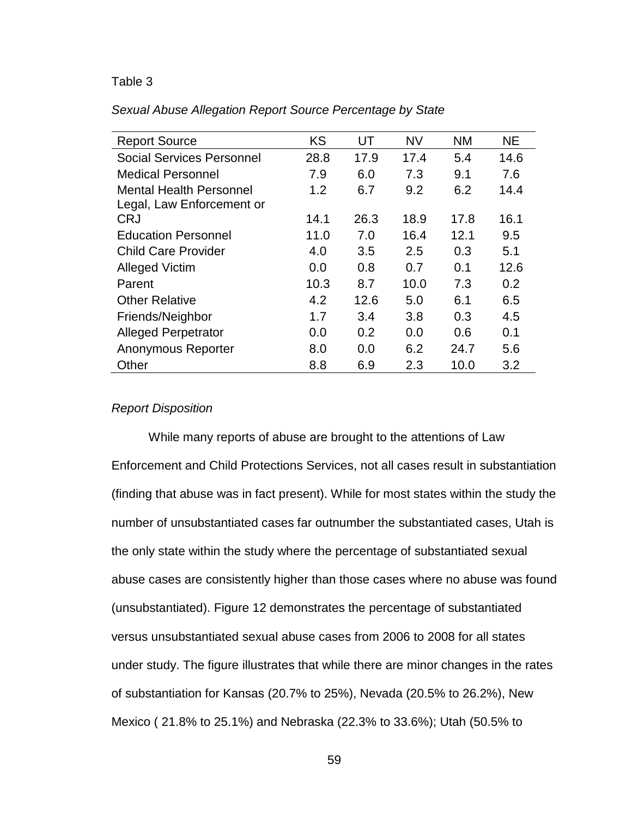## Table 3

| <b>Report Source</b> | KS. | $\mathbf{U}$ | NV 11 | <b>NM</b> | NE. |
|----------------------|-----|--------------|-------|-----------|-----|
|                      |     |              |       |           |     |

Sexual Abuse Allegation Report Source Percentage by State

| <b>INUPULL OUGHUU</b>            | ╵    | ັັ   | .    | .    | .    |
|----------------------------------|------|------|------|------|------|
| <b>Social Services Personnel</b> | 28.8 | 17.9 | 17.4 | 5.4  | 14.6 |
| <b>Medical Personnel</b>         | 7.9  | 6.0  | 7.3  | 9.1  | 7.6  |
| <b>Mental Health Personnel</b>   | 1.2  | 6.7  | 9.2  | 6.2  | 14.4 |
| Legal, Law Enforcement or        |      |      |      |      |      |
| <b>CRJ</b>                       | 14.1 | 26.3 | 18.9 | 17.8 | 16.1 |
| <b>Education Personnel</b>       | 11.0 | 7.0  | 16.4 | 12.1 | 9.5  |
| <b>Child Care Provider</b>       | 4.0  | 3.5  | 2.5  | 0.3  | 5.1  |
| <b>Alleged Victim</b>            | 0.0  | 0.8  | 0.7  | 0.1  | 12.6 |
| Parent                           | 10.3 | 8.7  | 10.0 | 7.3  | 0.2  |
| <b>Other Relative</b>            | 4.2  | 12.6 | 5.0  | 6.1  | 6.5  |
| Friends/Neighbor                 | 1.7  | 3.4  | 3.8  | 0.3  | 4.5  |
| <b>Alleged Perpetrator</b>       | 0.0  | 0.2  | 0.0  | 0.6  | 0.1  |
| Anonymous Reporter               | 8.0  | 0.0  | 6.2  | 24.7 | 5.6  |
| Other                            | 8.8  | 6.9  | 2.3  | 10.0 | 3.2  |

## Report Disposition

 While many reports of abuse are brought to the attentions of Law Enforcement and Child Protections Services, not all cases result in substantiation (finding that abuse was in fact present). While for most states within the study the number of unsubstantiated cases far outnumber the substantiated cases, Utah is the only state within the study where the percentage of substantiated sexual abuse cases are consistently higher than those cases where no abuse was found (unsubstantiated). Figure 12 demonstrates the percentage of substantiated versus unsubstantiated sexual abuse cases from 2006 to 2008 for all states under study. The figure illustrates that while there are minor changes in the rates of substantiation for Kansas (20.7% to 25%), Nevada (20.5% to 26.2%), New Mexico ( 21.8% to 25.1%) and Nebraska (22.3% to 33.6%); Utah (50.5% to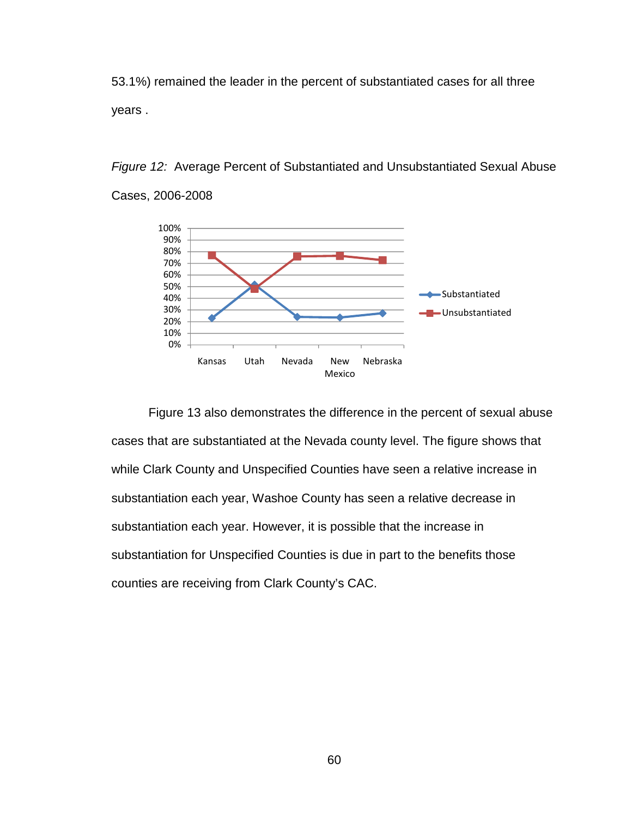53.1%) remained the leader in the percent of substantiated cases for all three years .



Figure 12: Average Percent of Substantiated and Unsubstantiated Sexual Abuse Cases, 2006-2008

 Figure 13 also demonstrates the difference in the percent of sexual abuse cases that are substantiated at the Nevada county level. The figure shows that while Clark County and Unspecified Counties have seen a relative increase in substantiation each year, Washoe County has seen a relative decrease in substantiation each year. However, it is possible that the increase in substantiation for Unspecified Counties is due in part to the benefits those counties are receiving from Clark County's CAC.

60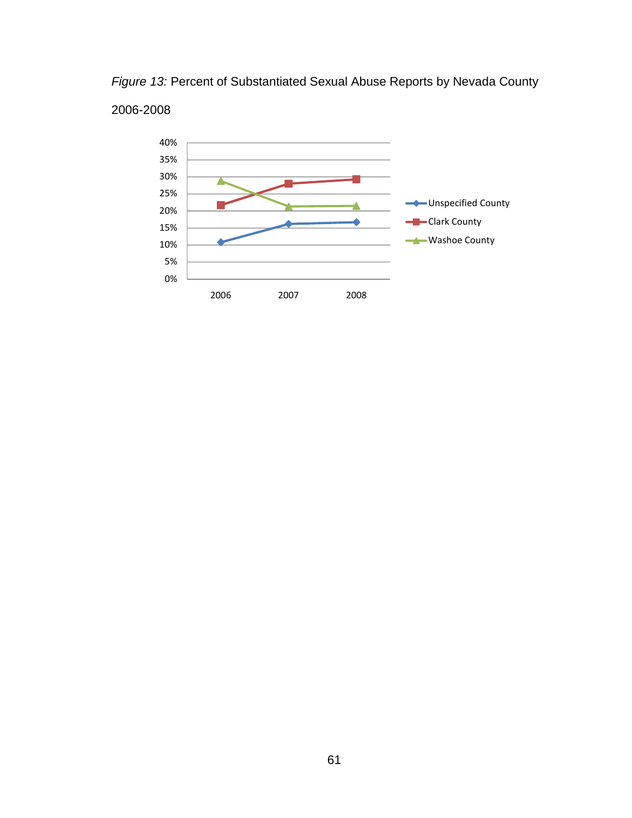Figure 13: Percent of Substantiated Sexual Abuse Reports by Nevada County

# 2006-2008

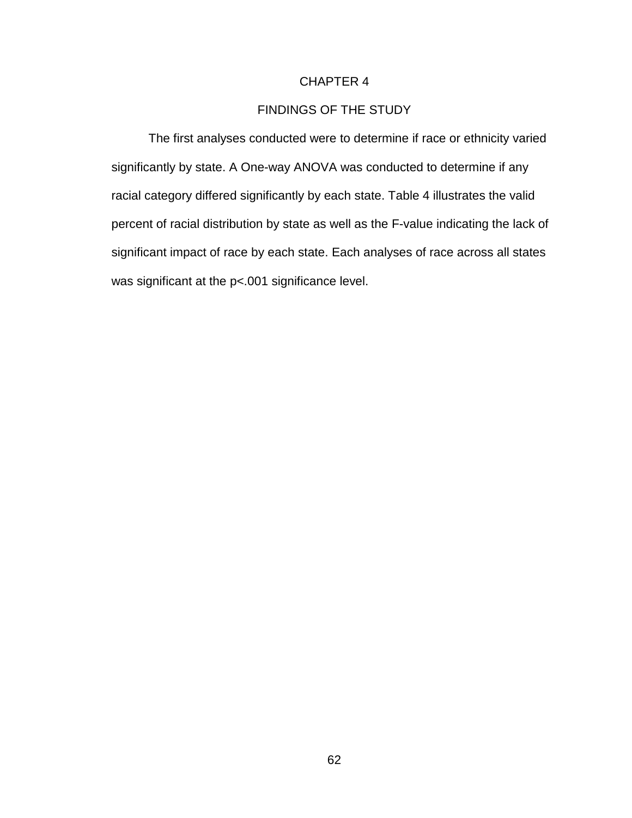# CHAPTER 4

# FINDINGS OF THE STUDY

 The first analyses conducted were to determine if race or ethnicity varied significantly by state. A One-way ANOVA was conducted to determine if any racial category differed significantly by each state. Table 4 illustrates the valid percent of racial distribution by state as well as the F-value indicating the lack of significant impact of race by each state. Each analyses of race across all states was significant at the p<.001 significance level.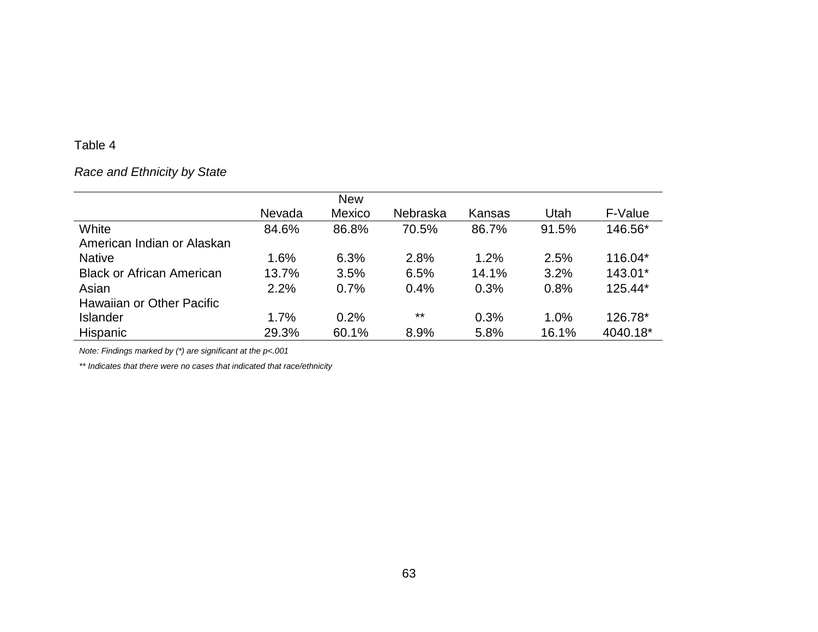# Race and Ethnicity by State

|                                  |        | <b>New</b> |          |        |       |          |
|----------------------------------|--------|------------|----------|--------|-------|----------|
|                                  | Nevada | Mexico     | Nebraska | Kansas | Utah  | F-Value  |
| White                            | 84.6%  | 86.8%      | 70.5%    | 86.7%  | 91.5% | 146.56*  |
| American Indian or Alaskan       |        |            |          |        |       |          |
| <b>Native</b>                    | 1.6%   | 6.3%       | 2.8%     | 1.2%   | 2.5%  | 116.04*  |
| <b>Black or African American</b> | 13.7%  | 3.5%       | 6.5%     | 14.1%  | 3.2%  | 143.01*  |
| Asian                            | 2.2%   | 0.7%       | 0.4%     | 0.3%   | 0.8%  | 125.44*  |
| Hawaiian or Other Pacific        |        |            |          |        |       |          |
| <b>Islander</b>                  | 1.7%   | 0.2%       | $***$    | 0.3%   | 1.0%  | 126.78*  |
| Hispanic                         | 29.3%  | 60.1%      | 8.9%     | 5.8%   | 16.1% | 4040.18* |

Note: Findings marked by (\*) are significant at the p<.001

\*\* Indicates that there were no cases that indicated that race/ethnicity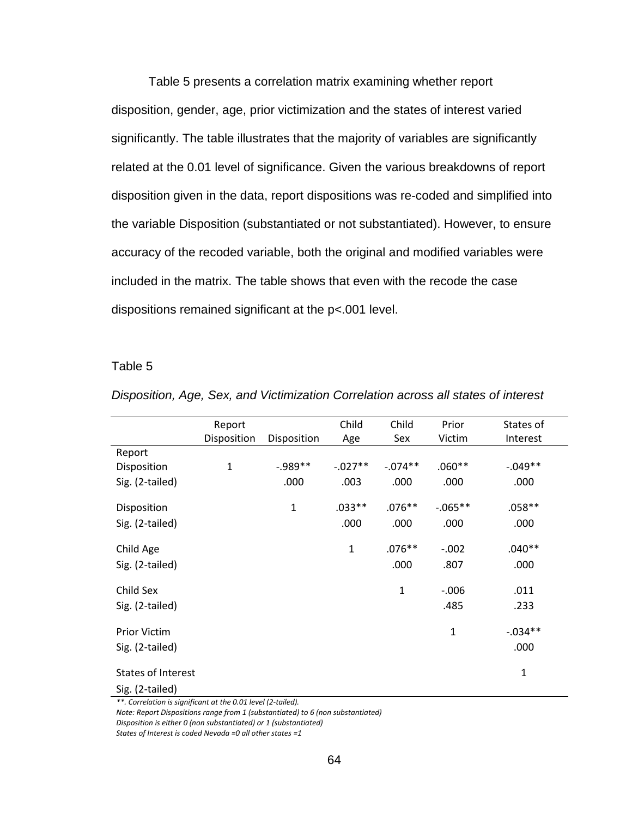Table 5 presents a correlation matrix examining whether report disposition, gender, age, prior victimization and the states of interest varied significantly. The table illustrates that the majority of variables are significantly related at the 0.01 level of significance. Given the various breakdowns of report disposition given in the data, report dispositions was re-coded and simplified into the variable Disposition (substantiated or not substantiated). However, to ensure accuracy of the recoded variable, both the original and modified variables were included in the matrix. The table shows that even with the recode the case dispositions remained significant at the p<.001 level.

#### Table 5

|                           | Report       |              | Child        | Child        | Prior        | States of    |
|---------------------------|--------------|--------------|--------------|--------------|--------------|--------------|
|                           | Disposition  | Disposition  | Age          | Sex          | Victim       | Interest     |
| Report                    |              |              |              |              |              |              |
| Disposition               | $\mathbf{1}$ | $-0.989**$   | $-.027**$    | $-0.074**$   | $.060**$     | $-.049**$    |
| Sig. (2-tailed)           |              | .000         | .003         | .000         | .000         | .000         |
| Disposition               |              | $\mathbf{1}$ | $.033**$     | $.076**$     | $-0.065**$   | $.058**$     |
| Sig. (2-tailed)           |              |              | .000         | .000         | .000         | .000         |
| Child Age                 |              |              | $\mathbf{1}$ | $.076**$     | $-.002$      | $.040**$     |
| Sig. (2-tailed)           |              |              |              | .000         | .807         | .000         |
| Child Sex                 |              |              |              | $\mathbf{1}$ | $-0.006$     | .011         |
| Sig. (2-tailed)           |              |              |              |              | .485         | .233         |
| Prior Victim              |              |              |              |              | $\mathbf{1}$ | $-.034**$    |
| Sig. (2-tailed)           |              |              |              |              |              | .000         |
| <b>States of Interest</b> |              |              |              |              |              | $\mathbf{1}$ |
| Sig. (2-tailed)           |              |              |              |              |              |              |

Disposition, Age, Sex, and Victimization Correlation across all states of interest

\*\*. Correlation is significant at the 0.01 level (2-tailed).

Note: Report Dispositions range from 1 (substantiated) to 6 (non substantiated)

Disposition is either 0 (non substantiated) or 1 (substantiated)

States of Interest is coded Nevada =0 all other states =1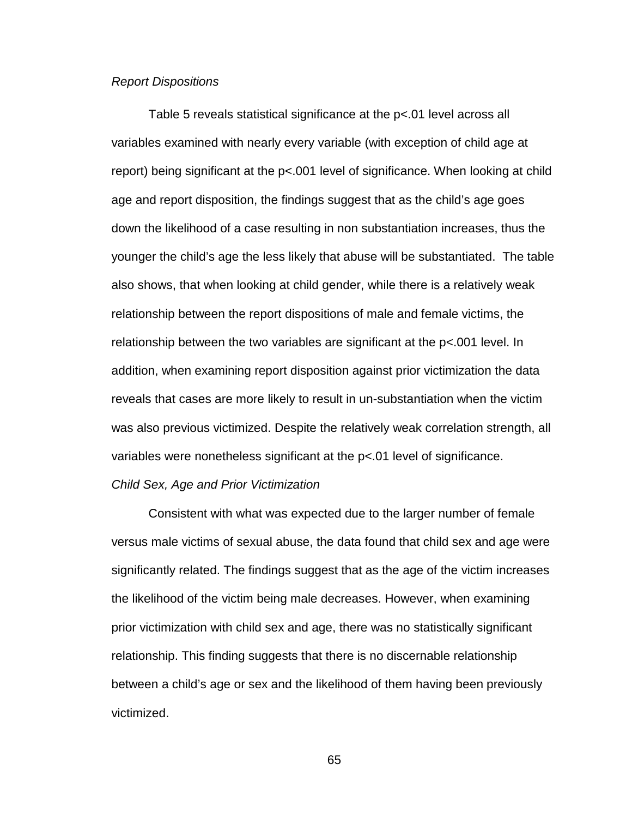## Report Dispositions

 Table 5 reveals statistical significance at the p<.01 level across all variables examined with nearly every variable (with exception of child age at report) being significant at the p<.001 level of significance. When looking at child age and report disposition, the findings suggest that as the child's age goes down the likelihood of a case resulting in non substantiation increases, thus the younger the child's age the less likely that abuse will be substantiated. The table also shows, that when looking at child gender, while there is a relatively weak relationship between the report dispositions of male and female victims, the relationship between the two variables are significant at the p<.001 level. In addition, when examining report disposition against prior victimization the data reveals that cases are more likely to result in un-substantiation when the victim was also previous victimized. Despite the relatively weak correlation strength, all variables were nonetheless significant at the p<.01 level of significance.

# Child Sex, Age and Prior Victimization

Consistent with what was expected due to the larger number of female versus male victims of sexual abuse, the data found that child sex and age were significantly related. The findings suggest that as the age of the victim increases the likelihood of the victim being male decreases. However, when examining prior victimization with child sex and age, there was no statistically significant relationship. This finding suggests that there is no discernable relationship between a child's age or sex and the likelihood of them having been previously victimized.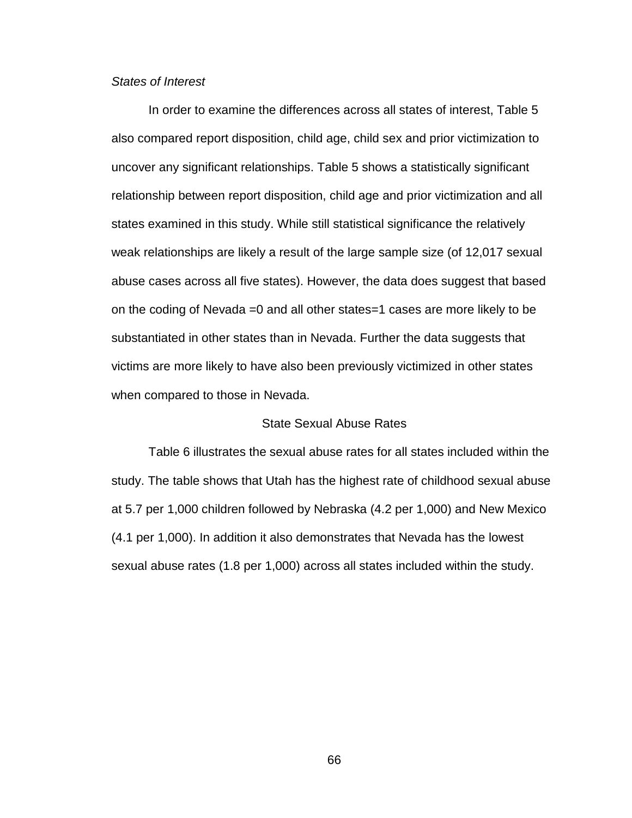# States of Interest

 In order to examine the differences across all states of interest, Table 5 also compared report disposition, child age, child sex and prior victimization to uncover any significant relationships. Table 5 shows a statistically significant relationship between report disposition, child age and prior victimization and all states examined in this study. While still statistical significance the relatively weak relationships are likely a result of the large sample size (of 12,017 sexual abuse cases across all five states). However, the data does suggest that based on the coding of Nevada =0 and all other states=1 cases are more likely to be substantiated in other states than in Nevada. Further the data suggests that victims are more likely to have also been previously victimized in other states when compared to those in Nevada.

## State Sexual Abuse Rates

 Table 6 illustrates the sexual abuse rates for all states included within the study. The table shows that Utah has the highest rate of childhood sexual abuse at 5.7 per 1,000 children followed by Nebraska (4.2 per 1,000) and New Mexico (4.1 per 1,000). In addition it also demonstrates that Nevada has the lowest sexual abuse rates (1.8 per 1,000) across all states included within the study.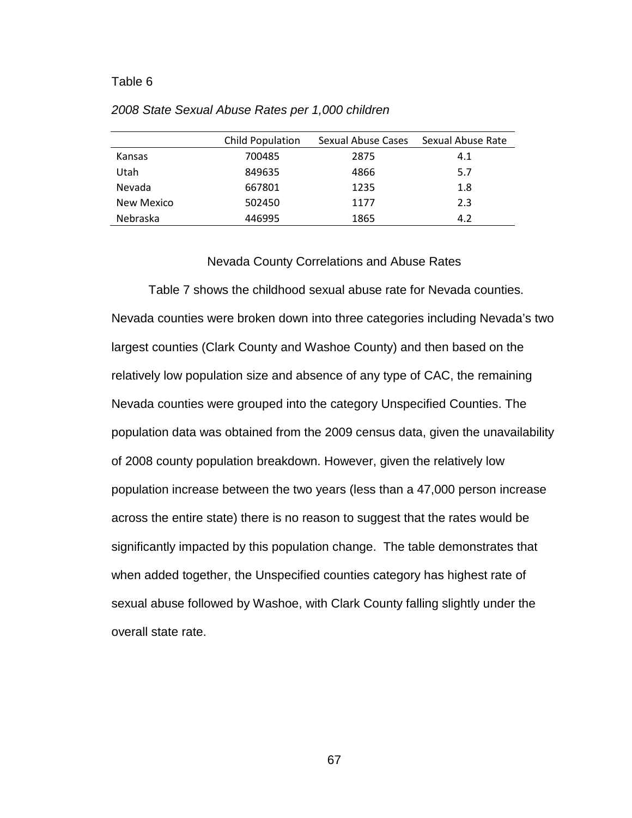|                 | Child Population | Sexual Abuse Cases |     |
|-----------------|------------------|--------------------|-----|
| Kansas          | 700485           | 2875               | 4.1 |
| Utah            | 849635           | 4866               | 5.7 |
| Nevada          | 667801           | 1235               | 1.8 |
| New Mexico      | 502450           | 1177               | 2.3 |
| <b>Nebraska</b> | 446995           | 1865               | 4.2 |

#### 2008 State Sexual Abuse Rates per 1,000 children

#### Nevada County Correlations and Abuse Rates

 Table 7 shows the childhood sexual abuse rate for Nevada counties. Nevada counties were broken down into three categories including Nevada's two largest counties (Clark County and Washoe County) and then based on the relatively low population size and absence of any type of CAC, the remaining Nevada counties were grouped into the category Unspecified Counties. The population data was obtained from the 2009 census data, given the unavailability of 2008 county population breakdown. However, given the relatively low population increase between the two years (less than a 47,000 person increase across the entire state) there is no reason to suggest that the rates would be significantly impacted by this population change. The table demonstrates that when added together, the Unspecified counties category has highest rate of sexual abuse followed by Washoe, with Clark County falling slightly under the overall state rate.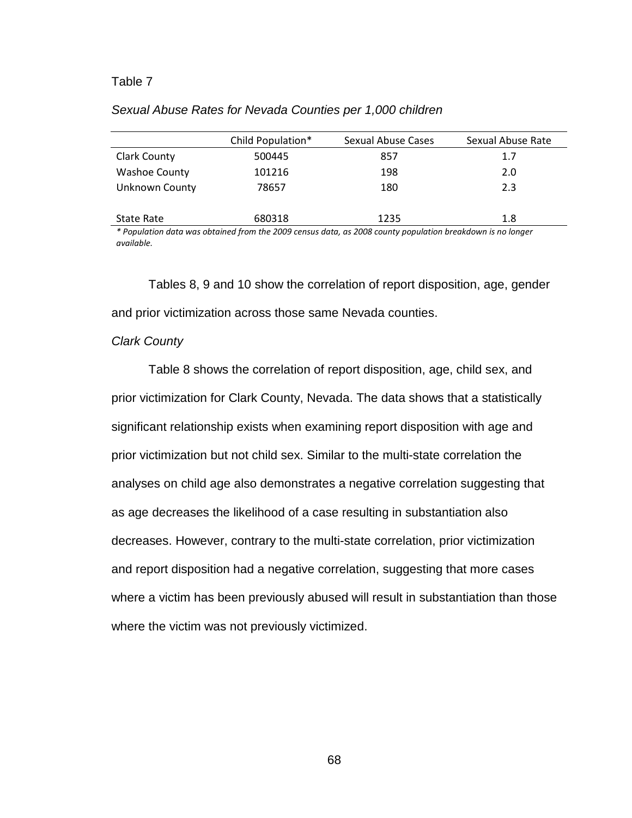|                      | Child Population* | Sexual Abuse Cases | Sexual Abuse Rate |
|----------------------|-------------------|--------------------|-------------------|
| <b>Clark County</b>  | 500445            | 857                | 1.7               |
| <b>Washoe County</b> | 101216            | 198                | 2.0               |
| Unknown County       | 78657             | 180                | 2.3               |
|                      |                   |                    |                   |
| State Rate           | 680318            | 1235               | 1.8               |

\* Population data was obtained from the 2009 census data, as 2008 county population breakdown is no longer available.

Tables 8, 9 and 10 show the correlation of report disposition, age, gender and prior victimization across those same Nevada counties.

#### Clark County

 Table 8 shows the correlation of report disposition, age, child sex, and prior victimization for Clark County, Nevada. The data shows that a statistically significant relationship exists when examining report disposition with age and prior victimization but not child sex. Similar to the multi-state correlation the analyses on child age also demonstrates a negative correlation suggesting that as age decreases the likelihood of a case resulting in substantiation also decreases. However, contrary to the multi-state correlation, prior victimization and report disposition had a negative correlation, suggesting that more cases where a victim has been previously abused will result in substantiation than those where the victim was not previously victimized.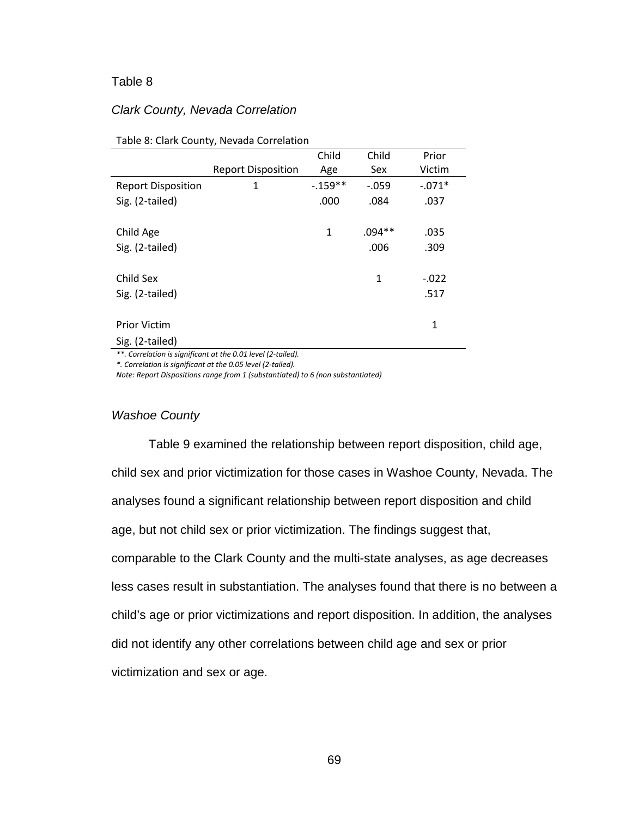### Clark County, Nevada Correlation

|                           |                           | Child      | Child      | Prior    |
|---------------------------|---------------------------|------------|------------|----------|
|                           | <b>Report Disposition</b> | Age        | <b>Sex</b> | Victim   |
| <b>Report Disposition</b> | 1                         | $-0.159**$ | $-0.059$   | $-.071*$ |
| Sig. (2-tailed)           |                           | .000       | .084       | .037     |
|                           |                           |            |            |          |
| Child Age                 |                           | 1          | $.094**$   | .035     |
| Sig. (2-tailed)           |                           |            | .006       | .309     |
|                           |                           |            |            |          |
| Child Sex                 |                           |            | 1          | $-.022$  |
| Sig. (2-tailed)           |                           |            |            | .517     |
|                           |                           |            |            |          |
| <b>Prior Victim</b>       |                           |            |            | 1        |
| Sig. (2-tailed)           |                           |            |            |          |

#### Table 8: Clark County, Nevada Correlation

\*\*. Correlation is significant at the 0.01 level (2-tailed).

\*. Correlation is significant at the 0.05 level (2-tailed).

Note: Report Dispositions range from 1 (substantiated) to 6 (non substantiated)

#### Washoe County

 Table 9 examined the relationship between report disposition, child age, child sex and prior victimization for those cases in Washoe County, Nevada. The analyses found a significant relationship between report disposition and child age, but not child sex or prior victimization. The findings suggest that, comparable to the Clark County and the multi-state analyses, as age decreases less cases result in substantiation. The analyses found that there is no between a child's age or prior victimizations and report disposition. In addition, the analyses did not identify any other correlations between child age and sex or prior victimization and sex or age.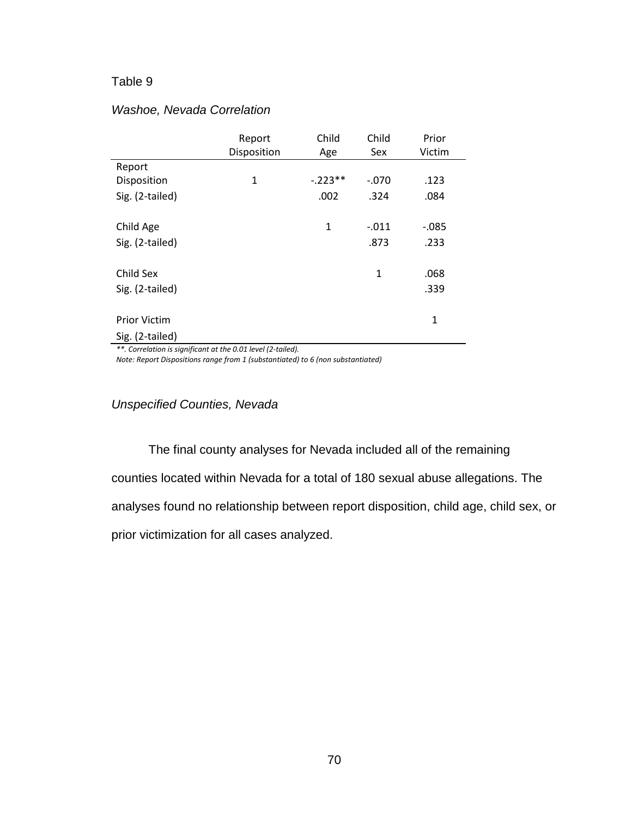|                     | Report      | Child     | Child          | Prior    |
|---------------------|-------------|-----------|----------------|----------|
|                     | Disposition | Age       | Sex            | Victim   |
| Report              |             |           |                |          |
| Disposition         | 1           | $-.223**$ | $-.070$        | .123     |
| Sig. (2-tailed)     |             | .002      | .324           | .084     |
|                     |             |           |                |          |
| Child Age           |             | 1         | $-.011$        | $-0.085$ |
| Sig. (2-tailed)     |             |           | .873           | .233     |
|                     |             |           |                |          |
| Child Sex           |             |           | $\overline{1}$ | .068     |
| Sig. (2-tailed)     |             |           |                | .339     |
|                     |             |           |                |          |
| <b>Prior Victim</b> |             |           |                | 1        |
| Sig. (2-tailed)     |             |           |                |          |

## Washoe, Nevada Correlation

\*\*. Correlation is significant at the 0.01 level (2-tailed).

Note: Report Dispositions range from 1 (substantiated) to 6 (non substantiated)

Unspecified Counties, Nevada

The final county analyses for Nevada included all of the remaining counties located within Nevada for a total of 180 sexual abuse allegations. The analyses found no relationship between report disposition, child age, child sex, or prior victimization for all cases analyzed.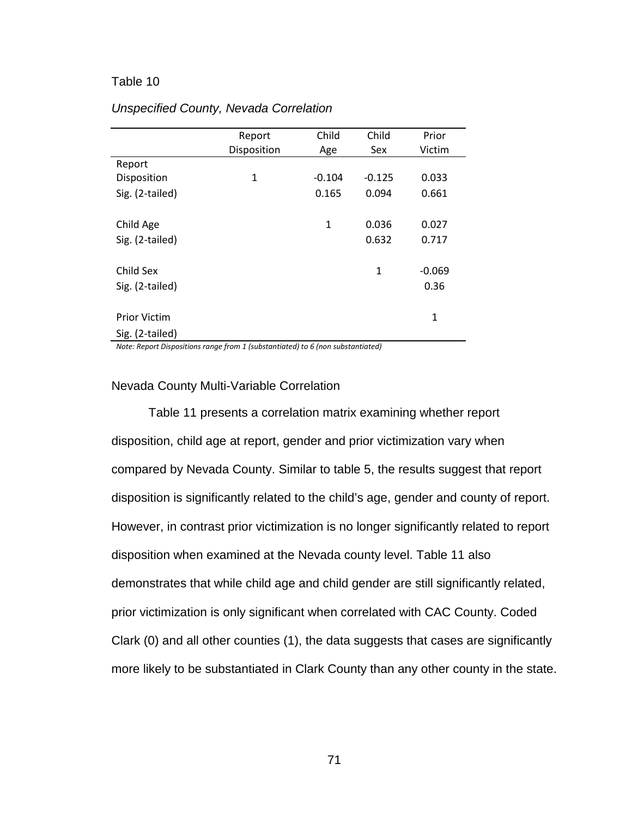|                     | Report      | Child    | Child    | Prior        |
|---------------------|-------------|----------|----------|--------------|
|                     | Disposition | Age      | Sex      | Victim       |
| Report              |             |          |          |              |
| Disposition         | 1           | $-0.104$ | $-0.125$ | 0.033        |
| Sig. (2-tailed)     |             | 0.165    | 0.094    | 0.661        |
| Child Age           |             | 1        | 0.036    | 0.027        |
| Sig. (2-tailed)     |             |          | 0.632    | 0.717        |
|                     |             |          |          |              |
| Child Sex           |             |          | 1        | $-0.069$     |
| Sig. (2-tailed)     |             |          |          | 0.36         |
|                     |             |          |          |              |
| <b>Prior Victim</b> |             |          |          | $\mathbf{1}$ |
| Sig. (2-tailed)     |             |          |          |              |

# Unspecified County, Nevada Correlation

Note: Report Dispositions range from 1 (substantiated) to 6 (non substantiated)

# Nevada County Multi-Variable Correlation

 Table 11 presents a correlation matrix examining whether report disposition, child age at report, gender and prior victimization vary when compared by Nevada County. Similar to table 5, the results suggest that report disposition is significantly related to the child's age, gender and county of report. However, in contrast prior victimization is no longer significantly related to report disposition when examined at the Nevada county level. Table 11 also demonstrates that while child age and child gender are still significantly related, prior victimization is only significant when correlated with CAC County. Coded Clark (0) and all other counties (1), the data suggests that cases are significantly more likely to be substantiated in Clark County than any other county in the state.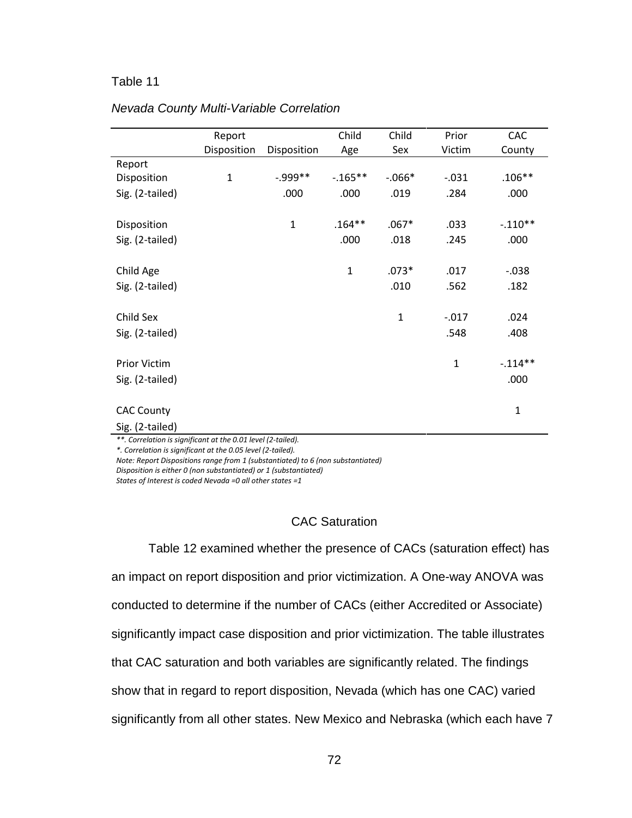|                   | Report       |              | Child        | Child        | Prior        | CAC          |
|-------------------|--------------|--------------|--------------|--------------|--------------|--------------|
|                   | Disposition  | Disposition  | Age          | Sex          | Victim       | County       |
| Report            |              |              |              |              |              |              |
| Disposition       | $\mathbf{1}$ | $-.999**$    | $-0.165**$   | $-0.066*$    | $-0.031$     | $.106**$     |
| Sig. (2-tailed)   |              | .000         | .000         | .019         | .284         | .000         |
|                   |              |              |              |              |              |              |
| Disposition       |              | $\mathbf{1}$ | $.164**$     | $.067*$      | .033         | $-.110**$    |
| Sig. (2-tailed)   |              |              | .000         | .018         | .245         | .000         |
|                   |              |              |              |              |              |              |
| Child Age         |              |              | $\mathbf{1}$ | $.073*$      | .017         | $-0.038$     |
| Sig. (2-tailed)   |              |              |              | .010         | .562         | .182         |
|                   |              |              |              |              |              |              |
| Child Sex         |              |              |              | $\mathbf{1}$ | $-0.017$     | .024         |
| Sig. (2-tailed)   |              |              |              |              | .548         | .408         |
|                   |              |              |              |              |              |              |
| Prior Victim      |              |              |              |              | $\mathbf{1}$ | $-.114**$    |
| Sig. (2-tailed)   |              |              |              |              |              | .000         |
|                   |              |              |              |              |              |              |
| <b>CAC County</b> |              |              |              |              |              | $\mathbf{1}$ |
|                   |              |              |              |              |              |              |
| Sig. (2-tailed)   |              |              |              |              |              |              |

# Nevada County Multi-Variable Correlation

\*\*. Correlation is significant at the 0.01 level (2-tailed).

\*. Correlation is significant at the 0.05 level (2-tailed).

Note: Report Dispositions range from 1 (substantiated) to 6 (non substantiated) Disposition is either 0 (non substantiated) or 1 (substantiated)

States of Interest is coded Nevada =0 all other states =1

# CAC Saturation

 Table 12 examined whether the presence of CACs (saturation effect) has an impact on report disposition and prior victimization. A One-way ANOVA was conducted to determine if the number of CACs (either Accredited or Associate) significantly impact case disposition and prior victimization. The table illustrates that CAC saturation and both variables are significantly related. The findings show that in regard to report disposition, Nevada (which has one CAC) varied significantly from all other states. New Mexico and Nebraska (which each have 7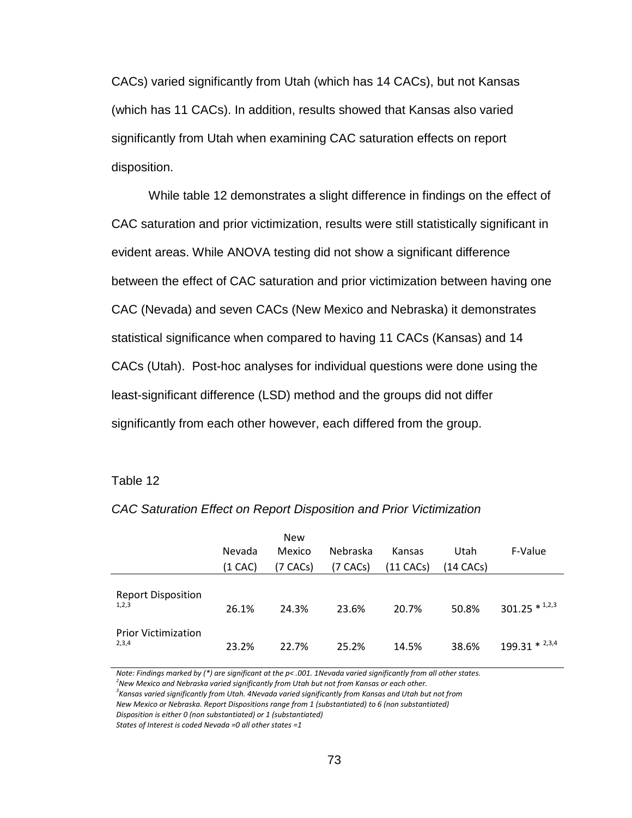CACs) varied significantly from Utah (which has 14 CACs), but not Kansas (which has 11 CACs). In addition, results showed that Kansas also varied significantly from Utah when examining CAC saturation effects on report disposition.

 While table 12 demonstrates a slight difference in findings on the effect of CAC saturation and prior victimization, results were still statistically significant in evident areas. While ANOVA testing did not show a significant difference between the effect of CAC saturation and prior victimization between having one CAC (Nevada) and seven CACs (New Mexico and Nebraska) it demonstrates statistical significance when compared to having 11 CACs (Kansas) and 14 CACs (Utah). Post-hoc analyses for individual questions were done using the least-significant difference (LSD) method and the groups did not differ significantly from each other however, each differed from the group.

#### Table 12

|                                     | Nevada<br>(1 CAC) | <b>New</b><br>Mexico<br>(7 CACs) | Nebraska<br>(7 CACs) | Kansas<br>(11 CACs) | Utah<br>$(14$ CACs) | F-Value             |
|-------------------------------------|-------------------|----------------------------------|----------------------|---------------------|---------------------|---------------------|
| <b>Report Disposition</b><br>1,2,3  | 26.1%             | 24.3%                            | 23.6%                | 20.7%               | 50.8%               | $301.25 * 1,2,3$    |
| <b>Prior Victimization</b><br>2,3,4 | 23.2%             | 22.7%                            | 25.2%                | 14.5%               | 38.6%               | $199.31 * ^{2,3,4}$ |

CAC Saturation Effect on Report Disposition and Prior Victimization

Note: Findings marked by (\*) are significant at the p< .001. 1Nevada varied significantly from all other states.

 $^2$ New Mexico and Nebraska varied significantly from Utah but not from Kansas or each other.

 $^3$ Kansas varied significantly from Utah. 4Nevada varied significantly from Kansas and Utah but not from

New Mexico or Nebraska. Report Dispositions range from 1 (substantiated) to 6 (non substantiated)

Disposition is either 0 (non substantiated) or 1 (substantiated)

States of Interest is coded Nevada =0 all other states =1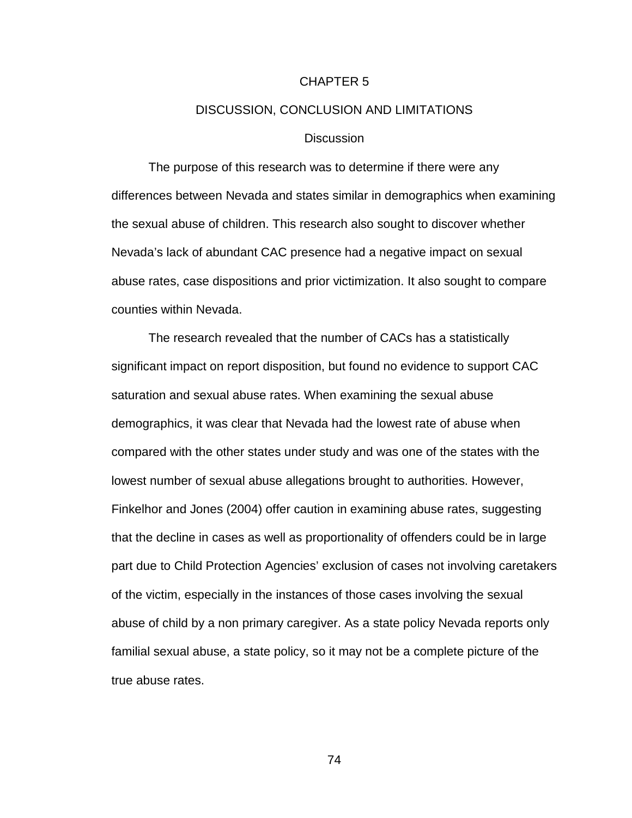#### CHAPTER 5

## DISCUSSION, CONCLUSION AND LIMITATIONS

# **Discussion**

The purpose of this research was to determine if there were any differences between Nevada and states similar in demographics when examining the sexual abuse of children. This research also sought to discover whether Nevada's lack of abundant CAC presence had a negative impact on sexual abuse rates, case dispositions and prior victimization. It also sought to compare counties within Nevada.

 The research revealed that the number of CACs has a statistically significant impact on report disposition, but found no evidence to support CAC saturation and sexual abuse rates. When examining the sexual abuse demographics, it was clear that Nevada had the lowest rate of abuse when compared with the other states under study and was one of the states with the lowest number of sexual abuse allegations brought to authorities. However, Finkelhor and Jones (2004) offer caution in examining abuse rates, suggesting that the decline in cases as well as proportionality of offenders could be in large part due to Child Protection Agencies' exclusion of cases not involving caretakers of the victim, especially in the instances of those cases involving the sexual abuse of child by a non primary caregiver. As a state policy Nevada reports only familial sexual abuse, a state policy, so it may not be a complete picture of the true abuse rates.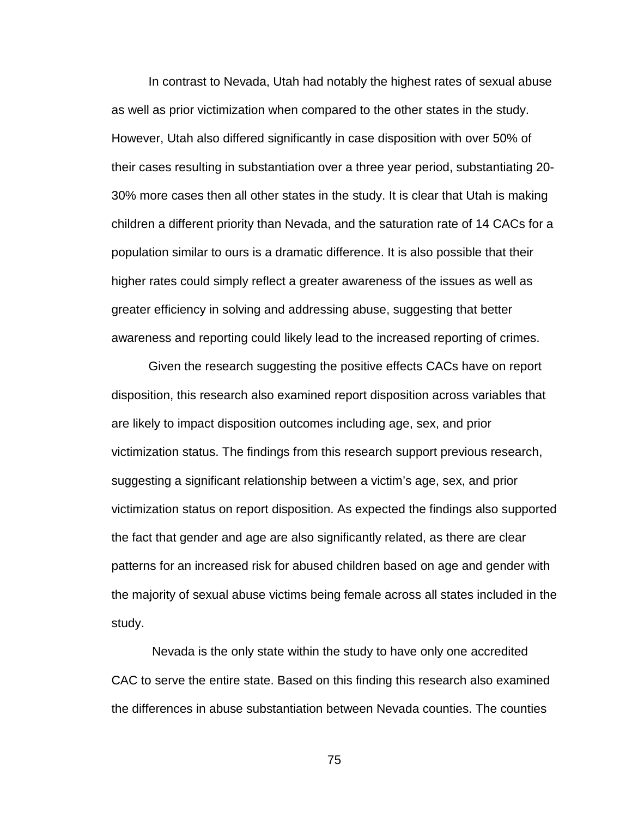In contrast to Nevada, Utah had notably the highest rates of sexual abuse as well as prior victimization when compared to the other states in the study. However, Utah also differed significantly in case disposition with over 50% of their cases resulting in substantiation over a three year period, substantiating 20- 30% more cases then all other states in the study. It is clear that Utah is making children a different priority than Nevada, and the saturation rate of 14 CACs for a population similar to ours is a dramatic difference. It is also possible that their higher rates could simply reflect a greater awareness of the issues as well as greater efficiency in solving and addressing abuse, suggesting that better awareness and reporting could likely lead to the increased reporting of crimes.

 Given the research suggesting the positive effects CACs have on report disposition, this research also examined report disposition across variables that are likely to impact disposition outcomes including age, sex, and prior victimization status. The findings from this research support previous research, suggesting a significant relationship between a victim's age, sex, and prior victimization status on report disposition. As expected the findings also supported the fact that gender and age are also significantly related, as there are clear patterns for an increased risk for abused children based on age and gender with the majority of sexual abuse victims being female across all states included in the study.

 Nevada is the only state within the study to have only one accredited CAC to serve the entire state. Based on this finding this research also examined the differences in abuse substantiation between Nevada counties. The counties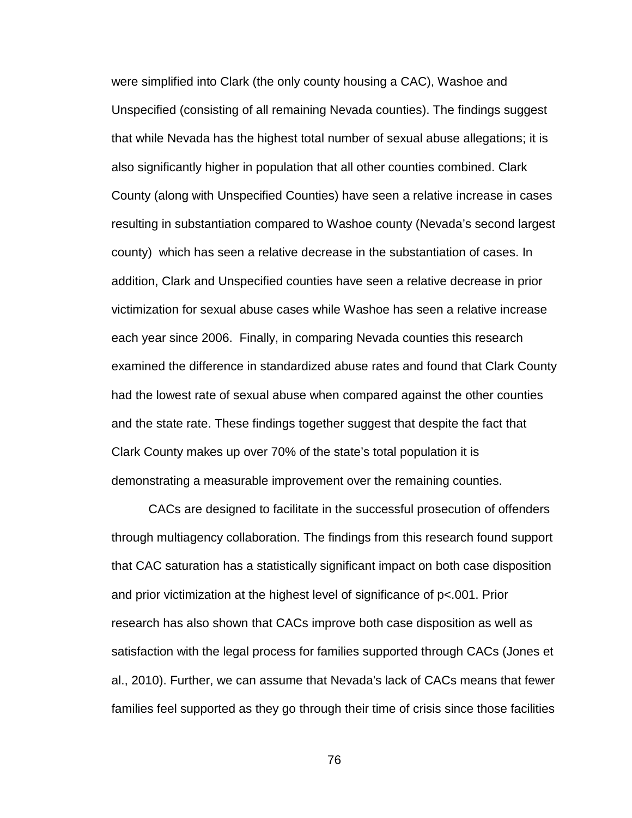were simplified into Clark (the only county housing a CAC), Washoe and Unspecified (consisting of all remaining Nevada counties). The findings suggest that while Nevada has the highest total number of sexual abuse allegations; it is also significantly higher in population that all other counties combined. Clark County (along with Unspecified Counties) have seen a relative increase in cases resulting in substantiation compared to Washoe county (Nevada's second largest county) which has seen a relative decrease in the substantiation of cases. In addition, Clark and Unspecified counties have seen a relative decrease in prior victimization for sexual abuse cases while Washoe has seen a relative increase each year since 2006. Finally, in comparing Nevada counties this research examined the difference in standardized abuse rates and found that Clark County had the lowest rate of sexual abuse when compared against the other counties and the state rate. These findings together suggest that despite the fact that Clark County makes up over 70% of the state's total population it is demonstrating a measurable improvement over the remaining counties.

 CACs are designed to facilitate in the successful prosecution of offenders through multiagency collaboration. The findings from this research found support that CAC saturation has a statistically significant impact on both case disposition and prior victimization at the highest level of significance of p<.001. Prior research has also shown that CACs improve both case disposition as well as satisfaction with the legal process for families supported through CACs (Jones et al., 2010). Further, we can assume that Nevada's lack of CACs means that fewer families feel supported as they go through their time of crisis since those facilities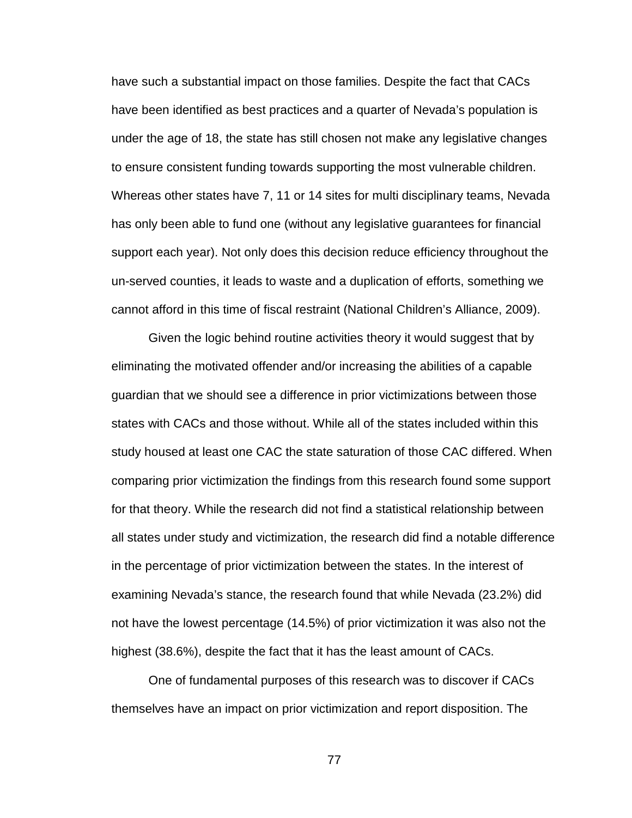have such a substantial impact on those families. Despite the fact that CACs have been identified as best practices and a quarter of Nevada's population is under the age of 18, the state has still chosen not make any legislative changes to ensure consistent funding towards supporting the most vulnerable children. Whereas other states have 7, 11 or 14 sites for multi disciplinary teams, Nevada has only been able to fund one (without any legislative guarantees for financial support each year). Not only does this decision reduce efficiency throughout the un-served counties, it leads to waste and a duplication of efforts, something we cannot afford in this time of fiscal restraint (National Children's Alliance, 2009).

Given the logic behind routine activities theory it would suggest that by eliminating the motivated offender and/or increasing the abilities of a capable guardian that we should see a difference in prior victimizations between those states with CACs and those without. While all of the states included within this study housed at least one CAC the state saturation of those CAC differed. When comparing prior victimization the findings from this research found some support for that theory. While the research did not find a statistical relationship between all states under study and victimization, the research did find a notable difference in the percentage of prior victimization between the states. In the interest of examining Nevada's stance, the research found that while Nevada (23.2%) did not have the lowest percentage (14.5%) of prior victimization it was also not the highest (38.6%), despite the fact that it has the least amount of CACs.

 One of fundamental purposes of this research was to discover if CACs themselves have an impact on prior victimization and report disposition. The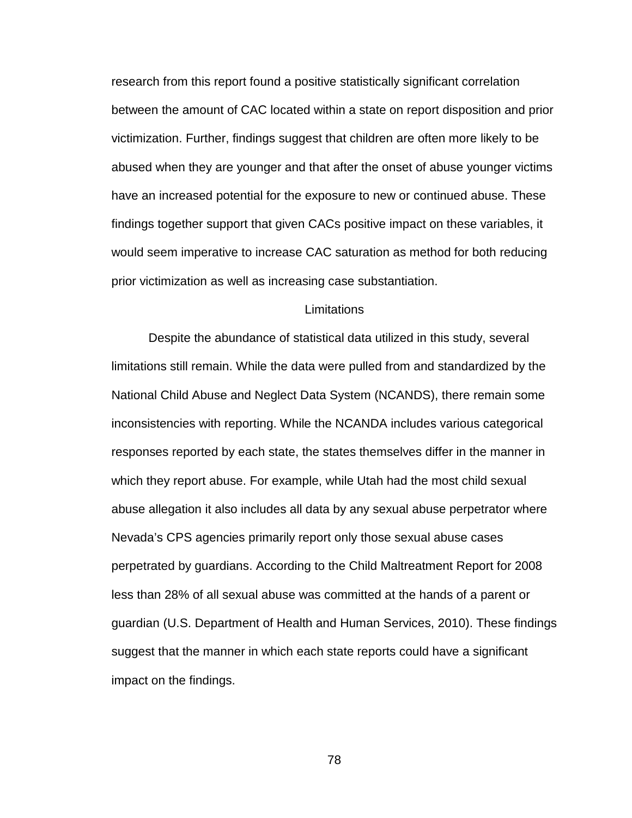research from this report found a positive statistically significant correlation between the amount of CAC located within a state on report disposition and prior victimization. Further, findings suggest that children are often more likely to be abused when they are younger and that after the onset of abuse younger victims have an increased potential for the exposure to new or continued abuse. These findings together support that given CACs positive impact on these variables, it would seem imperative to increase CAC saturation as method for both reducing prior victimization as well as increasing case substantiation.

## **Limitations**

 Despite the abundance of statistical data utilized in this study, several limitations still remain. While the data were pulled from and standardized by the National Child Abuse and Neglect Data System (NCANDS), there remain some inconsistencies with reporting. While the NCANDA includes various categorical responses reported by each state, the states themselves differ in the manner in which they report abuse. For example, while Utah had the most child sexual abuse allegation it also includes all data by any sexual abuse perpetrator where Nevada's CPS agencies primarily report only those sexual abuse cases perpetrated by guardians. According to the Child Maltreatment Report for 2008 less than 28% of all sexual abuse was committed at the hands of a parent or guardian (U.S. Department of Health and Human Services, 2010). These findings suggest that the manner in which each state reports could have a significant impact on the findings.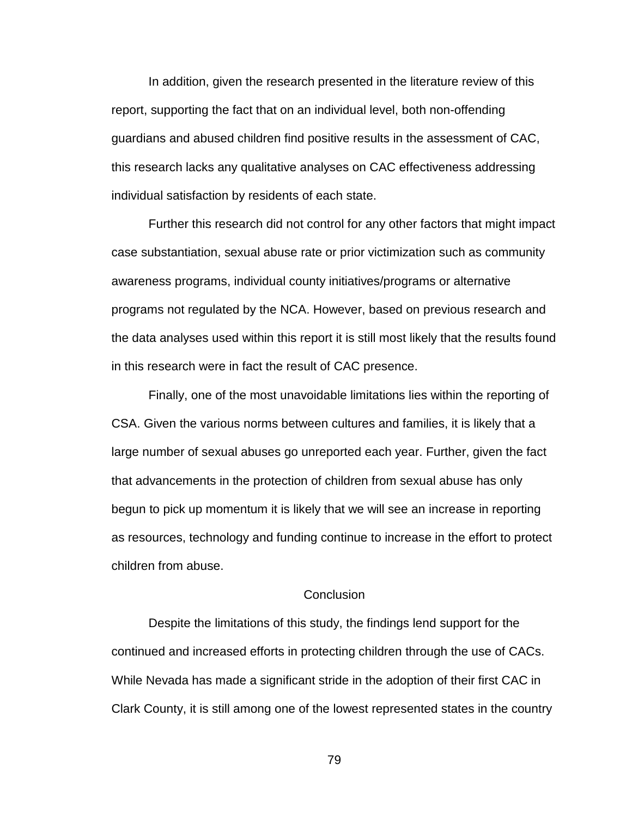In addition, given the research presented in the literature review of this report, supporting the fact that on an individual level, both non-offending guardians and abused children find positive results in the assessment of CAC, this research lacks any qualitative analyses on CAC effectiveness addressing individual satisfaction by residents of each state.

 Further this research did not control for any other factors that might impact case substantiation, sexual abuse rate or prior victimization such as community awareness programs, individual county initiatives/programs or alternative programs not regulated by the NCA. However, based on previous research and the data analyses used within this report it is still most likely that the results found in this research were in fact the result of CAC presence.

Finally, one of the most unavoidable limitations lies within the reporting of CSA. Given the various norms between cultures and families, it is likely that a large number of sexual abuses go unreported each year. Further, given the fact that advancements in the protection of children from sexual abuse has only begun to pick up momentum it is likely that we will see an increase in reporting as resources, technology and funding continue to increase in the effort to protect children from abuse.

### **Conclusion**

 Despite the limitations of this study, the findings lend support for the continued and increased efforts in protecting children through the use of CACs. While Nevada has made a significant stride in the adoption of their first CAC in Clark County, it is still among one of the lowest represented states in the country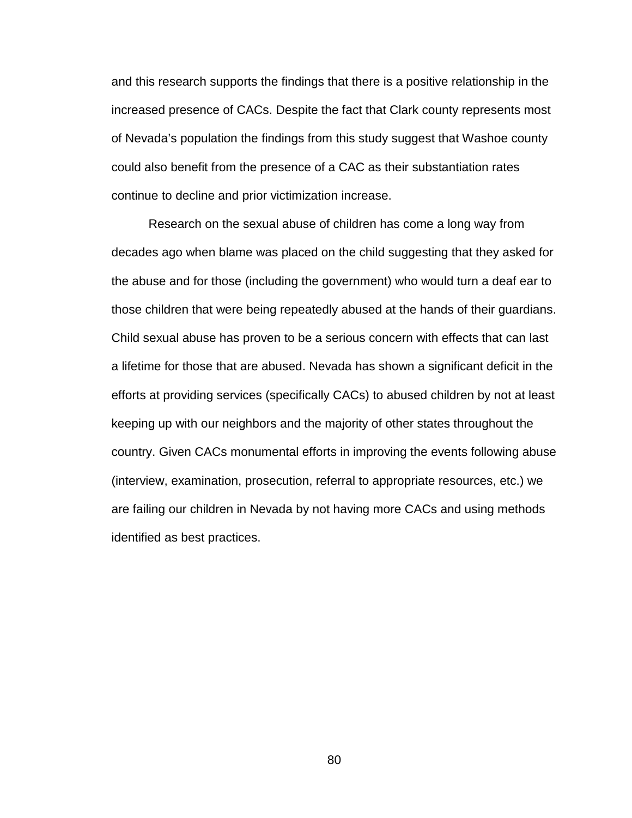and this research supports the findings that there is a positive relationship in the increased presence of CACs. Despite the fact that Clark county represents most of Nevada's population the findings from this study suggest that Washoe county could also benefit from the presence of a CAC as their substantiation rates continue to decline and prior victimization increase.

Research on the sexual abuse of children has come a long way from decades ago when blame was placed on the child suggesting that they asked for the abuse and for those (including the government) who would turn a deaf ear to those children that were being repeatedly abused at the hands of their guardians. Child sexual abuse has proven to be a serious concern with effects that can last a lifetime for those that are abused. Nevada has shown a significant deficit in the efforts at providing services (specifically CACs) to abused children by not at least keeping up with our neighbors and the majority of other states throughout the country. Given CACs monumental efforts in improving the events following abuse (interview, examination, prosecution, referral to appropriate resources, etc.) we are failing our children in Nevada by not having more CACs and using methods identified as best practices.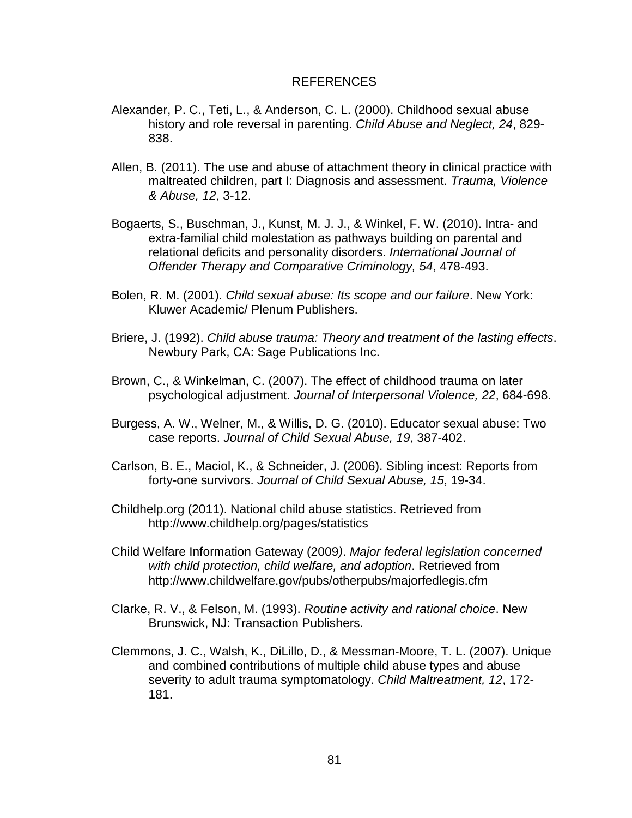## REFERENCES

- Alexander, P. C., Teti, L., & Anderson, C. L. (2000). Childhood sexual abuse history and role reversal in parenting. Child Abuse and Neglect, 24, 829- 838.
- Allen, B. (2011). The use and abuse of attachment theory in clinical practice with maltreated children, part I: Diagnosis and assessment. Trauma, Violence & Abuse, 12, 3-12.
- Bogaerts, S., Buschman, J., Kunst, M. J. J., & Winkel, F. W. (2010). Intra- and extra-familial child molestation as pathways building on parental and relational deficits and personality disorders. International Journal of Offender Therapy and Comparative Criminology, 54, 478-493.
- Bolen, R. M. (2001). Child sexual abuse: Its scope and our failure. New York: Kluwer Academic/ Plenum Publishers.
- Briere, J. (1992). Child abuse trauma: Theory and treatment of the lasting effects. Newbury Park, CA: Sage Publications Inc.
- Brown, C., & Winkelman, C. (2007). The effect of childhood trauma on later psychological adjustment. Journal of Interpersonal Violence, 22, 684-698.
- Burgess, A. W., Welner, M., & Willis, D. G. (2010). Educator sexual abuse: Two case reports. Journal of Child Sexual Abuse, 19, 387-402.
- Carlson, B. E., Maciol, K., & Schneider, J. (2006). Sibling incest: Reports from forty-one survivors. Journal of Child Sexual Abuse, 15, 19-34.
- Childhelp.org (2011). National child abuse statistics. Retrieved from http://www.childhelp.org/pages/statistics
- Child Welfare Information Gateway (2009). Major federal legislation concerned with child protection, child welfare, and adoption. Retrieved from http://www.childwelfare.gov/pubs/otherpubs/majorfedlegis.cfm
- Clarke, R. V., & Felson, M. (1993). Routine activity and rational choice. New Brunswick, NJ: Transaction Publishers.
- Clemmons, J. C., Walsh, K., DiLillo, D., & Messman-Moore, T. L. (2007). Unique and combined contributions of multiple child abuse types and abuse severity to adult trauma symptomatology. Child Maltreatment, 12, 172-181.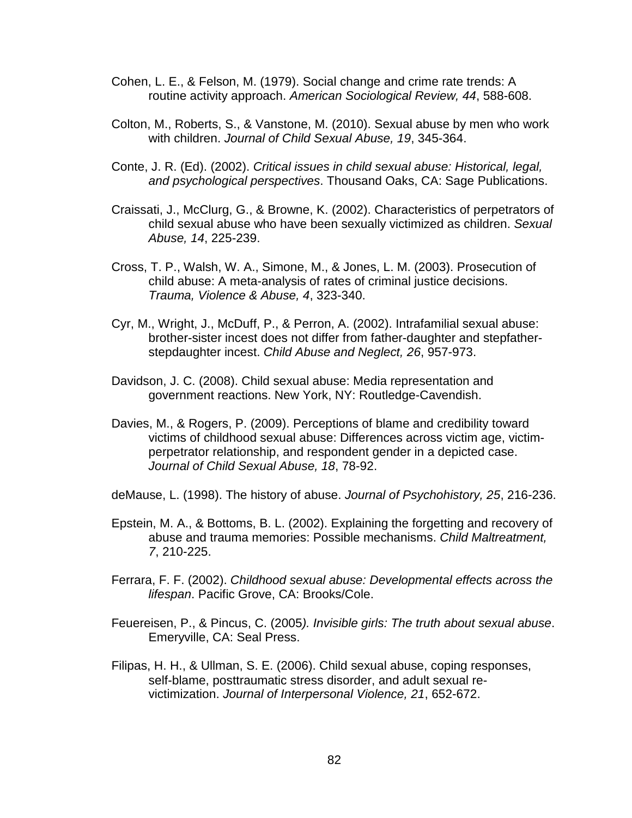- Cohen, L. E., & Felson, M. (1979). Social change and crime rate trends: A routine activity approach. American Sociological Review, 44, 588-608.
- Colton, M., Roberts, S., & Vanstone, M. (2010). Sexual abuse by men who work with children. Journal of Child Sexual Abuse, 19, 345-364.
- Conte, J. R. (Ed). (2002). Critical issues in child sexual abuse: Historical, legal, and psychological perspectives. Thousand Oaks, CA: Sage Publications.
- Craissati, J., McClurg, G., & Browne, K. (2002). Characteristics of perpetrators of child sexual abuse who have been sexually victimized as children. Sexual Abuse, 14, 225-239.
- Cross, T. P., Walsh, W. A., Simone, M., & Jones, L. M. (2003). Prosecution of child abuse: A meta-analysis of rates of criminal justice decisions. Trauma, Violence & Abuse, 4, 323-340.
- Cyr, M., Wright, J., McDuff, P., & Perron, A. (2002). Intrafamilial sexual abuse: brother-sister incest does not differ from father-daughter and stepfatherstepdaughter incest. Child Abuse and Neglect, 26, 957-973.
- Davidson, J. C. (2008). Child sexual abuse: Media representation and government reactions. New York, NY: Routledge-Cavendish.
- Davies, M., & Rogers, P. (2009). Perceptions of blame and credibility toward victims of childhood sexual abuse: Differences across victim age, victimperpetrator relationship, and respondent gender in a depicted case. Journal of Child Sexual Abuse, 18, 78-92.
- deMause, L. (1998). The history of abuse. Journal of Psychohistory, 25, 216-236.
- Epstein, M. A., & Bottoms, B. L. (2002). Explaining the forgetting and recovery of abuse and trauma memories: Possible mechanisms. Child Maltreatment, 7, 210-225.
- Ferrara, F. F. (2002). Childhood sexual abuse: Developmental effects across the lifespan. Pacific Grove, CA: Brooks/Cole.
- Feuereisen, P., & Pincus, C. (2005). Invisible girls: The truth about sexual abuse. Emeryville, CA: Seal Press.
- Filipas, H. H., & Ullman, S. E. (2006). Child sexual abuse, coping responses, self-blame, posttraumatic stress disorder, and adult sexual revictimization. Journal of Interpersonal Violence, 21, 652-672.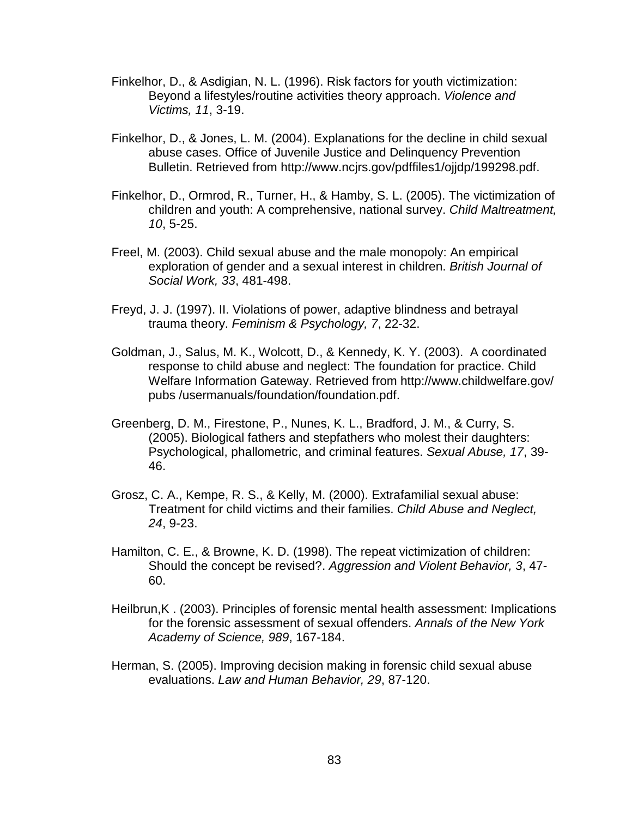- Finkelhor, D., & Asdigian, N. L. (1996). Risk factors for youth victimization: Beyond a lifestyles/routine activities theory approach. Violence and Victims, 11, 3-19.
- Finkelhor, D., & Jones, L. M. (2004). Explanations for the decline in child sexual abuse cases. Office of Juvenile Justice and Delinquency Prevention Bulletin. Retrieved from http://www.ncjrs.gov/pdffiles1/ojjdp/199298.pdf.
- Finkelhor, D., Ormrod, R., Turner, H., & Hamby, S. L. (2005). The victimization of children and youth: A comprehensive, national survey. Child Maltreatment, 10, 5-25.
- Freel, M. (2003). Child sexual abuse and the male monopoly: An empirical exploration of gender and a sexual interest in children. British Journal of Social Work, 33, 481-498.
- Freyd, J. J. (1997). II. Violations of power, adaptive blindness and betrayal trauma theory. Feminism & Psychology, 7, 22-32.
- Goldman, J., Salus, M. K., Wolcott, D., & Kennedy, K. Y. (2003). A coordinated response to child abuse and neglect: The foundation for practice. Child Welfare Information Gateway. Retrieved from http://www.childwelfare.gov/ pubs /usermanuals/foundation/foundation.pdf.
- Greenberg, D. M., Firestone, P., Nunes, K. L., Bradford, J. M., & Curry, S. (2005). Biological fathers and stepfathers who molest their daughters: Psychological, phallometric, and criminal features. Sexual Abuse, 17, 39- 46.
- Grosz, C. A., Kempe, R. S., & Kelly, M. (2000). Extrafamilial sexual abuse: Treatment for child victims and their families. Child Abuse and Neglect, 24, 9-23.
- Hamilton, C. E., & Browne, K. D. (1998). The repeat victimization of children: Should the concept be revised?. Aggression and Violent Behavior, 3, 47- 60.
- Heilbrun,K . (2003). Principles of forensic mental health assessment: Implications for the forensic assessment of sexual offenders. Annals of the New York Academy of Science, 989, 167-184.
- Herman, S. (2005). Improving decision making in forensic child sexual abuse evaluations. Law and Human Behavior, 29, 87-120.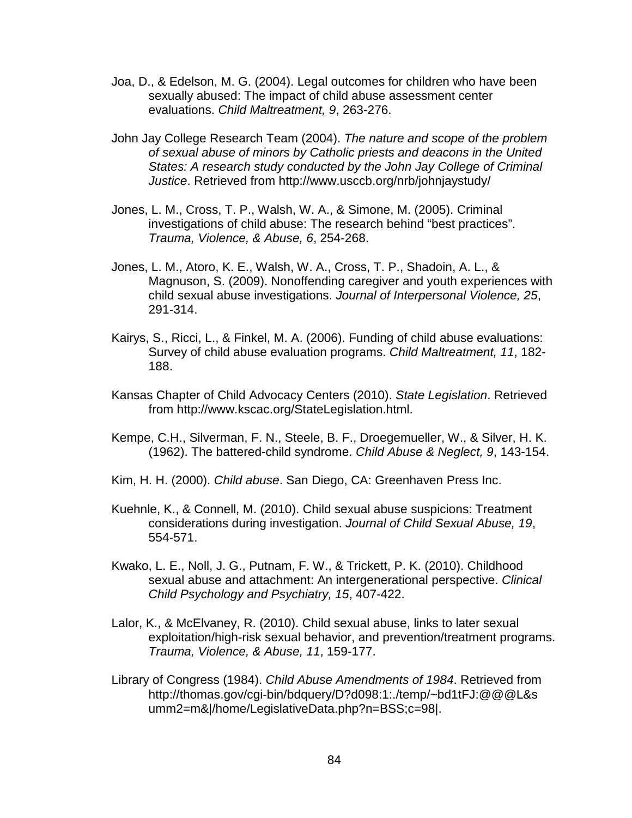- Joa, D., & Edelson, M. G. (2004). Legal outcomes for children who have been sexually abused: The impact of child abuse assessment center evaluations. Child Maltreatment, 9, 263-276.
- John Jay College Research Team (2004). The nature and scope of the problem of sexual abuse of minors by Catholic priests and deacons in the United States: A research study conducted by the John Jay College of Criminal Justice. Retrieved from http://www.usccb.org/nrb/johnjaystudy/
- Jones, L. M., Cross, T. P., Walsh, W. A., & Simone, M. (2005). Criminal investigations of child abuse: The research behind "best practices". Trauma, Violence, & Abuse, 6, 254-268.
- Jones, L. M., Atoro, K. E., Walsh, W. A., Cross, T. P., Shadoin, A. L., & Magnuson, S. (2009). Nonoffending caregiver and youth experiences with child sexual abuse investigations. Journal of Interpersonal Violence, 25, 291-314.
- Kairys, S., Ricci, L., & Finkel, M. A. (2006). Funding of child abuse evaluations: Survey of child abuse evaluation programs. Child Maltreatment, 11, 182- 188.
- Kansas Chapter of Child Advocacy Centers (2010). State Legislation. Retrieved from http://www.kscac.org/StateLegislation.html.
- Kempe, C.H., Silverman, F. N., Steele, B. F., Droegemueller, W., & Silver, H. K. (1962). The battered-child syndrome. Child Abuse & Neglect, 9, 143-154.
- Kim, H. H. (2000). Child abuse. San Diego, CA: Greenhaven Press Inc.
- Kuehnle, K., & Connell, M. (2010). Child sexual abuse suspicions: Treatment considerations during investigation. Journal of Child Sexual Abuse, 19, 554-571.
- Kwako, L. E., Noll, J. G., Putnam, F. W., & Trickett, P. K. (2010). Childhood sexual abuse and attachment: An intergenerational perspective. Clinical Child Psychology and Psychiatry, 15, 407-422.
- Lalor, K., & McElvaney, R. (2010). Child sexual abuse, links to later sexual exploitation/high-risk sexual behavior, and prevention/treatment programs. Trauma, Violence, & Abuse, 11, 159-177.
- Library of Congress (1984). Child Abuse Amendments of 1984. Retrieved from http://thomas.gov/cgi-bin/bdquery/D?d098:1:./temp/~bd1tFJ:@@@L&s umm2=m&|/home/LegislativeData.php?n=BSS;c=98|.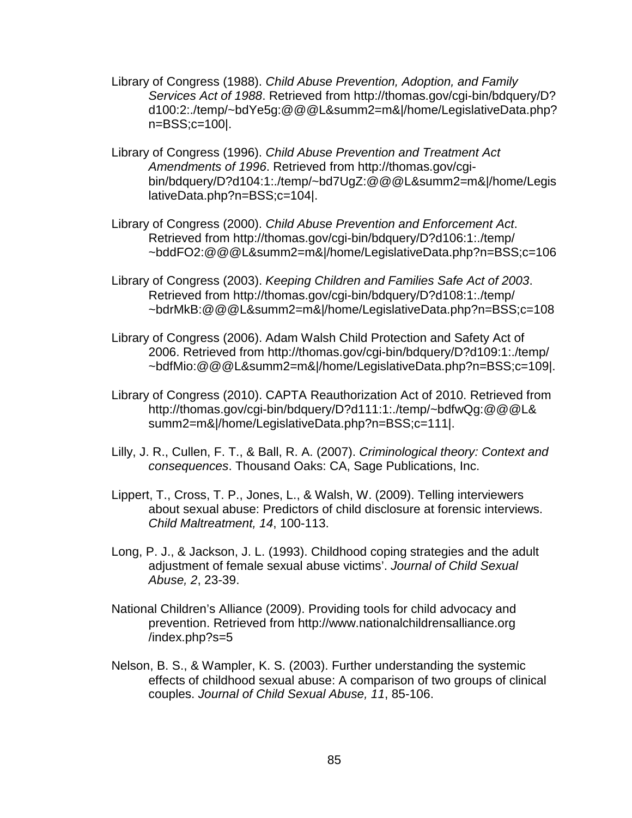- Library of Congress (1988). Child Abuse Prevention, Adoption, and Family Services Act of 1988. Retrieved from http://thomas.gov/cgi-bin/bdquery/D? d100:2:./temp/~bdYe5g:@@@L&summ2=m&|/home/LegislativeData.php? n=BSS;c=100|.
- Library of Congress (1996). Child Abuse Prevention and Treatment Act Amendments of 1996. Retrieved from http://thomas.gov/cgibin/bdquery/D?d104:1:./temp/~bd7UgZ:@@@L&summ2=m&|/home/Legis lativeData.php?n=BSS;c=104|.
- Library of Congress (2000). Child Abuse Prevention and Enforcement Act. Retrieved from http://thomas.gov/cgi-bin/bdquery/D?d106:1:./temp/ ~bddFO2:@@@L&summ2=m&|/home/LegislativeData.php?n=BSS;c=106
- Library of Congress (2003). Keeping Children and Families Safe Act of 2003. Retrieved from http://thomas.gov/cgi-bin/bdquery/D?d108:1:./temp/ ~bdrMkB:@@@L&summ2=m&|/home/LegislativeData.php?n=BSS;c=108
- Library of Congress (2006). Adam Walsh Child Protection and Safety Act of 2006. Retrieved from http://thomas.gov/cgi-bin/bdquery/D?d109:1:./temp/ ~bdfMio:@@@L&summ2=m&|/home/LegislativeData.php?n=BSS;c=109|.
- Library of Congress (2010). CAPTA Reauthorization Act of 2010. Retrieved from http://thomas.gov/cgi-bin/bdquery/D?d111:1:./temp/~bdfwQg:@@@L& summ2=m&|/home/LegislativeData.php?n=BSS;c=111|.
- Lilly, J. R., Cullen, F. T., & Ball, R. A. (2007). Criminological theory: Context and consequences. Thousand Oaks: CA, Sage Publications, Inc.
- Lippert, T., Cross, T. P., Jones, L., & Walsh, W. (2009). Telling interviewers about sexual abuse: Predictors of child disclosure at forensic interviews. Child Maltreatment, 14, 100-113.
- Long, P. J., & Jackson, J. L. (1993). Childhood coping strategies and the adult adjustment of female sexual abuse victims'. Journal of Child Sexual Abuse, 2, 23-39.
- National Children's Alliance (2009). Providing tools for child advocacy and prevention. Retrieved from http://www.nationalchildrensalliance.org /index.php?s=5
- Nelson, B. S., & Wampler, K. S. (2003). Further understanding the systemic effects of childhood sexual abuse: A comparison of two groups of clinical couples. Journal of Child Sexual Abuse, 11, 85-106.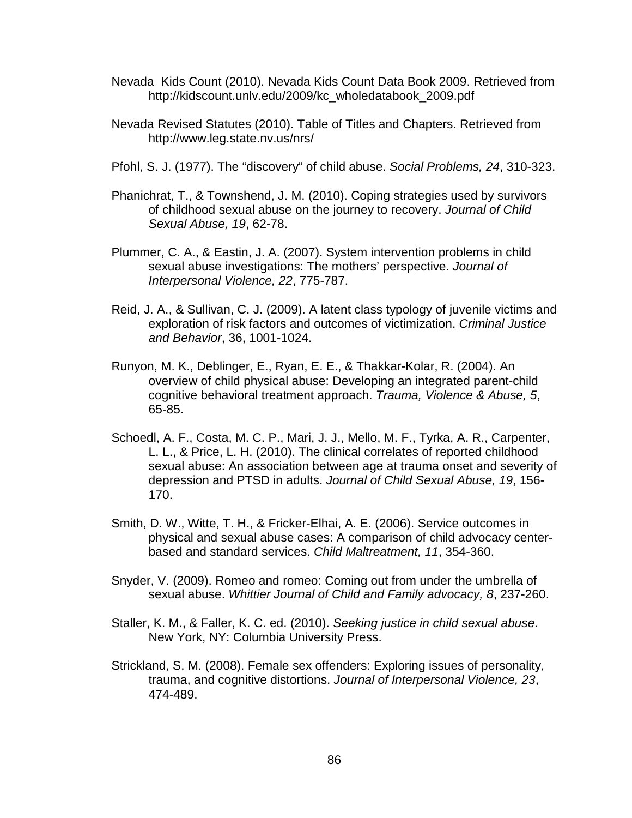- Nevada Kids Count (2010). Nevada Kids Count Data Book 2009. Retrieved from http://kidscount.unlv.edu/2009/kc\_wholedatabook\_2009.pdf
- Nevada Revised Statutes (2010). Table of Titles and Chapters. Retrieved from http://www.leg.state.nv.us/nrs/
- Pfohl, S. J. (1977). The "discovery" of child abuse. Social Problems, 24, 310-323.
- Phanichrat, T., & Townshend, J. M. (2010). Coping strategies used by survivors of childhood sexual abuse on the journey to recovery. Journal of Child Sexual Abuse, 19, 62-78.
- Plummer, C. A., & Eastin, J. A. (2007). System intervention problems in child sexual abuse investigations: The mothers' perspective. Journal of Interpersonal Violence, 22, 775-787.
- Reid, J. A., & Sullivan, C. J. (2009). A latent class typology of juvenile victims and exploration of risk factors and outcomes of victimization. Criminal Justice and Behavior, 36, 1001-1024.
- Runyon, M. K., Deblinger, E., Ryan, E. E., & Thakkar-Kolar, R. (2004). An overview of child physical abuse: Developing an integrated parent-child cognitive behavioral treatment approach. Trauma, Violence & Abuse, 5, 65-85.
- Schoedl, A. F., Costa, M. C. P., Mari, J. J., Mello, M. F., Tyrka, A. R., Carpenter, L. L., & Price, L. H. (2010). The clinical correlates of reported childhood sexual abuse: An association between age at trauma onset and severity of depression and PTSD in adults. Journal of Child Sexual Abuse, 19, 156- 170.
- Smith, D. W., Witte, T. H., & Fricker-Elhai, A. E. (2006). Service outcomes in physical and sexual abuse cases: A comparison of child advocacy centerbased and standard services. Child Maltreatment, 11, 354-360.
- Snyder, V. (2009). Romeo and romeo: Coming out from under the umbrella of sexual abuse. Whittier Journal of Child and Family advocacy, 8, 237-260.
- Staller, K. M., & Faller, K. C. ed. (2010). Seeking justice in child sexual abuse. New York, NY: Columbia University Press.
- Strickland, S. M. (2008). Female sex offenders: Exploring issues of personality, trauma, and cognitive distortions. Journal of Interpersonal Violence, 23, 474-489.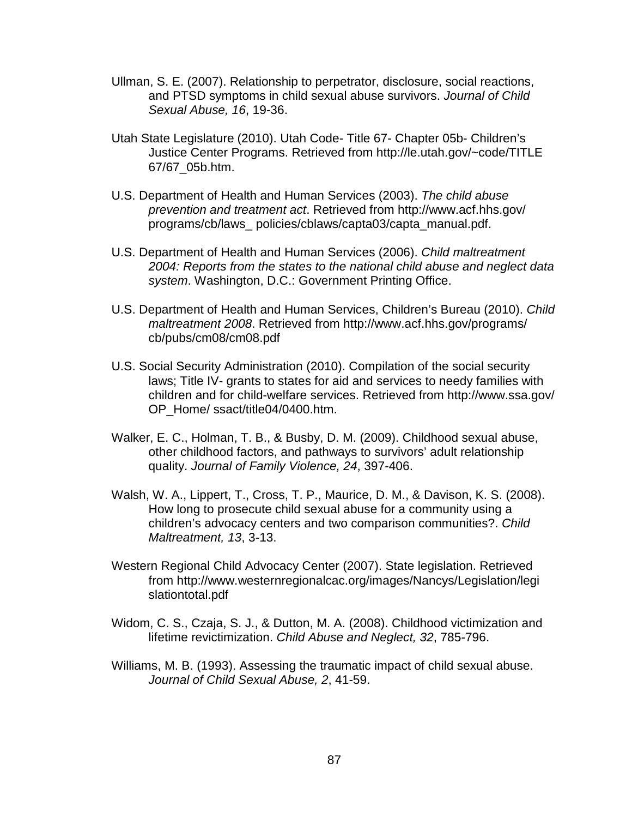- Ullman, S. E. (2007). Relationship to perpetrator, disclosure, social reactions, and PTSD symptoms in child sexual abuse survivors. Journal of Child Sexual Abuse, 16, 19-36.
- Utah State Legislature (2010). Utah Code- Title 67- Chapter 05b- Children's Justice Center Programs. Retrieved from http://le.utah.gov/~code/TITLE 67/67\_05b.htm.
- U.S. Department of Health and Human Services (2003). The child abuse prevention and treatment act. Retrieved from http://www.acf.hhs.gov/ programs/cb/laws\_ policies/cblaws/capta03/capta\_manual.pdf.
- U.S. Department of Health and Human Services (2006). Child maltreatment 2004: Reports from the states to the national child abuse and neglect data system. Washington, D.C.: Government Printing Office.
- U.S. Department of Health and Human Services, Children's Bureau (2010). Child maltreatment 2008. Retrieved from http://www.acf.hhs.gov/programs/ cb/pubs/cm08/cm08.pdf
- U.S. Social Security Administration (2010). Compilation of the social security laws; Title IV- grants to states for aid and services to needy families with children and for child-welfare services. Retrieved from http://www.ssa.gov/ OP\_Home/ ssact/title04/0400.htm.
- Walker, E. C., Holman, T. B., & Busby, D. M. (2009). Childhood sexual abuse, other childhood factors, and pathways to survivors' adult relationship quality. Journal of Family Violence, 24, 397-406.
- Walsh, W. A., Lippert, T., Cross, T. P., Maurice, D. M., & Davison, K. S. (2008). How long to prosecute child sexual abuse for a community using a children's advocacy centers and two comparison communities?. Child Maltreatment, 13, 3-13.
- Western Regional Child Advocacy Center (2007). State legislation. Retrieved from http://www.westernregionalcac.org/images/Nancys/Legislation/legi slationtotal.pdf
- Widom, C. S., Czaja, S. J., & Dutton, M. A. (2008). Childhood victimization and lifetime revictimization. Child Abuse and Neglect, 32, 785-796.
- Williams, M. B. (1993). Assessing the traumatic impact of child sexual abuse. Journal of Child Sexual Abuse, 2, 41-59.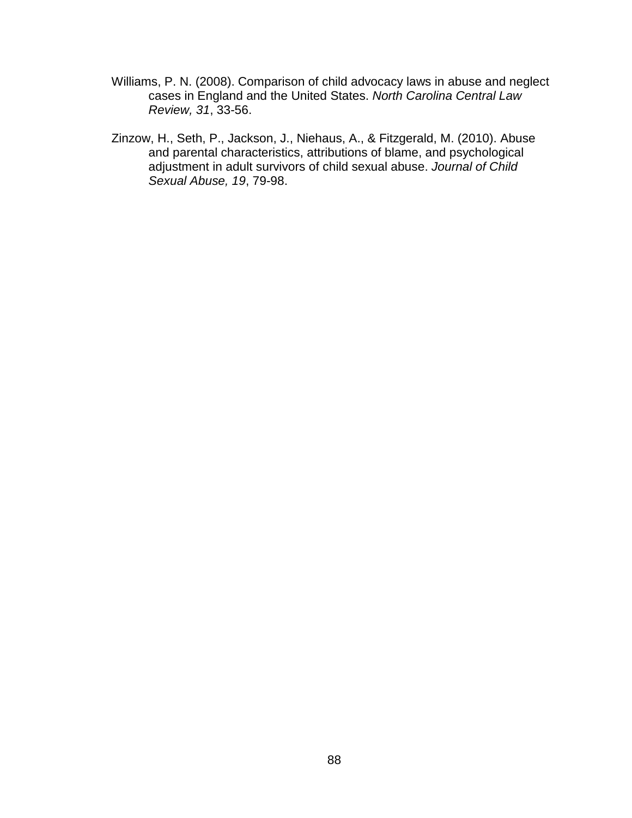- Williams, P. N. (2008). Comparison of child advocacy laws in abuse and neglect cases in England and the United States. North Carolina Central Law Review, 31, 33-56.
- Zinzow, H., Seth, P., Jackson, J., Niehaus, A., & Fitzgerald, M. (2010). Abuse and parental characteristics, attributions of blame, and psychological adjustment in adult survivors of child sexual abuse. Journal of Child Sexual Abuse, 19, 79-98.